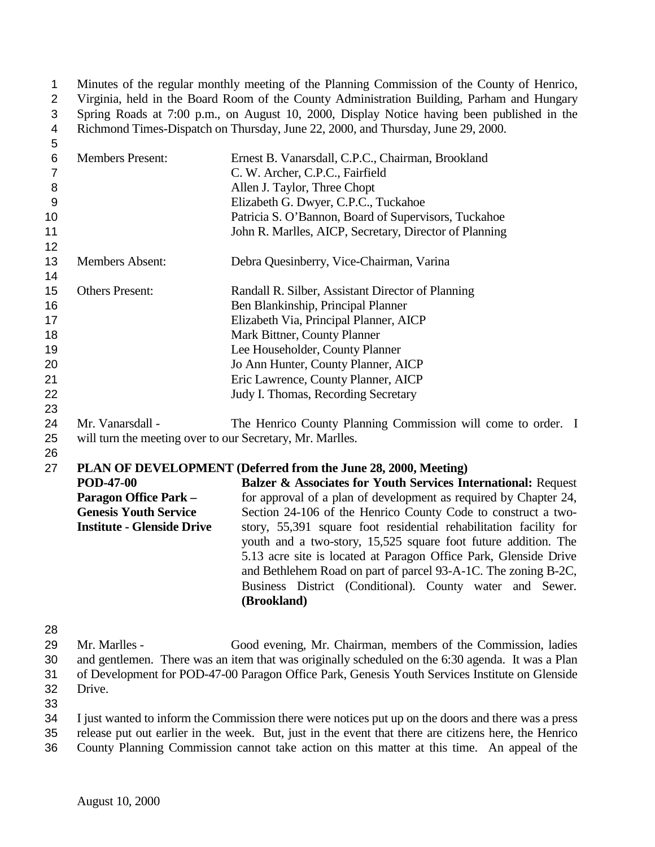Minutes of the regular monthly meeting of the Planning Commission of the County of Henrico, Virginia, held in the Board Room of the County Administration Building, Parham and Hungary Spring Roads at 7:00 p.m., on August 10, 2000, Display Notice having been published in the Richmond Times-Dispatch on Thursday, June 22, 2000, and Thursday, June 29, 2000.

| 5              |                                                           |                                                                   |
|----------------|-----------------------------------------------------------|-------------------------------------------------------------------|
| $\,6\,$        | <b>Members Present:</b>                                   | Ernest B. Vanarsdall, C.P.C., Chairman, Brookland                 |
| $\overline{7}$ |                                                           | C. W. Archer, C.P.C., Fairfield                                   |
| $\,8\,$        |                                                           | Allen J. Taylor, Three Chopt                                      |
| $\overline{9}$ |                                                           | Elizabeth G. Dwyer, C.P.C., Tuckahoe                              |
| 10             |                                                           | Patricia S. O'Bannon, Board of Supervisors, Tuckahoe              |
| 11             |                                                           | John R. Marlles, AICP, Secretary, Director of Planning            |
| 12             |                                                           |                                                                   |
| 13<br>14       | <b>Members Absent:</b>                                    | Debra Quesinberry, Vice-Chairman, Varina                          |
| 15             | <b>Others Present:</b>                                    | Randall R. Silber, Assistant Director of Planning                 |
| 16             |                                                           | Ben Blankinship, Principal Planner                                |
| 17             |                                                           | Elizabeth Via, Principal Planner, AICP                            |
| 18             |                                                           | Mark Bittner, County Planner                                      |
| 19             |                                                           | Lee Householder, County Planner                                   |
| 20             |                                                           | Jo Ann Hunter, County Planner, AICP                               |
| 21             |                                                           | Eric Lawrence, County Planner, AICP                               |
| 22             |                                                           | Judy I. Thomas, Recording Secretary                               |
| 23             |                                                           |                                                                   |
| 24             | Mr. Vanarsdall -                                          | The Henrico County Planning Commission will come to order. I      |
| 25             | will turn the meeting over to our Secretary, Mr. Marlles. |                                                                   |
| 26             |                                                           |                                                                   |
| 27             |                                                           | PLAN OF DEVELOPMENT (Deferred from the June 28, 2000, Meeting)    |
|                | <b>POD-47-00</b>                                          | Balzer & Associates for Youth Services International: Request     |
|                | <b>Paragon Office Park -</b>                              | for approval of a plan of development as required by Chapter 24,  |
|                | <b>Genesis Youth Service</b>                              | Section 24-106 of the Henrico County Code to construct a two-     |
|                | <b>Institute - Glenside Drive</b>                         | story, 55,391 square foot residential rehabilitation facility for |
|                |                                                           | youth and a two-story, 15,525 square foot future addition. The    |
|                |                                                           | 5.13 acre site is located at Paragon Office Park, Glenside Drive  |
|                |                                                           | and Bethlehem Road on part of parcel 93-A-1C. The zoning B-2C,    |
|                |                                                           | Business District (Conditional). County water and Sewer.          |
|                |                                                           | (Brookland)                                                       |
|                |                                                           |                                                                   |

 Mr. Marlles - Good evening, Mr. Chairman, members of the Commission, ladies and gentlemen. There was an item that was originally scheduled on the 6:30 agenda. It was a Plan of Development for POD-47-00 Paragon Office Park, Genesis Youth Services Institute on Glenside Drive.

 I just wanted to inform the Commission there were notices put up on the doors and there was a press release put out earlier in the week. But, just in the event that there are citizens here, the Henrico

County Planning Commission cannot take action on this matter at this time. An appeal of the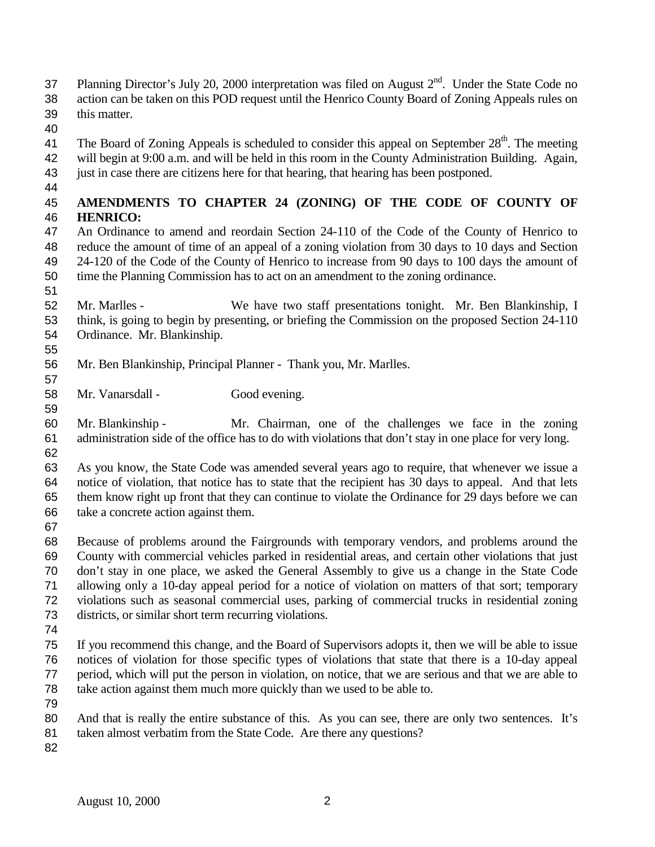- 37 Planning Director's July 20, 2000 interpretation was filed on August  $2<sup>nd</sup>$ . Under the State Code no action can be taken on this POD request until the Henrico County Board of Zoning Appeals rules on this matter.
- 
- 41 The Board of Zoning Appeals is scheduled to consider this appeal on September  $28<sup>th</sup>$ . The meeting will begin at 9:00 a.m. and will be held in this room in the County Administration Building. Again,
- just in case there are citizens here for that hearing, that hearing has been postponed.
- 

## **AMENDMENTS TO CHAPTER 24 (ZONING) OF THE CODE OF COUNTY OF HENRICO:**

- An Ordinance to amend and reordain Section 24-110 of the Code of the County of Henrico to reduce the amount of time of an appeal of a zoning violation from 30 days to 10 days and Section 24-120 of the Code of the County of Henrico to increase from 90 days to 100 days the amount of time the Planning Commission has to act on an amendment to the zoning ordinance.
- 

- Mr. Marlles We have two staff presentations tonight. Mr. Ben Blankinship, I think, is going to begin by presenting, or briefing the Commission on the proposed Section 24-110 Ordinance. Mr. Blankinship.
- Mr. Ben Blankinship, Principal Planner Thank you, Mr. Marlles.
- Mr. Vanarsdall Good evening.
- Mr. Blankinship Mr. Chairman, one of the challenges we face in the zoning administration side of the office has to do with violations that don't stay in one place for very long.
- As you know, the State Code was amended several years ago to require, that whenever we issue a notice of violation, that notice has to state that the recipient has 30 days to appeal. And that lets them know right up front that they can continue to violate the Ordinance for 29 days before we can take a concrete action against them.
- 

 Because of problems around the Fairgrounds with temporary vendors, and problems around the County with commercial vehicles parked in residential areas, and certain other violations that just don't stay in one place, we asked the General Assembly to give us a change in the State Code allowing only a 10-day appeal period for a notice of violation on matters of that sort; temporary violations such as seasonal commercial uses, parking of commercial trucks in residential zoning districts, or similar short term recurring violations.

 If you recommend this change, and the Board of Supervisors adopts it, then we will be able to issue notices of violation for those specific types of violations that state that there is a 10-day appeal period, which will put the person in violation, on notice, that we are serious and that we are able to take action against them much more quickly than we used to be able to.

- 
- 80 And that is really the entire substance of this. As you can see, there are only two sentences. It's
- 81 taken almost verbatim from the State Code. Are there any questions?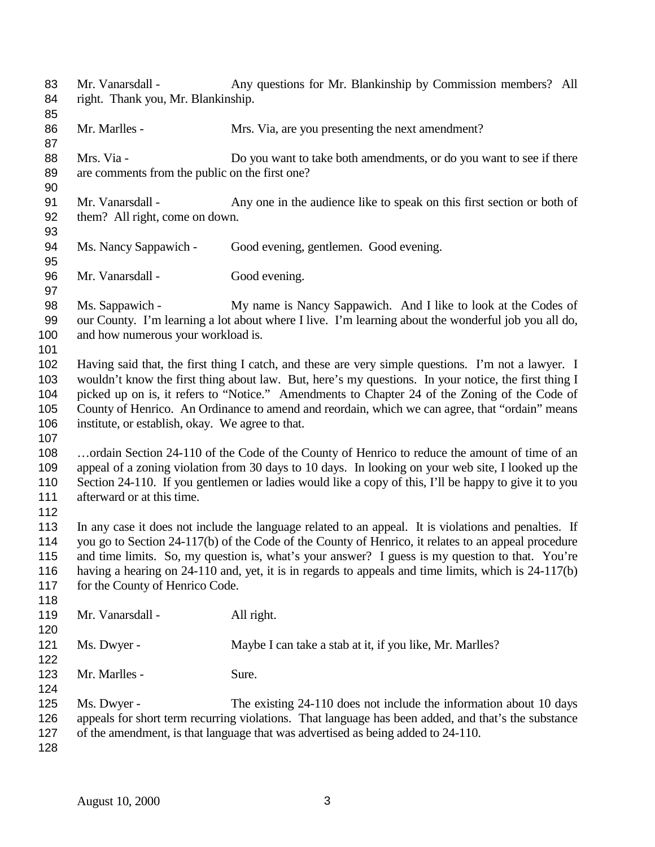Mr. Vanarsdall - Any questions for Mr. Blankinship by Commission members? All right. Thank you, Mr. Blankinship. 86 Mr. Marlles - Mrs. Via, are you presenting the next amendment? 88 Mrs. Via - Do you want to take both amendments, or do you want to see if there are comments from the public on the first one? Mr. Vanarsdall - Any one in the audience like to speak on this first section or both of them? All right, come on down. Ms. Nancy Sappawich - Good evening, gentlemen. Good evening. 96 Mr. Vanarsdall - Good evening. Ms. Sappawich - My name is Nancy Sappawich. And I like to look at the Codes of our County. I'm learning a lot about where I live. I'm learning about the wonderful job you all do, 100 and how numerous your workload is. Having said that, the first thing I catch, and these are very simple questions. I'm not a lawyer. I wouldn't know the first thing about law. But, here's my questions. In your notice, the first thing I picked up on is, it refers to "Notice." Amendments to Chapter 24 of the Zoning of the Code of County of Henrico. An Ordinance to amend and reordain, which we can agree, that "ordain" means institute, or establish, okay. We agree to that. …ordain Section 24-110 of the Code of the County of Henrico to reduce the amount of time of an appeal of a zoning violation from 30 days to 10 days. In looking on your web site, I looked up the Section 24-110. If you gentlemen or ladies would like a copy of this, I'll be happy to give it to you 111 afterward or at this time. In any case it does not include the language related to an appeal. It is violations and penalties. If you go to Section 24-117(b) of the Code of the County of Henrico, it relates to an appeal procedure and time limits. So, my question is, what's your answer? I guess is my question to that. You're having a hearing on 24-110 and, yet, it is in regards to appeals and time limits, which is 24-117(b) 117 for the County of Henrico Code. 119 Mr. Vanarsdall - All right. 121 Ms. Dwyer - Maybe I can take a stab at it, if you like, Mr. Marlles? 123 Mr. Marlles - Sure. Ms. Dwyer - The existing 24-110 does not include the information about 10 days appeals for short term recurring violations. That language has been added, and that's the substance of the amendment, is that language that was advertised as being added to 24-110.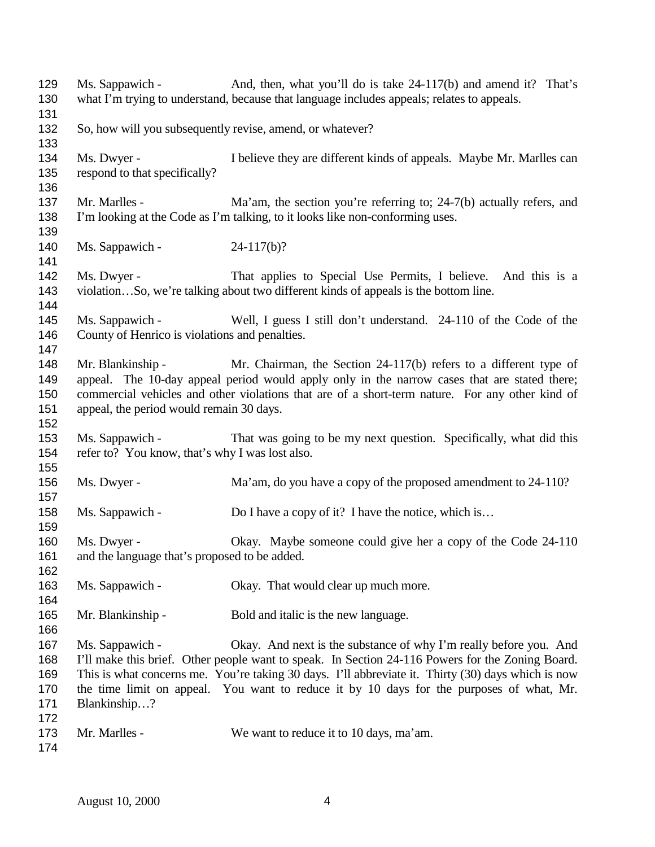129 Ms. Sappawich - And, then, what you'll do is take 24-117(b) and amend it? That's what I'm trying to understand, because that language includes appeals; relates to appeals. So, how will you subsequently revise, amend, or whatever? Ms. Dwyer - I believe they are different kinds of appeals. Maybe Mr. Marlles can respond to that specifically? 137 Mr. Marlles - Ma'am, the section you're referring to; 24-7(b) actually refers, and I'm looking at the Code as I'm talking, to it looks like non-conforming uses. 140 Ms. Sappawich - 24-117(b)? Ms. Dwyer - That applies to Special Use Permits, I believe. And this is a violation…So, we're talking about two different kinds of appeals is the bottom line. Ms. Sappawich - Well, I guess I still don't understand. 24-110 of the Code of the County of Henrico is violations and penalties. 148 Mr. Blankinship - Mr. Chairman, the Section 24-117(b) refers to a different type of appeal. The 10-day appeal period would apply only in the narrow cases that are stated there; commercial vehicles and other violations that are of a short-term nature. For any other kind of appeal, the period would remain 30 days. Ms. Sappawich - That was going to be my next question. Specifically, what did this refer to? You know, that's why I was lost also. Ms. Dwyer - Ma'am, do you have a copy of the proposed amendment to 24-110? 158 Ms. Sappawich - Do I have a copy of it? I have the notice, which is... Ms. Dwyer - Okay. Maybe someone could give her a copy of the Code 24-110 and the language that's proposed to be added. 163 Ms. Sappawich - Okay. That would clear up much more. Mr. Blankinship - Bold and italic is the new language. Ms. Sappawich - Okay. And next is the substance of why I'm really before you. And I'll make this brief. Other people want to speak. In Section 24-116 Powers for the Zoning Board. This is what concerns me. You're taking 30 days. I'll abbreviate it. Thirty (30) days which is now the time limit on appeal. You want to reduce it by 10 days for the purposes of what, Mr. Blankinship…? 173 Mr. Marlles - We want to reduce it to 10 days, ma'am.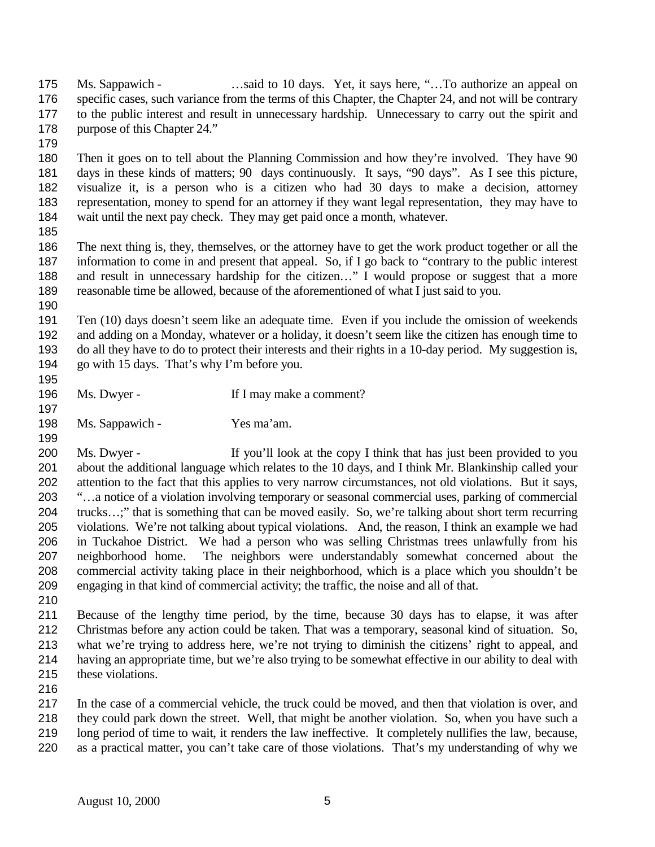175 Ms. Sappawich - …said to 10 days. Yet, it says here, "...To authorize an appeal on specific cases, such variance from the terms of this Chapter, the Chapter 24, and not will be contrary to the public interest and result in unnecessary hardship. Unnecessary to carry out the spirit and 178 purpose of this Chapter 24."

 Then it goes on to tell about the Planning Commission and how they're involved. They have 90 days in these kinds of matters; 90 days continuously. It says, "90 days". As I see this picture, visualize it, is a person who is a citizen who had 30 days to make a decision, attorney representation, money to spend for an attorney if they want legal representation, they may have to wait until the next pay check. They may get paid once a month, whatever.

 The next thing is, they, themselves, or the attorney have to get the work product together or all the information to come in and present that appeal. So, if I go back to "contrary to the public interest 188 and result in unnecessary hardship for the citizen..." I would propose or suggest that a more reasonable time be allowed, because of the aforementioned of what I just said to you.

 Ten (10) days doesn't seem like an adequate time. Even if you include the omission of weekends and adding on a Monday, whatever or a holiday, it doesn't seem like the citizen has enough time to do all they have to do to protect their interests and their rights in a 10-day period. My suggestion is, go with 15 days. That's why I'm before you.

196 Ms. Dwyer - If I may make a comment?

Ms. Sappawich - Yes ma'am.

 Ms. Dwyer - If you'll look at the copy I think that has just been provided to you about the additional language which relates to the 10 days, and I think Mr. Blankinship called your attention to the fact that this applies to very narrow circumstances, not old violations. But it says, "…a notice of a violation involving temporary or seasonal commercial uses, parking of commercial trucks…;" that is something that can be moved easily. So, we're talking about short term recurring violations. We're not talking about typical violations. And, the reason, I think an example we had in Tuckahoe District. We had a person who was selling Christmas trees unlawfully from his neighborhood home. The neighbors were understandably somewhat concerned about the commercial activity taking place in their neighborhood, which is a place which you shouldn't be engaging in that kind of commercial activity; the traffic, the noise and all of that.

 Because of the lengthy time period, by the time, because 30 days has to elapse, it was after Christmas before any action could be taken. That was a temporary, seasonal kind of situation. So, what we're trying to address here, we're not trying to diminish the citizens' right to appeal, and having an appropriate time, but we're also trying to be somewhat effective in our ability to deal with these violations.

 In the case of a commercial vehicle, the truck could be moved, and then that violation is over, and they could park down the street. Well, that might be another violation. So, when you have such a long period of time to wait, it renders the law ineffective. It completely nullifies the law, because, as a practical matter, you can't take care of those violations. That's my understanding of why we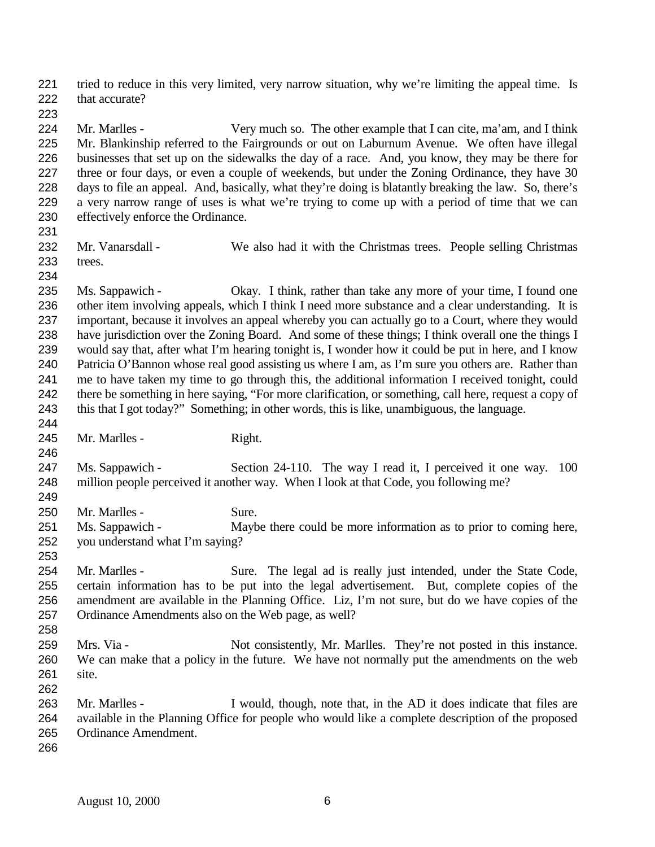tried to reduce in this very limited, very narrow situation, why we're limiting the appeal time. Is 222 that accurate?

 Mr. Marlles - Very much so. The other example that I can cite, ma'am, and I think Mr. Blankinship referred to the Fairgrounds or out on Laburnum Avenue. We often have illegal businesses that set up on the sidewalks the day of a race. And, you know, they may be there for three or four days, or even a couple of weekends, but under the Zoning Ordinance, they have 30 days to file an appeal. And, basically, what they're doing is blatantly breaking the law. So, there's a very narrow range of uses is what we're trying to come up with a period of time that we can effectively enforce the Ordinance.

 Mr. Vanarsdall - We also had it with the Christmas trees. People selling Christmas trees.

 Ms. Sappawich - Okay. I think, rather than take any more of your time, I found one other item involving appeals, which I think I need more substance and a clear understanding. It is important, because it involves an appeal whereby you can actually go to a Court, where they would have jurisdiction over the Zoning Board. And some of these things; I think overall one the things I would say that, after what I'm hearing tonight is, I wonder how it could be put in here, and I know Patricia O'Bannon whose real good assisting us where I am, as I'm sure you others are. Rather than me to have taken my time to go through this, the additional information I received tonight, could there be something in here saying, "For more clarification, or something, call here, request a copy of this that I got today?" Something; in other words, this is like, unambiguous, the language. 

245 Mr. Marlles - Right.

 Ms. Sappawich - Section 24-110. The way I read it, I perceived it one way. 100 million people perceived it another way. When I look at that Code, you following me?

 250 Mr. Marlles - Sure.

 Ms. Sappawich - Maybe there could be more information as to prior to coming here, you understand what I'm saying?

- Mr. Marlles Sure. The legal ad is really just intended, under the State Code, certain information has to be put into the legal advertisement. But, complete copies of the amendment are available in the Planning Office. Liz, I'm not sure, but do we have copies of the Ordinance Amendments also on the Web page, as well?
- 259 Mrs. Via Not consistently, Mr. Marlles. They're not posted in this instance. We can make that a policy in the future. We have not normally put the amendments on the web site.
- Mr. Marlles I would, though, note that, in the AD it does indicate that files are available in the Planning Office for people who would like a complete description of the proposed Ordinance Amendment.
-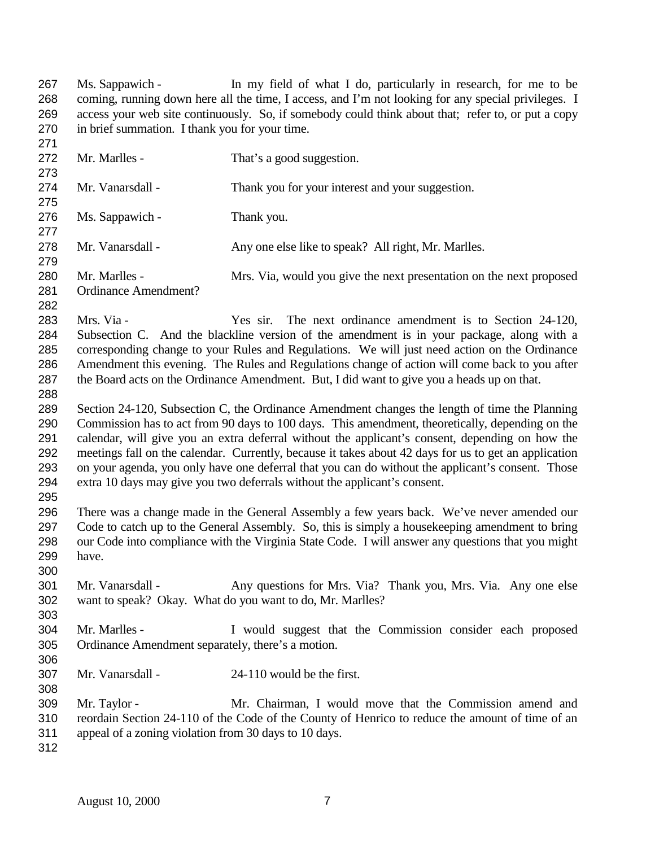Ms. Sappawich - In my field of what I do, particularly in research, for me to be coming, running down here all the time, I access, and I'm not looking for any special privileges. I access your web site continuously. So, if somebody could think about that; refer to, or put a copy in brief summation. I thank you for your time. 

272 Mr. Marlles - That's a good suggestion. Mr. Vanarsdall - Thank you for your interest and your suggestion. Ms. Sappawich - Thank you. 278 Mr. Vanarsdall - Any one else like to speak? All right, Mr. Marlles. Mr. Marlles - Mrs. Via, would you give the next presentation on the next proposed Ordinance Amendment? Mrs. Via - Yes sir. The next ordinance amendment is to Section 24-120, Subsection C. And the blackline version of the amendment is in your package, along with a corresponding change to your Rules and Regulations. We will just need action on the Ordinance Amendment this evening. The Rules and Regulations change of action will come back to you after the Board acts on the Ordinance Amendment. But, I did want to give you a heads up on that. Section 24-120, Subsection C, the Ordinance Amendment changes the length of time the Planning Commission has to act from 90 days to 100 days. This amendment, theoretically, depending on the calendar, will give you an extra deferral without the applicant's consent, depending on how the meetings fall on the calendar. Currently, because it takes about 42 days for us to get an application on your agenda, you only have one deferral that you can do without the applicant's consent. Those extra 10 days may give you two deferrals without the applicant's consent. There was a change made in the General Assembly a few years back. We've never amended our Code to catch up to the General Assembly. So, this is simply a housekeeping amendment to bring our Code into compliance with the Virginia State Code. I will answer any questions that you might have. Mr. Vanarsdall - Any questions for Mrs. Via? Thank you, Mrs. Via. Any one else want to speak? Okay. What do you want to do, Mr. Marlles? Mr. Marlles - I would suggest that the Commission consider each proposed Ordinance Amendment separately, there's a motion. Mr. Vanarsdall - 24-110 would be the first. Mr. Taylor - Mr. Chairman, I would move that the Commission amend and reordain Section 24-110 of the Code of the County of Henrico to reduce the amount of time of an appeal of a zoning violation from 30 days to 10 days.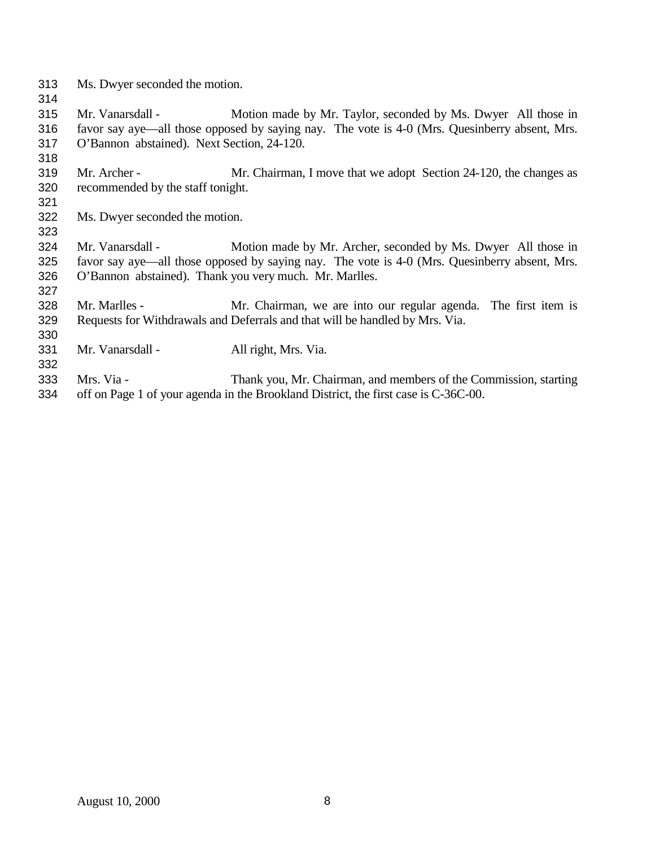- Ms. Dwyer seconded the motion.
- 

- 
- Mr. Vanarsdall Motion made by Mr. Taylor, seconded by Ms. Dwyer All those in favor say aye—all those opposed by saying nay. The vote is 4-0 (Mrs. Quesinberry absent, Mrs. O'Bannon abstained). Next Section, 24-120.
- Mr. Archer Mr. Chairman, I move that we adopt Section 24-120, the changes as recommended by the staff tonight.
- Ms. Dwyer seconded the motion.
- Mr. Vanarsdall Motion made by Mr. Archer, seconded by Ms. Dwyer All those in favor say aye—all those opposed by saying nay. The vote is 4-0 (Mrs. Quesinberry absent, Mrs. O'Bannon abstained). Thank you very much. Mr. Marlles.
- Mr. Marlles Mr. Chairman, we are into our regular agenda. The first item is Requests for Withdrawals and Deferrals and that will be handled by Mrs. Via.
- Mr. Vanarsdall All right, Mrs. Via.
- Mrs. Via Thank you, Mr. Chairman, and members of the Commission, starting off on Page 1 of your agenda in the Brookland District, the first case is C-36C-00.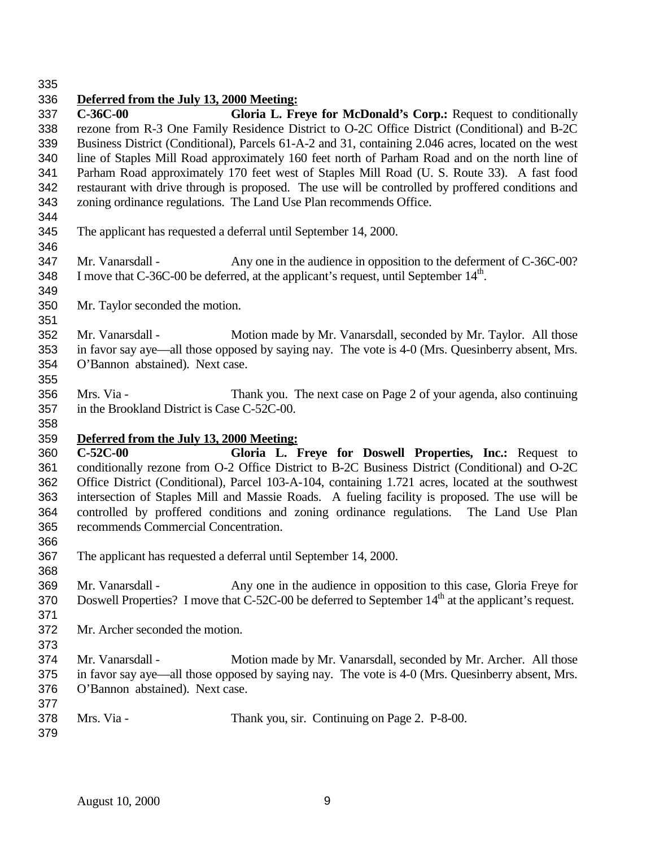## **Deferred from the July 13, 2000 Meeting:**

 **C-36C-00 Gloria L. Freye for McDonald's Corp.:** Request to conditionally rezone from R-3 One Family Residence District to O-2C Office District (Conditional) and B-2C Business District (Conditional), Parcels 61-A-2 and 31, containing 2.046 acres, located on the west line of Staples Mill Road approximately 160 feet north of Parham Road and on the north line of Parham Road approximately 170 feet west of Staples Mill Road (U. S. Route 33). A fast food restaurant with drive through is proposed. The use will be controlled by proffered conditions and zoning ordinance regulations. The Land Use Plan recommends Office.

- The applicant has requested a deferral until September 14, 2000.
- 347 Mr. Vanarsdall Any one in the audience in opposition to the deferment of C-36C-00? 348 I move that C-36C-00 be deferred, at the applicant's request, until September  $14<sup>th</sup>$ .
- Mr. Taylor seconded the motion.
- 

 Mr. Vanarsdall - Motion made by Mr. Vanarsdall, seconded by Mr. Taylor. All those in favor say aye—all those opposed by saying nay. The vote is 4-0 (Mrs. Quesinberry absent, Mrs. O'Bannon abstained). Next case. 

 Mrs. Via - Thank you. The next case on Page 2 of your agenda, also continuing in the Brookland District is Case C-52C-00.

## **Deferred from the July 13, 2000 Meeting:**

 **C-52C-00 Gloria L. Freye for Doswell Properties, Inc.:** Request to conditionally rezone from O-2 Office District to B-2C Business District (Conditional) and O-2C Office District (Conditional), Parcel 103-A-104, containing 1.721 acres, located at the southwest intersection of Staples Mill and Massie Roads. A fueling facility is proposed. The use will be controlled by proffered conditions and zoning ordinance regulations. The Land Use Plan recommends Commercial Concentration.

- The applicant has requested a deferral until September 14, 2000.
- Mr. Vanarsdall Any one in the audience in opposition to this case, Gloria Freye for 370 Doswell Properties? I move that C-52C-00 be deferred to September 14<sup>th</sup> at the applicant's request.
- Mr. Archer seconded the motion.
- 

- 
- Mr. Vanarsdall Motion made by Mr. Vanarsdall, seconded by Mr. Archer. All those in favor say aye—all those opposed by saying nay. The vote is 4-0 (Mrs. Quesinberry absent, Mrs. O'Bannon abstained). Next case.
- Mrs. Via Thank you, sir. Continuing on Page 2. P-8-00.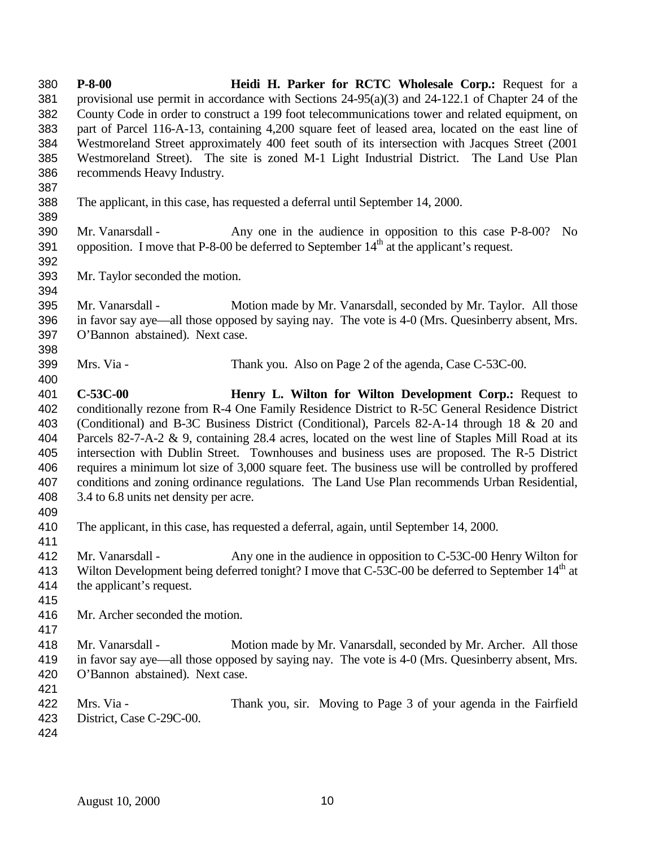**P-8-00 Heidi H. Parker for RCTC Wholesale Corp.:** Request for a provisional use permit in accordance with Sections 24-95(a)(3) and 24-122.1 of Chapter 24 of the County Code in order to construct a 199 foot telecommunications tower and related equipment, on part of Parcel 116-A-13, containing 4,200 square feet of leased area, located on the east line of Westmoreland Street approximately 400 feet south of its intersection with Jacques Street (2001 Westmoreland Street). The site is zoned M-1 Light Industrial District. The Land Use Plan recommends Heavy Industry. The applicant, in this case, has requested a deferral until September 14, 2000. Mr. Vanarsdall - Any one in the audience in opposition to this case P-8-00? No 391 opposition. I move that P-8-00 be deferred to September  $14<sup>th</sup>$  at the applicant's request. Mr. Taylor seconded the motion. Mr. Vanarsdall - Motion made by Mr. Vanarsdall, seconded by Mr. Taylor. All those in favor say aye—all those opposed by saying nay. The vote is 4-0 (Mrs. Quesinberry absent, Mrs. O'Bannon abstained). Next case. Mrs. Via - Thank you. Also on Page 2 of the agenda, Case C-53C-00. **C-53C-00 Henry L. Wilton for Wilton Development Corp.:** Request to conditionally rezone from R-4 One Family Residence District to R-5C General Residence District (Conditional) and B-3C Business District (Conditional), Parcels 82-A-14 through 18 & 20 and Parcels 82-7-A-2 & 9, containing 28.4 acres, located on the west line of Staples Mill Road at its intersection with Dublin Street. Townhouses and business uses are proposed. The R-5 District requires a minimum lot size of 3,000 square feet. The business use will be controlled by proffered conditions and zoning ordinance regulations. The Land Use Plan recommends Urban Residential, 3.4 to 6.8 units net density per acre. The applicant, in this case, has requested a deferral, again, until September 14, 2000. Mr. Vanarsdall - Any one in the audience in opposition to C-53C-00 Henry Wilton for 413 Wilton Development being deferred tonight? I move that C-53C-00 be deferred to September 14<sup>th</sup> at the applicant's request. Mr. Archer seconded the motion. Mr. Vanarsdall - Motion made by Mr. Vanarsdall, seconded by Mr. Archer. All those in favor say aye—all those opposed by saying nay. The vote is 4-0 (Mrs. Quesinberry absent, Mrs. O'Bannon abstained). Next case. Mrs. Via - Thank you, sir. Moving to Page 3 of your agenda in the Fairfield District, Case C-29C-00.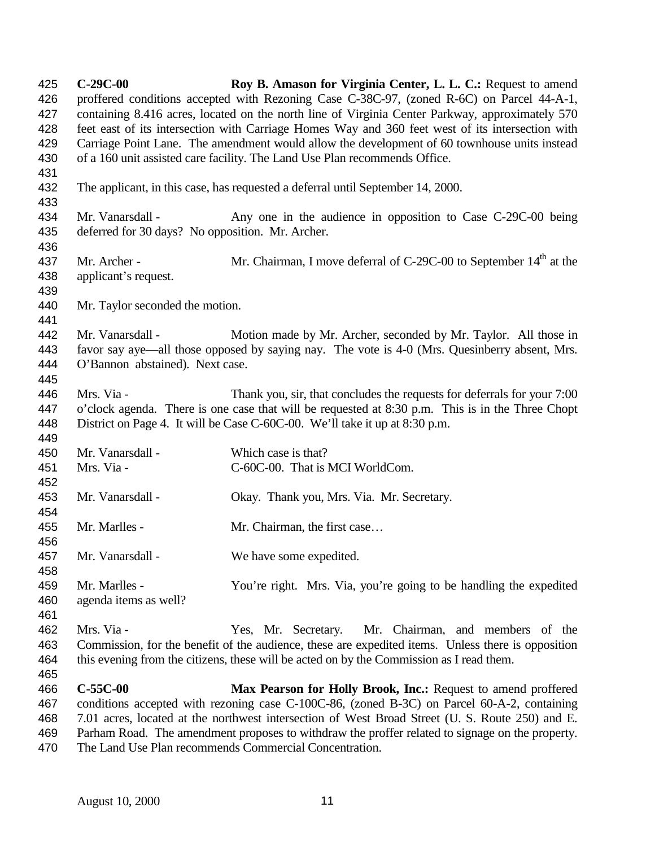**C-29C-00 Roy B. Amason for Virginia Center, L. L. C.:** Request to amend proffered conditions accepted with Rezoning Case C-38C-97, (zoned R-6C) on Parcel 44-A-1, containing 8.416 acres, located on the north line of Virginia Center Parkway, approximately 570 feet east of its intersection with Carriage Homes Way and 360 feet west of its intersection with Carriage Point Lane. The amendment would allow the development of 60 townhouse units instead of a 160 unit assisted care facility. The Land Use Plan recommends Office. The applicant, in this case, has requested a deferral until September 14, 2000. 434 Mr. Vanarsdall - Any one in the audience in opposition to Case C-29C-00 being deferred for 30 days? No opposition. Mr. Archer. 437 Mr. Archer - Mr. Chairman, I move deferral of C-29C-00 to September  $14<sup>th</sup>$  at the applicant's request. Mr. Taylor seconded the motion. Mr. Vanarsdall - Motion made by Mr. Archer, seconded by Mr. Taylor. All those in favor say aye—all those opposed by saying nay. The vote is 4-0 (Mrs. Quesinberry absent, Mrs. O'Bannon abstained). Next case. Mrs. Via - Thank you, sir, that concludes the requests for deferrals for your 7:00 o'clock agenda. There is one case that will be requested at 8:30 p.m. This is in the Three Chopt District on Page 4. It will be Case C-60C-00. We'll take it up at 8:30 p.m. Mr. Vanarsdall - Which case is that? Mrs. Via - C-60C-00. That is MCI WorldCom. Mr. Vanarsdall - Okay. Thank you, Mrs. Via. Mr. Secretary. 455 Mr. Marlles - Mr. Chairman, the first case... Mr. Vanarsdall - We have some expedited. Mr. Marlles - You're right. Mrs. Via, you're going to be handling the expedited agenda items as well? Mrs. Via - Yes, Mr. Secretary. Mr. Chairman, and members of the Commission, for the benefit of the audience, these are expedited items. Unless there is opposition this evening from the citizens, these will be acted on by the Commission as I read them. **C-55C-00 Max Pearson for Holly Brook, Inc.:** Request to amend proffered conditions accepted with rezoning case C-100C-86, (zoned B-3C) on Parcel 60-A-2, containing 7.01 acres, located at the northwest intersection of West Broad Street (U. S. Route 250) and E. Parham Road. The amendment proposes to withdraw the proffer related to signage on the property.

The Land Use Plan recommends Commercial Concentration.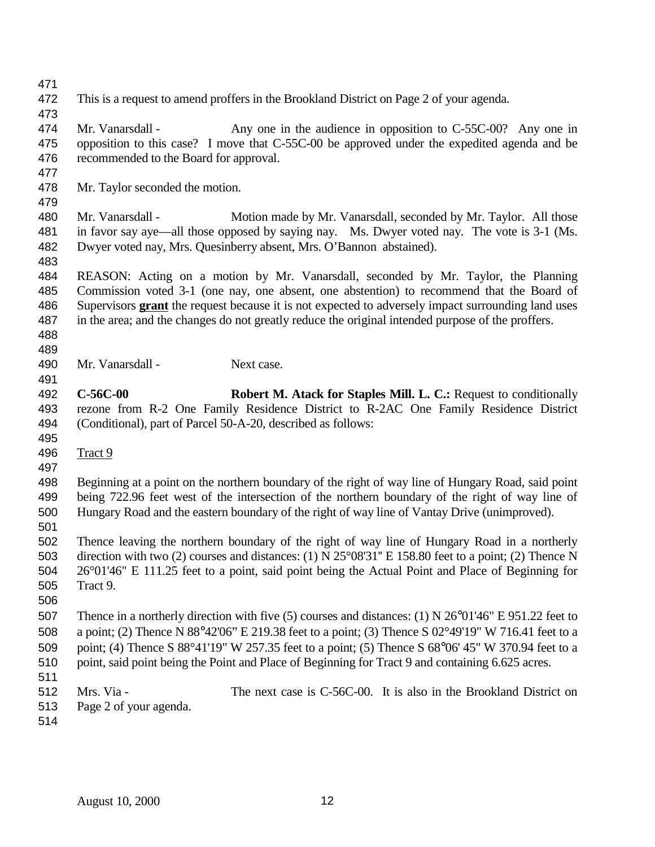This is a request to amend proffers in the Brookland District on Page 2 of your agenda.

 Mr. Vanarsdall - Any one in the audience in opposition to C-55C-00? Any one in opposition to this case? I move that C-55C-00 be approved under the expedited agenda and be recommended to the Board for approval.

Mr. Taylor seconded the motion.

 Mr. Vanarsdall - Motion made by Mr. Vanarsdall, seconded by Mr. Taylor. All those in favor say aye—all those opposed by saying nay. Ms. Dwyer voted nay. The vote is 3-1 (Ms. Dwyer voted nay, Mrs. Quesinberry absent, Mrs. O'Bannon abstained).

 REASON: Acting on a motion by Mr. Vanarsdall, seconded by Mr. Taylor, the Planning Commission voted 3-1 (one nay, one absent, one abstention) to recommend that the Board of Supervisors **grant** the request because it is not expected to adversely impact surrounding land uses in the area; and the changes do not greatly reduce the original intended purpose of the proffers.

 

490 Mr. Vanarsdall - Next case.

 **C-56C-00 Robert M. Atack for Staples Mill. L. C.:** Request to conditionally rezone from R-2 One Family Residence District to R-2AC One Family Residence District (Conditional), part of Parcel 50-A-20, described as follows:

Tract 9

 Beginning at a point on the northern boundary of the right of way line of Hungary Road, said point being 722.96 feet west of the intersection of the northern boundary of the right of way line of Hungary Road and the eastern boundary of the right of way line of Vantay Drive (unimproved).

 Thence leaving the northern boundary of the right of way line of Hungary Road in a northerly direction with two (2) courses and distances: (1) N 25°08'31'' E 158.80 feet to a point; (2) Thence N 26°01'46" E 111.25 feet to a point, said point being the Actual Point and Place of Beginning for Tract 9.

 Thence in a northerly direction with five (5) courses and distances: (1) N 26°01'46" E 951.22 feet to a point; (2) Thence N 88°42'06" E 219.38 feet to a point; (3) Thence S 02°49'19" W 716.41 feet to a point; (4) Thence S 88°41'19" W 257.35 feet to a point; (5) Thence S 68°06' 45" W 370.94 feet to a 510 point, said point being the Point and Place of Beginning for Tract 9 and containing 6.625 acres.

 Mrs. Via - The next case is C-56C-00. It is also in the Brookland District on Page 2 of your agenda.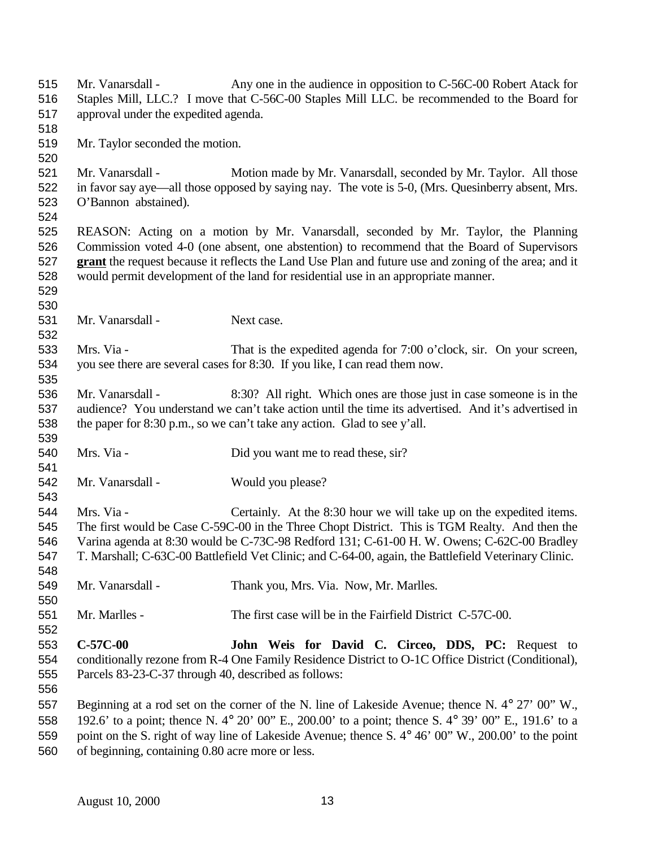- Mr. Vanarsdall Any one in the audience in opposition to C-56C-00 Robert Atack for Staples Mill, LLC.? I move that C-56C-00 Staples Mill LLC. be recommended to the Board for approval under the expedited agenda. Mr. Taylor seconded the motion. Mr. Vanarsdall - Motion made by Mr. Vanarsdall, seconded by Mr. Taylor. All those in favor say aye—all those opposed by saying nay. The vote is 5-0, (Mrs. Quesinberry absent, Mrs. O'Bannon abstained). REASON: Acting on a motion by Mr. Vanarsdall, seconded by Mr. Taylor, the Planning Commission voted 4-0 (one absent, one abstention) to recommend that the Board of Supervisors **grant** the request because it reflects the Land Use Plan and future use and zoning of the area; and it would permit development of the land for residential use in an appropriate manner. Mr. Vanarsdall - Next case. Mrs. Via - That is the expedited agenda for 7:00 o'clock, sir. On your screen, you see there are several cases for 8:30. If you like, I can read them now. Mr. Vanarsdall - 8:30? All right. Which ones are those just in case someone is in the audience? You understand we can't take action until the time its advertised. And it's advertised in the paper for 8:30 p.m., so we can't take any action. Glad to see y'all. 540 Mrs. Via - Did you want me to read these, sir? Mr. Vanarsdall - Would you please? Mrs. Via - Certainly. At the 8:30 hour we will take up on the expedited items. The first would be Case C-59C-00 in the Three Chopt District. This is TGM Realty. And then the Varina agenda at 8:30 would be C-73C-98 Redford 131; C-61-00 H. W. Owens; C-62C-00 Bradley T. Marshall; C-63C-00 Battlefield Vet Clinic; and C-64-00, again, the Battlefield Veterinary Clinic. Mr. Vanarsdall - Thank you, Mrs. Via. Now, Mr. Marlles. Mr. Marlles - The first case will be in the Fairfield District C-57C-00. **C-57C-00 John Weis for David C. Circeo, DDS, PC:** Request to conditionally rezone from R-4 One Family Residence District to O-1C Office District (Conditional), Parcels 83-23-C-37 through 40, described as follows: Beginning at a rod set on the corner of the N. line of Lakeside Avenue; thence N. 4° 27' 00" W., 192.6' to a point; thence N. 4° 20' 00" E., 200.00' to a point; thence S. 4° 39' 00" E., 191.6' to a point on the S. right of way line of Lakeside Avenue; thence S. 4° 46' 00" W., 200.00' to the point
- of beginning, containing 0.80 acre more or less.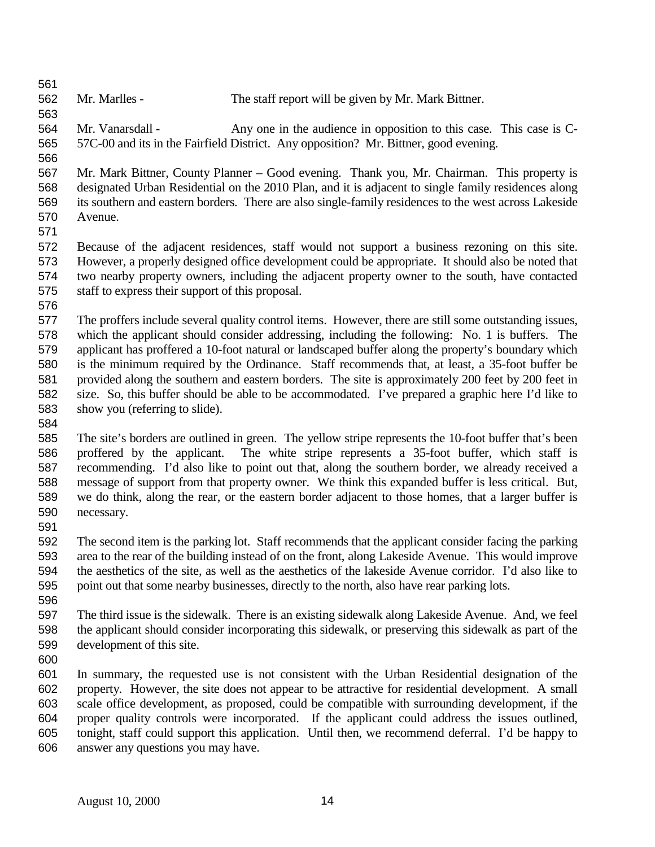Mr. Marlles - The staff report will be given by Mr. Mark Bittner.

 Mr. Vanarsdall - Any one in the audience in opposition to this case. This case is C-57C-00 and its in the Fairfield District. Any opposition? Mr. Bittner, good evening.

 Mr. Mark Bittner, County Planner – Good evening. Thank you, Mr. Chairman. This property is designated Urban Residential on the 2010 Plan, and it is adjacent to single family residences along its southern and eastern borders. There are also single-family residences to the west across Lakeside Avenue.

 Because of the adjacent residences, staff would not support a business rezoning on this site. However, a properly designed office development could be appropriate. It should also be noted that two nearby property owners, including the adjacent property owner to the south, have contacted staff to express their support of this proposal.

 The proffers include several quality control items. However, there are still some outstanding issues, which the applicant should consider addressing, including the following: No. 1 is buffers. The applicant has proffered a 10-foot natural or landscaped buffer along the property's boundary which is the minimum required by the Ordinance. Staff recommends that, at least, a 35-foot buffer be provided along the southern and eastern borders. The site is approximately 200 feet by 200 feet in size. So, this buffer should be able to be accommodated. I've prepared a graphic here I'd like to show you (referring to slide).

 The site's borders are outlined in green. The yellow stripe represents the 10-foot buffer that's been proffered by the applicant. The white stripe represents a 35-foot buffer, which staff is recommending. I'd also like to point out that, along the southern border, we already received a message of support from that property owner. We think this expanded buffer is less critical. But, we do think, along the rear, or the eastern border adjacent to those homes, that a larger buffer is necessary.

 The second item is the parking lot. Staff recommends that the applicant consider facing the parking area to the rear of the building instead of on the front, along Lakeside Avenue. This would improve the aesthetics of the site, as well as the aesthetics of the lakeside Avenue corridor. I'd also like to point out that some nearby businesses, directly to the north, also have rear parking lots. 

 The third issue is the sidewalk. There is an existing sidewalk along Lakeside Avenue. And, we feel the applicant should consider incorporating this sidewalk, or preserving this sidewalk as part of the development of this site.

 In summary, the requested use is not consistent with the Urban Residential designation of the property. However, the site does not appear to be attractive for residential development. A small scale office development, as proposed, could be compatible with surrounding development, if the proper quality controls were incorporated. If the applicant could address the issues outlined, tonight, staff could support this application. Until then, we recommend deferral. I'd be happy to answer any questions you may have.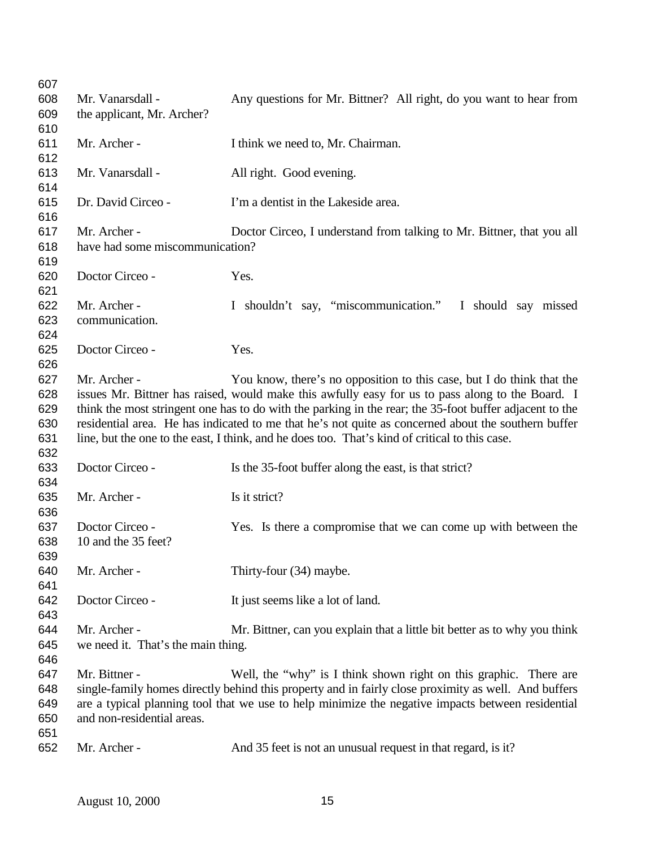| 607        |                                    |                                                                                                         |
|------------|------------------------------------|---------------------------------------------------------------------------------------------------------|
| 608        | Mr. Vanarsdall -                   | Any questions for Mr. Bittner? All right, do you want to hear from                                      |
| 609        | the applicant, Mr. Archer?         |                                                                                                         |
| 610        |                                    |                                                                                                         |
| 611        | Mr. Archer -                       | I think we need to, Mr. Chairman.                                                                       |
| 612        |                                    |                                                                                                         |
| 613        | Mr. Vanarsdall -                   | All right. Good evening.                                                                                |
| 614        |                                    |                                                                                                         |
| 615        | Dr. David Circeo -                 | I'm a dentist in the Lakeside area.                                                                     |
| 616        |                                    |                                                                                                         |
| 617        | Mr. Archer -                       | Doctor Circeo, I understand from talking to Mr. Bittner, that you all                                   |
| 618        | have had some miscommunication?    |                                                                                                         |
| 619        |                                    |                                                                                                         |
| 620        | Doctor Circeo -                    | Yes.                                                                                                    |
| 621        |                                    |                                                                                                         |
| 622        | Mr. Archer -                       | I shouldn't say, "miscommunication."<br>I should say missed                                             |
| 623        | communication.                     |                                                                                                         |
| 624        |                                    |                                                                                                         |
| 625        | Doctor Circeo -                    | Yes.                                                                                                    |
| 626        |                                    |                                                                                                         |
| 627        | Mr. Archer -                       | You know, there's no opposition to this case, but I do think that the                                   |
| 628        |                                    | issues Mr. Bittner has raised, would make this awfully easy for us to pass along to the Board. I        |
| 629        |                                    | think the most stringent one has to do with the parking in the rear; the 35-foot buffer adjacent to the |
| 630        |                                    | residential area. He has indicated to me that he's not quite as concerned about the southern buffer     |
| 631        |                                    | line, but the one to the east, I think, and he does too. That's kind of critical to this case.          |
| 632        |                                    |                                                                                                         |
| 633        | Doctor Circeo -                    | Is the 35-foot buffer along the east, is that strict?                                                   |
| 634        |                                    |                                                                                                         |
| 635        | Mr. Archer -                       | Is it strict?                                                                                           |
| 636        |                                    |                                                                                                         |
| 637        | Doctor Circeo -                    | Yes. Is there a compromise that we can come up with between the                                         |
| 638        | 10 and the 35 feet?                |                                                                                                         |
| 639        |                                    |                                                                                                         |
| 640        | Mr. Archer -                       | Thirty-four (34) maybe.                                                                                 |
| 641        |                                    |                                                                                                         |
| 642        | Doctor Circeo -                    | It just seems like a lot of land.                                                                       |
| 643        |                                    |                                                                                                         |
| 644        | Mr. Archer -                       | Mr. Bittner, can you explain that a little bit better as to why you think                               |
| 645        | we need it. That's the main thing. |                                                                                                         |
| 646        |                                    |                                                                                                         |
|            |                                    |                                                                                                         |
|            |                                    |                                                                                                         |
| 647        | Mr. Bittner -                      | Well, the "why" is I think shown right on this graphic. There are                                       |
| 648        |                                    | single-family homes directly behind this property and in fairly close proximity as well. And buffers    |
| 649        |                                    | are a typical planning tool that we use to help minimize the negative impacts between residential       |
| 650        | and non-residential areas.         |                                                                                                         |
| 651<br>652 | Mr. Archer -                       | And 35 feet is not an unusual request in that regard, is it?                                            |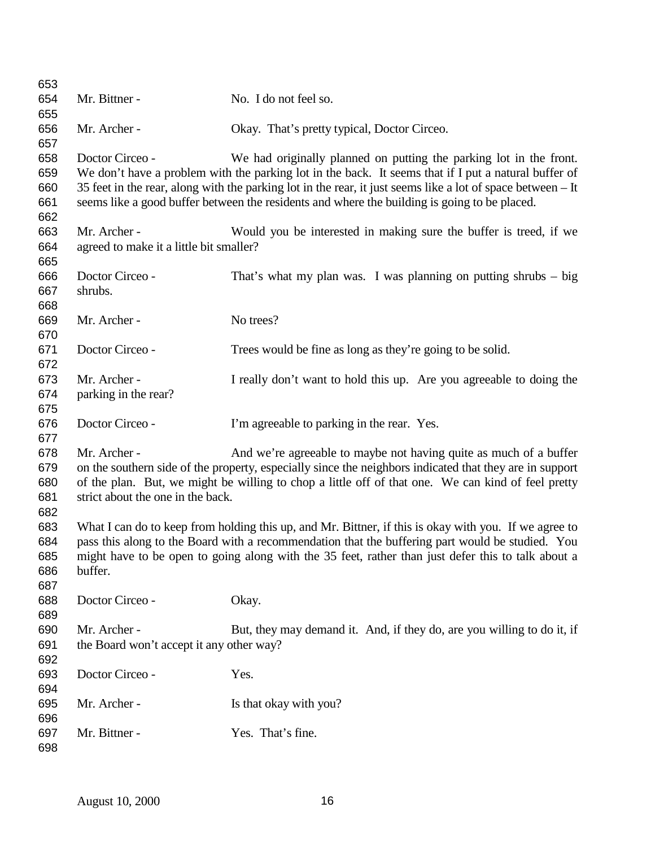| 653 |                                          |                                                                                                             |
|-----|------------------------------------------|-------------------------------------------------------------------------------------------------------------|
| 654 | Mr. Bittner -                            | No. I do not feel so.                                                                                       |
| 655 |                                          |                                                                                                             |
| 656 | Mr. Archer -                             | Okay. That's pretty typical, Doctor Circeo.                                                                 |
| 657 |                                          |                                                                                                             |
| 658 | Doctor Circeo -                          | We had originally planned on putting the parking lot in the front.                                          |
| 659 |                                          | We don't have a problem with the parking lot in the back. It seems that if I put a natural buffer of        |
| 660 |                                          | 35 feet in the rear, along with the parking lot in the rear, it just seems like a lot of space between – It |
| 661 |                                          | seems like a good buffer between the residents and where the building is going to be placed.                |
| 662 |                                          |                                                                                                             |
| 663 | Mr. Archer -                             | Would you be interested in making sure the buffer is treed, if we                                           |
| 664 | agreed to make it a little bit smaller?  |                                                                                                             |
| 665 |                                          |                                                                                                             |
| 666 | Doctor Circeo -                          | That's what my plan was. I was planning on putting shrubs $-$ big                                           |
| 667 | shrubs.                                  |                                                                                                             |
| 668 |                                          |                                                                                                             |
| 669 | Mr. Archer -                             | No trees?                                                                                                   |
| 670 |                                          |                                                                                                             |
| 671 | Doctor Circeo -                          | Trees would be fine as long as they're going to be solid.                                                   |
| 672 |                                          |                                                                                                             |
| 673 | Mr. Archer -                             | I really don't want to hold this up. Are you agreeable to doing the                                         |
| 674 | parking in the rear?                     |                                                                                                             |
| 675 |                                          |                                                                                                             |
| 676 | Doctor Circeo -                          | I'm agreeable to parking in the rear. Yes.                                                                  |
| 677 |                                          |                                                                                                             |
| 678 | Mr. Archer -                             | And we're agreeable to maybe not having quite as much of a buffer                                           |
| 679 |                                          | on the southern side of the property, especially since the neighbors indicated that they are in support     |
| 680 |                                          | of the plan. But, we might be willing to chop a little off of that one. We can kind of feel pretty          |
| 681 | strict about the one in the back.        |                                                                                                             |
| 682 |                                          |                                                                                                             |
| 683 |                                          | What I can do to keep from holding this up, and Mr. Bittner, if this is okay with you. If we agree to       |
| 684 |                                          | pass this along to the Board with a recommendation that the buffering part would be studied. You            |
| 685 |                                          | might have to be open to going along with the 35 feet, rather than just defer this to talk about a          |
| 686 | buffer.                                  |                                                                                                             |
| 687 |                                          |                                                                                                             |
| 688 | Doctor Circeo -                          | Okay.                                                                                                       |
| 689 |                                          |                                                                                                             |
| 690 | Mr. Archer -                             | But, they may demand it. And, if they do, are you willing to do it, if                                      |
| 691 | the Board won't accept it any other way? |                                                                                                             |
| 692 |                                          |                                                                                                             |
| 693 | Doctor Circeo -                          | Yes.                                                                                                        |
| 694 |                                          |                                                                                                             |
| 695 | Mr. Archer -                             | Is that okay with you?                                                                                      |
| 696 |                                          |                                                                                                             |
| 697 | Mr. Bittner -                            | Yes. That's fine.                                                                                           |
| 698 |                                          |                                                                                                             |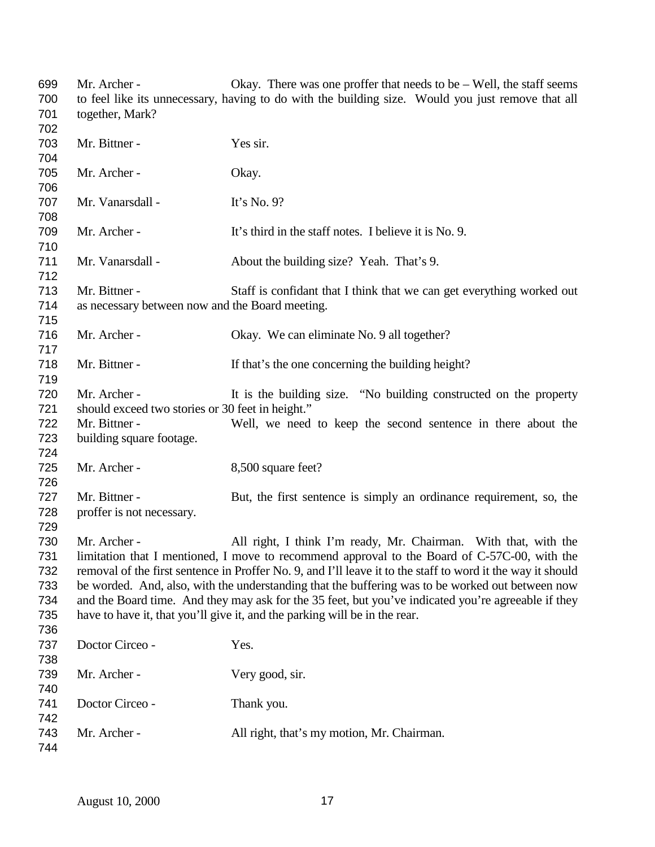| 699 | Mr. Archer -                                                                                                | Okay. There was one proffer that needs to be $-$ Well, the staff seems                            |
|-----|-------------------------------------------------------------------------------------------------------------|---------------------------------------------------------------------------------------------------|
| 700 |                                                                                                             | to feel like its unnecessary, having to do with the building size. Would you just remove that all |
| 701 | together, Mark?                                                                                             |                                                                                                   |
| 702 |                                                                                                             |                                                                                                   |
| 703 | Mr. Bittner -                                                                                               | Yes sir.                                                                                          |
| 704 |                                                                                                             |                                                                                                   |
| 705 | Mr. Archer -                                                                                                | Okay.                                                                                             |
| 706 |                                                                                                             |                                                                                                   |
| 707 | Mr. Vanarsdall -                                                                                            | It's No. $9$ ?                                                                                    |
| 708 |                                                                                                             |                                                                                                   |
| 709 | Mr. Archer -                                                                                                | It's third in the staff notes. I believe it is No. 9.                                             |
| 710 |                                                                                                             |                                                                                                   |
| 711 | Mr. Vanarsdall -                                                                                            |                                                                                                   |
|     |                                                                                                             | About the building size? Yeah. That's 9.                                                          |
| 712 |                                                                                                             |                                                                                                   |
| 713 | Mr. Bittner -                                                                                               | Staff is confidant that I think that we can get everything worked out                             |
| 714 | as necessary between now and the Board meeting.                                                             |                                                                                                   |
| 715 |                                                                                                             |                                                                                                   |
| 716 | Mr. Archer -                                                                                                | Okay. We can eliminate No. 9 all together?                                                        |
| 717 |                                                                                                             |                                                                                                   |
| 718 | Mr. Bittner -                                                                                               | If that's the one concerning the building height?                                                 |
| 719 |                                                                                                             |                                                                                                   |
| 720 | Mr. Archer -                                                                                                | It is the building size. "No building constructed on the property                                 |
| 721 | should exceed two stories or 30 feet in height."                                                            |                                                                                                   |
| 722 | Mr. Bittner -                                                                                               | Well, we need to keep the second sentence in there about the                                      |
| 723 | building square footage.                                                                                    |                                                                                                   |
| 724 |                                                                                                             |                                                                                                   |
| 725 | Mr. Archer -                                                                                                | 8,500 square feet?                                                                                |
| 726 |                                                                                                             |                                                                                                   |
| 727 | Mr. Bittner -                                                                                               | But, the first sentence is simply an ordinance requirement, so, the                               |
| 728 | proffer is not necessary.                                                                                   |                                                                                                   |
| 729 |                                                                                                             |                                                                                                   |
| 730 | Mr. Archer -                                                                                                | All right, I think I'm ready, Mr. Chairman. With that, with the                                   |
| 731 |                                                                                                             | limitation that I mentioned, I move to recommend approval to the Board of C-57C-00, with the      |
| 732 | removal of the first sentence in Proffer No. 9, and I'll leave it to the staff to word it the way it should |                                                                                                   |
| 733 | be worded. And, also, with the understanding that the buffering was to be worked out between now            |                                                                                                   |
| 734 | and the Board time. And they may ask for the 35 feet, but you've indicated you're agreeable if they         |                                                                                                   |
| 735 |                                                                                                             | have to have it, that you'll give it, and the parking will be in the rear.                        |
| 736 |                                                                                                             |                                                                                                   |
| 737 | Doctor Circeo -                                                                                             | Yes.                                                                                              |
| 738 |                                                                                                             |                                                                                                   |
| 739 | Mr. Archer -                                                                                                | Very good, sir.                                                                                   |
| 740 |                                                                                                             |                                                                                                   |
| 741 | Doctor Circeo -                                                                                             | Thank you.                                                                                        |
| 742 |                                                                                                             |                                                                                                   |
| 743 | Mr. Archer -                                                                                                | All right, that's my motion, Mr. Chairman.                                                        |
| 744 |                                                                                                             |                                                                                                   |
|     |                                                                                                             |                                                                                                   |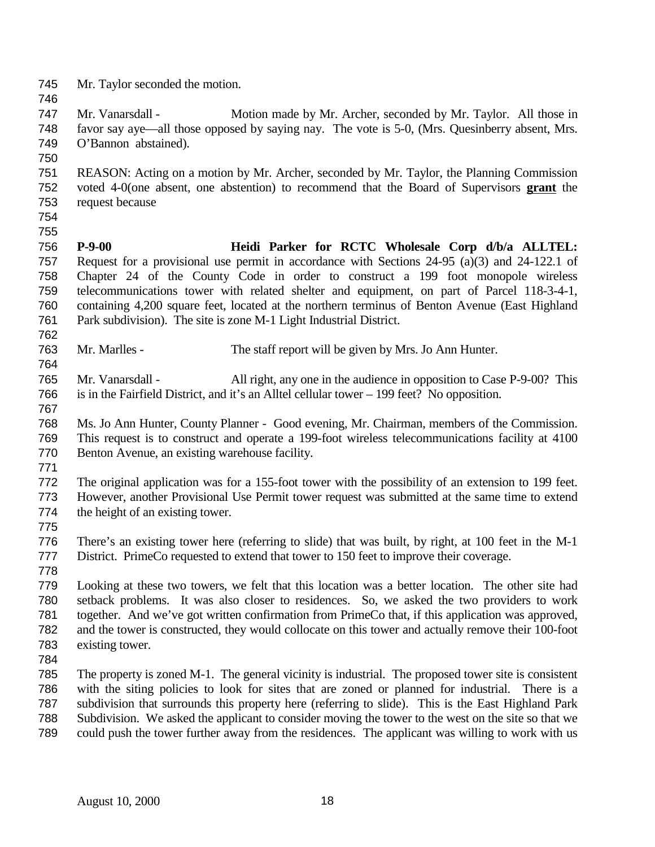Mr. Taylor seconded the motion. Mr. Vanarsdall - Motion made by Mr. Archer, seconded by Mr. Taylor. All those in favor say aye—all those opposed by saying nay. The vote is 5-0, (Mrs. Quesinberry absent, Mrs. O'Bannon abstained). REASON: Acting on a motion by Mr. Archer, seconded by Mr. Taylor, the Planning Commission voted 4-0(one absent, one abstention) to recommend that the Board of Supervisors **grant** the request because **P-9-00 Heidi Parker for RCTC Wholesale Corp d/b/a ALLTEL:** Request for a provisional use permit in accordance with Sections 24-95 (a)(3) and 24-122.1 of Chapter 24 of the County Code in order to construct a 199 foot monopole wireless telecommunications tower with related shelter and equipment, on part of Parcel 118-3-4-1, containing 4,200 square feet, located at the northern terminus of Benton Avenue (East Highland Park subdivision). The site is zone M-1 Light Industrial District. Mr. Marlles - The staff report will be given by Mrs. Jo Ann Hunter. Mr. Vanarsdall - All right, any one in the audience in opposition to Case P-9-00? This is in the Fairfield District, and it's an Alltel cellular tower – 199 feet? No opposition. Ms. Jo Ann Hunter, County Planner - Good evening, Mr. Chairman, members of the Commission. This request is to construct and operate a 199-foot wireless telecommunications facility at 4100 Benton Avenue, an existing warehouse facility. The original application was for a 155-foot tower with the possibility of an extension to 199 feet. However, another Provisional Use Permit tower request was submitted at the same time to extend the height of an existing tower. There's an existing tower here (referring to slide) that was built, by right, at 100 feet in the M-1 District. PrimeCo requested to extend that tower to 150 feet to improve their coverage. Looking at these two towers, we felt that this location was a better location. The other site had setback problems. It was also closer to residences. So, we asked the two providers to work together. And we've got written confirmation from PrimeCo that, if this application was approved, and the tower is constructed, they would collocate on this tower and actually remove their 100-foot existing tower. The property is zoned M-1. The general vicinity is industrial. The proposed tower site is consistent with the siting policies to look for sites that are zoned or planned for industrial. There is a subdivision that surrounds this property here (referring to slide). This is the East Highland Park Subdivision. We asked the applicant to consider moving the tower to the west on the site so that we could push the tower further away from the residences. The applicant was willing to work with us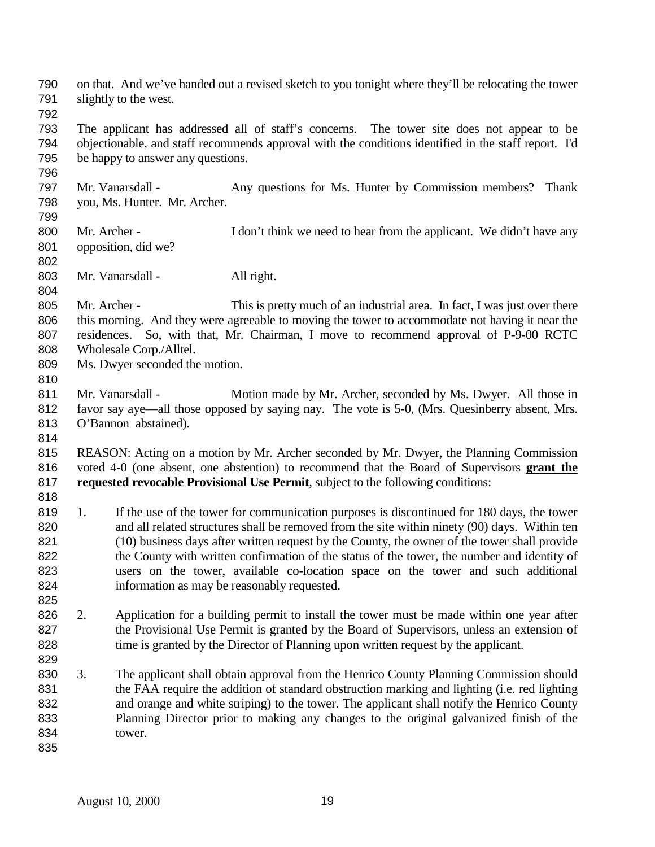on that. And we've handed out a revised sketch to you tonight where they'll be relocating the tower slightly to the west. The applicant has addressed all of staff's concerns. The tower site does not appear to be objectionable, and staff recommends approval with the conditions identified in the staff report. I'd be happy to answer any questions. Mr. Vanarsdall - Any questions for Ms. Hunter by Commission members? Thank you, Ms. Hunter. Mr. Archer. 800 Mr. Archer - I don't think we need to hear from the applicant. We didn't have any opposition, did we? 803 Mr. Vanarsdall - All right. 805 Mr. Archer - This is pretty much of an industrial area. In fact, I was just over there this morning. And they were agreeable to moving the tower to accommodate not having it near the residences. So, with that, Mr. Chairman, I move to recommend approval of P-9-00 RCTC Wholesale Corp./Alltel. Ms. Dwyer seconded the motion. 811 Mr. Vanarsdall - Motion made by Mr. Archer, seconded by Ms. Dwyer. All those in favor say aye—all those opposed by saying nay. The vote is 5-0, (Mrs. Quesinberry absent, Mrs. O'Bannon abstained). REASON: Acting on a motion by Mr. Archer seconded by Mr. Dwyer, the Planning Commission voted 4-0 (one absent, one abstention) to recommend that the Board of Supervisors **grant the requested revocable Provisional Use Permit**, subject to the following conditions: 819 1. If the use of the tower for communication purposes is discontinued for 180 days, the tower and all related structures shall be removed from the site within ninety (90) days. Within ten (10) business days after written request by the County, the owner of the tower shall provide 822 the County with written confirmation of the status of the tower, the number and identity of users on the tower, available co-location space on the tower and such additional information as may be reasonably requested. 2. Application for a building permit to install the tower must be made within one year after 827 the Provisional Use Permit is granted by the Board of Supervisors, unless an extension of 828 time is granted by the Director of Planning upon written request by the applicant. 3. The applicant shall obtain approval from the Henrico County Planning Commission should the FAA require the addition of standard obstruction marking and lighting (i.e. red lighting and orange and white striping) to the tower. The applicant shall notify the Henrico County Planning Director prior to making any changes to the original galvanized finish of the tower.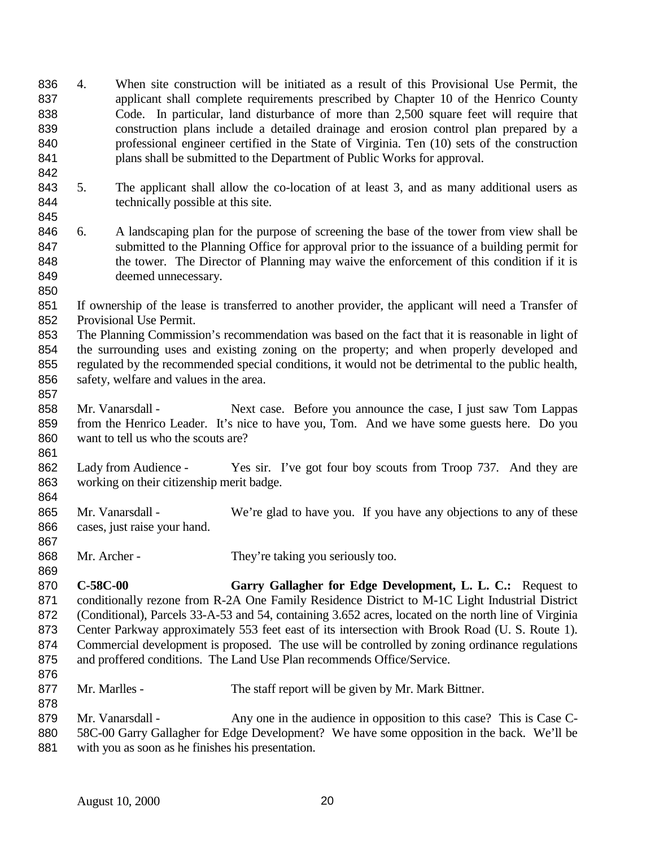- 4. When site construction will be initiated as a result of this Provisional Use Permit, the applicant shall complete requirements prescribed by Chapter 10 of the Henrico County Code. In particular, land disturbance of more than 2,500 square feet will require that construction plans include a detailed drainage and erosion control plan prepared by a professional engineer certified in the State of Virginia. Ten (10) sets of the construction plans shall be submitted to the Department of Public Works for approval.
- 5. The applicant shall allow the co-location of at least 3, and as many additional users as 844 technically possible at this site.
- 6. A landscaping plan for the purpose of screening the base of the tower from view shall be submitted to the Planning Office for approval prior to the issuance of a building permit for 848 the tower. The Director of Planning may waive the enforcement of this condition if it is deemed unnecessary.
- If ownership of the lease is transferred to another provider, the applicant will need a Transfer of Provisional Use Permit.
- The Planning Commission's recommendation was based on the fact that it is reasonable in light of the surrounding uses and existing zoning on the property; and when properly developed and regulated by the recommended special conditions, it would not be detrimental to the public health, safety, welfare and values in the area.
- Mr. Vanarsdall Next case. Before you announce the case, I just saw Tom Lappas from the Henrico Leader. It's nice to have you, Tom. And we have some guests here. Do you want to tell us who the scouts are?
- 862 Lady from Audience Yes sir. I've got four boy scouts from Troop 737. And they are working on their citizenship merit badge.
- 865 Mr. Vanarsdall We're glad to have you. If you have any objections to any of these cases, just raise your hand.
- 868 Mr. Archer They're taking you seriously too.
- **C-58C-00 Garry Gallagher for Edge Development, L. L. C.:** Request to 871 conditionally rezone from R-2A One Family Residence District to M-1C Light Industrial District (Conditional), Parcels 33-A-53 and 54, containing 3.652 acres, located on the north line of Virginia Center Parkway approximately 553 feet east of its intersection with Brook Road (U. S. Route 1). Commercial development is proposed. The use will be controlled by zoning ordinance regulations and proffered conditions. The Land Use Plan recommends Office/Service.
- 877 Mr. Marlles The staff report will be given by Mr. Mark Bittner.
- 879 Mr. Vanarsdall - Any one in the audience in opposition to this case? This is Case C- 58C-00 Garry Gallagher for Edge Development? We have some opposition in the back. We'll be with you as soon as he finishes his presentation.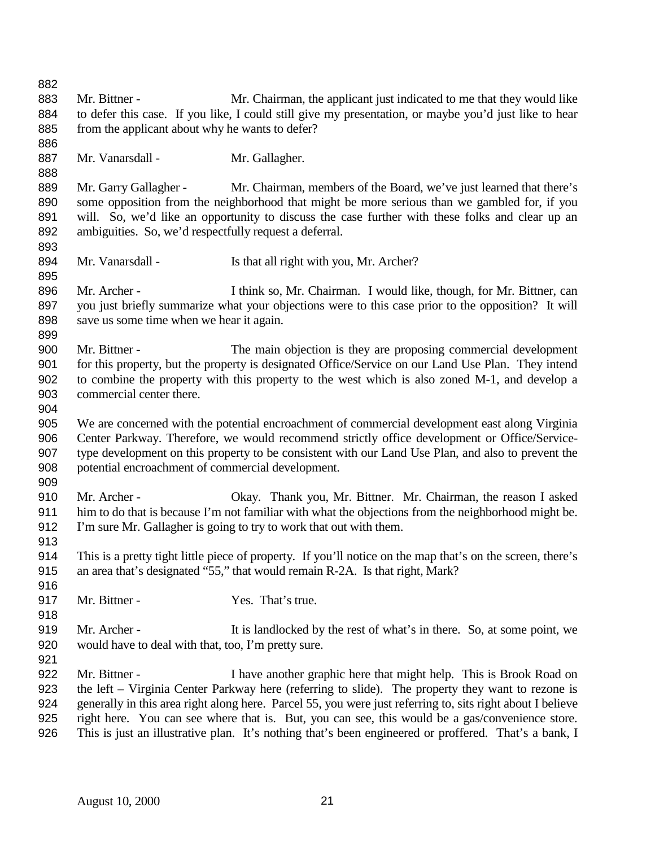| 883<br>Mr. Bittner -<br>Mr. Chairman, the applicant just indicated to me that they would like<br>to defer this case. If you like, I could still give my presentation, or maybe you'd just like to hear<br>884<br>from the applicant about why he wants to defer?<br>885<br>886<br>887<br>Mr. Vanarsdall -<br>Mr. Gallagher.<br>888<br>889<br>Mr. Garry Gallagher -<br>Mr. Chairman, members of the Board, we've just learned that there's<br>890<br>some opposition from the neighborhood that might be more serious than we gambled for, if you<br>891<br>will. So, we'd like an opportunity to discuss the case further with these folks and clear up an<br>892<br>ambiguities. So, we'd respectfully request a deferral.<br>893<br>894<br>Mr. Vanarsdall -<br>Is that all right with you, Mr. Archer?<br>895<br>896<br>Mr. Archer -<br>I think so, Mr. Chairman. I would like, though, for Mr. Bittner, can<br>897<br>you just briefly summarize what your objections were to this case prior to the opposition? It will<br>898<br>save us some time when we hear it again.<br>899<br>900<br>Mr. Bittner -<br>The main objection is they are proposing commercial development<br>for this property, but the property is designated Office/Service on our Land Use Plan. They intend<br>901<br>902<br>to combine the property with this property to the west which is also zoned M-1, and develop a<br>903<br>commercial center there.<br>904<br>We are concerned with the potential encroachment of commercial development east along Virginia<br>905<br>906<br>Center Parkway. Therefore, we would recommend strictly office development or Office/Service-<br>type development on this property to be consistent with our Land Use Plan, and also to prevent the<br>907<br>908<br>potential encroachment of commercial development.<br>909<br>910<br>Mr. Archer -<br>Okay. Thank you, Mr. Bittner. Mr. Chairman, the reason I asked<br>him to do that is because I'm not familiar with what the objections from the neighborhood might be.<br>911<br>912<br>I'm sure Mr. Gallagher is going to try to work that out with them. |
|-------------------------------------------------------------------------------------------------------------------------------------------------------------------------------------------------------------------------------------------------------------------------------------------------------------------------------------------------------------------------------------------------------------------------------------------------------------------------------------------------------------------------------------------------------------------------------------------------------------------------------------------------------------------------------------------------------------------------------------------------------------------------------------------------------------------------------------------------------------------------------------------------------------------------------------------------------------------------------------------------------------------------------------------------------------------------------------------------------------------------------------------------------------------------------------------------------------------------------------------------------------------------------------------------------------------------------------------------------------------------------------------------------------------------------------------------------------------------------------------------------------------------------------------------------------------------------------------------------------------------------------------------------------------------------------------------------------------------------------------------------------------------------------------------------------------------------------------------------------------------------------------------------------------------------------------------------------------------------------------------------------------------------------------------------------------------------------------------------------------------------------|
|                                                                                                                                                                                                                                                                                                                                                                                                                                                                                                                                                                                                                                                                                                                                                                                                                                                                                                                                                                                                                                                                                                                                                                                                                                                                                                                                                                                                                                                                                                                                                                                                                                                                                                                                                                                                                                                                                                                                                                                                                                                                                                                                     |
|                                                                                                                                                                                                                                                                                                                                                                                                                                                                                                                                                                                                                                                                                                                                                                                                                                                                                                                                                                                                                                                                                                                                                                                                                                                                                                                                                                                                                                                                                                                                                                                                                                                                                                                                                                                                                                                                                                                                                                                                                                                                                                                                     |
|                                                                                                                                                                                                                                                                                                                                                                                                                                                                                                                                                                                                                                                                                                                                                                                                                                                                                                                                                                                                                                                                                                                                                                                                                                                                                                                                                                                                                                                                                                                                                                                                                                                                                                                                                                                                                                                                                                                                                                                                                                                                                                                                     |
|                                                                                                                                                                                                                                                                                                                                                                                                                                                                                                                                                                                                                                                                                                                                                                                                                                                                                                                                                                                                                                                                                                                                                                                                                                                                                                                                                                                                                                                                                                                                                                                                                                                                                                                                                                                                                                                                                                                                                                                                                                                                                                                                     |
|                                                                                                                                                                                                                                                                                                                                                                                                                                                                                                                                                                                                                                                                                                                                                                                                                                                                                                                                                                                                                                                                                                                                                                                                                                                                                                                                                                                                                                                                                                                                                                                                                                                                                                                                                                                                                                                                                                                                                                                                                                                                                                                                     |
|                                                                                                                                                                                                                                                                                                                                                                                                                                                                                                                                                                                                                                                                                                                                                                                                                                                                                                                                                                                                                                                                                                                                                                                                                                                                                                                                                                                                                                                                                                                                                                                                                                                                                                                                                                                                                                                                                                                                                                                                                                                                                                                                     |
|                                                                                                                                                                                                                                                                                                                                                                                                                                                                                                                                                                                                                                                                                                                                                                                                                                                                                                                                                                                                                                                                                                                                                                                                                                                                                                                                                                                                                                                                                                                                                                                                                                                                                                                                                                                                                                                                                                                                                                                                                                                                                                                                     |
|                                                                                                                                                                                                                                                                                                                                                                                                                                                                                                                                                                                                                                                                                                                                                                                                                                                                                                                                                                                                                                                                                                                                                                                                                                                                                                                                                                                                                                                                                                                                                                                                                                                                                                                                                                                                                                                                                                                                                                                                                                                                                                                                     |
|                                                                                                                                                                                                                                                                                                                                                                                                                                                                                                                                                                                                                                                                                                                                                                                                                                                                                                                                                                                                                                                                                                                                                                                                                                                                                                                                                                                                                                                                                                                                                                                                                                                                                                                                                                                                                                                                                                                                                                                                                                                                                                                                     |
|                                                                                                                                                                                                                                                                                                                                                                                                                                                                                                                                                                                                                                                                                                                                                                                                                                                                                                                                                                                                                                                                                                                                                                                                                                                                                                                                                                                                                                                                                                                                                                                                                                                                                                                                                                                                                                                                                                                                                                                                                                                                                                                                     |
|                                                                                                                                                                                                                                                                                                                                                                                                                                                                                                                                                                                                                                                                                                                                                                                                                                                                                                                                                                                                                                                                                                                                                                                                                                                                                                                                                                                                                                                                                                                                                                                                                                                                                                                                                                                                                                                                                                                                                                                                                                                                                                                                     |
|                                                                                                                                                                                                                                                                                                                                                                                                                                                                                                                                                                                                                                                                                                                                                                                                                                                                                                                                                                                                                                                                                                                                                                                                                                                                                                                                                                                                                                                                                                                                                                                                                                                                                                                                                                                                                                                                                                                                                                                                                                                                                                                                     |
|                                                                                                                                                                                                                                                                                                                                                                                                                                                                                                                                                                                                                                                                                                                                                                                                                                                                                                                                                                                                                                                                                                                                                                                                                                                                                                                                                                                                                                                                                                                                                                                                                                                                                                                                                                                                                                                                                                                                                                                                                                                                                                                                     |
|                                                                                                                                                                                                                                                                                                                                                                                                                                                                                                                                                                                                                                                                                                                                                                                                                                                                                                                                                                                                                                                                                                                                                                                                                                                                                                                                                                                                                                                                                                                                                                                                                                                                                                                                                                                                                                                                                                                                                                                                                                                                                                                                     |
|                                                                                                                                                                                                                                                                                                                                                                                                                                                                                                                                                                                                                                                                                                                                                                                                                                                                                                                                                                                                                                                                                                                                                                                                                                                                                                                                                                                                                                                                                                                                                                                                                                                                                                                                                                                                                                                                                                                                                                                                                                                                                                                                     |
|                                                                                                                                                                                                                                                                                                                                                                                                                                                                                                                                                                                                                                                                                                                                                                                                                                                                                                                                                                                                                                                                                                                                                                                                                                                                                                                                                                                                                                                                                                                                                                                                                                                                                                                                                                                                                                                                                                                                                                                                                                                                                                                                     |
|                                                                                                                                                                                                                                                                                                                                                                                                                                                                                                                                                                                                                                                                                                                                                                                                                                                                                                                                                                                                                                                                                                                                                                                                                                                                                                                                                                                                                                                                                                                                                                                                                                                                                                                                                                                                                                                                                                                                                                                                                                                                                                                                     |
|                                                                                                                                                                                                                                                                                                                                                                                                                                                                                                                                                                                                                                                                                                                                                                                                                                                                                                                                                                                                                                                                                                                                                                                                                                                                                                                                                                                                                                                                                                                                                                                                                                                                                                                                                                                                                                                                                                                                                                                                                                                                                                                                     |
|                                                                                                                                                                                                                                                                                                                                                                                                                                                                                                                                                                                                                                                                                                                                                                                                                                                                                                                                                                                                                                                                                                                                                                                                                                                                                                                                                                                                                                                                                                                                                                                                                                                                                                                                                                                                                                                                                                                                                                                                                                                                                                                                     |
|                                                                                                                                                                                                                                                                                                                                                                                                                                                                                                                                                                                                                                                                                                                                                                                                                                                                                                                                                                                                                                                                                                                                                                                                                                                                                                                                                                                                                                                                                                                                                                                                                                                                                                                                                                                                                                                                                                                                                                                                                                                                                                                                     |
|                                                                                                                                                                                                                                                                                                                                                                                                                                                                                                                                                                                                                                                                                                                                                                                                                                                                                                                                                                                                                                                                                                                                                                                                                                                                                                                                                                                                                                                                                                                                                                                                                                                                                                                                                                                                                                                                                                                                                                                                                                                                                                                                     |
|                                                                                                                                                                                                                                                                                                                                                                                                                                                                                                                                                                                                                                                                                                                                                                                                                                                                                                                                                                                                                                                                                                                                                                                                                                                                                                                                                                                                                                                                                                                                                                                                                                                                                                                                                                                                                                                                                                                                                                                                                                                                                                                                     |
|                                                                                                                                                                                                                                                                                                                                                                                                                                                                                                                                                                                                                                                                                                                                                                                                                                                                                                                                                                                                                                                                                                                                                                                                                                                                                                                                                                                                                                                                                                                                                                                                                                                                                                                                                                                                                                                                                                                                                                                                                                                                                                                                     |
|                                                                                                                                                                                                                                                                                                                                                                                                                                                                                                                                                                                                                                                                                                                                                                                                                                                                                                                                                                                                                                                                                                                                                                                                                                                                                                                                                                                                                                                                                                                                                                                                                                                                                                                                                                                                                                                                                                                                                                                                                                                                                                                                     |
|                                                                                                                                                                                                                                                                                                                                                                                                                                                                                                                                                                                                                                                                                                                                                                                                                                                                                                                                                                                                                                                                                                                                                                                                                                                                                                                                                                                                                                                                                                                                                                                                                                                                                                                                                                                                                                                                                                                                                                                                                                                                                                                                     |
|                                                                                                                                                                                                                                                                                                                                                                                                                                                                                                                                                                                                                                                                                                                                                                                                                                                                                                                                                                                                                                                                                                                                                                                                                                                                                                                                                                                                                                                                                                                                                                                                                                                                                                                                                                                                                                                                                                                                                                                                                                                                                                                                     |
|                                                                                                                                                                                                                                                                                                                                                                                                                                                                                                                                                                                                                                                                                                                                                                                                                                                                                                                                                                                                                                                                                                                                                                                                                                                                                                                                                                                                                                                                                                                                                                                                                                                                                                                                                                                                                                                                                                                                                                                                                                                                                                                                     |
|                                                                                                                                                                                                                                                                                                                                                                                                                                                                                                                                                                                                                                                                                                                                                                                                                                                                                                                                                                                                                                                                                                                                                                                                                                                                                                                                                                                                                                                                                                                                                                                                                                                                                                                                                                                                                                                                                                                                                                                                                                                                                                                                     |
|                                                                                                                                                                                                                                                                                                                                                                                                                                                                                                                                                                                                                                                                                                                                                                                                                                                                                                                                                                                                                                                                                                                                                                                                                                                                                                                                                                                                                                                                                                                                                                                                                                                                                                                                                                                                                                                                                                                                                                                                                                                                                                                                     |
|                                                                                                                                                                                                                                                                                                                                                                                                                                                                                                                                                                                                                                                                                                                                                                                                                                                                                                                                                                                                                                                                                                                                                                                                                                                                                                                                                                                                                                                                                                                                                                                                                                                                                                                                                                                                                                                                                                                                                                                                                                                                                                                                     |
| 913<br>This is a pretty tight little piece of property. If you'll notice on the map that's on the screen, there's<br>914                                                                                                                                                                                                                                                                                                                                                                                                                                                                                                                                                                                                                                                                                                                                                                                                                                                                                                                                                                                                                                                                                                                                                                                                                                                                                                                                                                                                                                                                                                                                                                                                                                                                                                                                                                                                                                                                                                                                                                                                            |
| an area that's designated "55," that would remain R-2A. Is that right, Mark?<br>915                                                                                                                                                                                                                                                                                                                                                                                                                                                                                                                                                                                                                                                                                                                                                                                                                                                                                                                                                                                                                                                                                                                                                                                                                                                                                                                                                                                                                                                                                                                                                                                                                                                                                                                                                                                                                                                                                                                                                                                                                                                 |
| 916                                                                                                                                                                                                                                                                                                                                                                                                                                                                                                                                                                                                                                                                                                                                                                                                                                                                                                                                                                                                                                                                                                                                                                                                                                                                                                                                                                                                                                                                                                                                                                                                                                                                                                                                                                                                                                                                                                                                                                                                                                                                                                                                 |
| 917<br>Yes. That's true.<br>Mr. Bittner -                                                                                                                                                                                                                                                                                                                                                                                                                                                                                                                                                                                                                                                                                                                                                                                                                                                                                                                                                                                                                                                                                                                                                                                                                                                                                                                                                                                                                                                                                                                                                                                                                                                                                                                                                                                                                                                                                                                                                                                                                                                                                           |
| 918                                                                                                                                                                                                                                                                                                                                                                                                                                                                                                                                                                                                                                                                                                                                                                                                                                                                                                                                                                                                                                                                                                                                                                                                                                                                                                                                                                                                                                                                                                                                                                                                                                                                                                                                                                                                                                                                                                                                                                                                                                                                                                                                 |
| 919<br>Mr. Archer -<br>It is landlocked by the rest of what's in there. So, at some point, we                                                                                                                                                                                                                                                                                                                                                                                                                                                                                                                                                                                                                                                                                                                                                                                                                                                                                                                                                                                                                                                                                                                                                                                                                                                                                                                                                                                                                                                                                                                                                                                                                                                                                                                                                                                                                                                                                                                                                                                                                                       |
| 920<br>would have to deal with that, too, I'm pretty sure.                                                                                                                                                                                                                                                                                                                                                                                                                                                                                                                                                                                                                                                                                                                                                                                                                                                                                                                                                                                                                                                                                                                                                                                                                                                                                                                                                                                                                                                                                                                                                                                                                                                                                                                                                                                                                                                                                                                                                                                                                                                                          |
| 921                                                                                                                                                                                                                                                                                                                                                                                                                                                                                                                                                                                                                                                                                                                                                                                                                                                                                                                                                                                                                                                                                                                                                                                                                                                                                                                                                                                                                                                                                                                                                                                                                                                                                                                                                                                                                                                                                                                                                                                                                                                                                                                                 |
| 922<br>Mr. Bittner -<br>I have another graphic here that might help. This is Brook Road on                                                                                                                                                                                                                                                                                                                                                                                                                                                                                                                                                                                                                                                                                                                                                                                                                                                                                                                                                                                                                                                                                                                                                                                                                                                                                                                                                                                                                                                                                                                                                                                                                                                                                                                                                                                                                                                                                                                                                                                                                                          |
| 923<br>the left – Virginia Center Parkway here (referring to slide). The property they want to rezone is                                                                                                                                                                                                                                                                                                                                                                                                                                                                                                                                                                                                                                                                                                                                                                                                                                                                                                                                                                                                                                                                                                                                                                                                                                                                                                                                                                                                                                                                                                                                                                                                                                                                                                                                                                                                                                                                                                                                                                                                                            |
| 924<br>generally in this area right along here. Parcel 55, you were just referring to, sits right about I believe                                                                                                                                                                                                                                                                                                                                                                                                                                                                                                                                                                                                                                                                                                                                                                                                                                                                                                                                                                                                                                                                                                                                                                                                                                                                                                                                                                                                                                                                                                                                                                                                                                                                                                                                                                                                                                                                                                                                                                                                                   |
| right here. You can see where that is. But, you can see, this would be a gas/convenience store.<br>925                                                                                                                                                                                                                                                                                                                                                                                                                                                                                                                                                                                                                                                                                                                                                                                                                                                                                                                                                                                                                                                                                                                                                                                                                                                                                                                                                                                                                                                                                                                                                                                                                                                                                                                                                                                                                                                                                                                                                                                                                              |
| This is just an illustrative plan. It's nothing that's been engineered or proffered. That's a bank, I<br>926                                                                                                                                                                                                                                                                                                                                                                                                                                                                                                                                                                                                                                                                                                                                                                                                                                                                                                                                                                                                                                                                                                                                                                                                                                                                                                                                                                                                                                                                                                                                                                                                                                                                                                                                                                                                                                                                                                                                                                                                                        |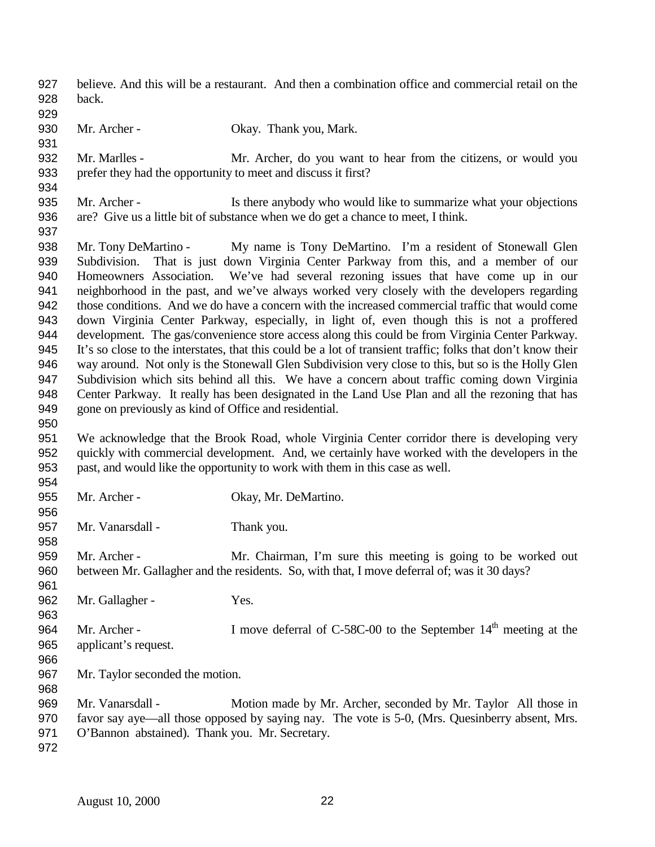- believe. And this will be a restaurant. And then a combination office and commercial retail on the back.
- 

- 930 Mr. Archer Okay. Thank you, Mark.
- Mr. Marlles Mr. Archer, do you want to hear from the citizens, or would you prefer they had the opportunity to meet and discuss it first?
- Mr. Archer Is there anybody who would like to summarize what your objections are? Give us a little bit of substance when we do get a chance to meet, I think.
- Mr. Tony DeMartino My name is Tony DeMartino. I'm a resident of Stonewall Glen Subdivision. That is just down Virginia Center Parkway from this, and a member of our Homeowners Association. We've had several rezoning issues that have come up in our neighborhood in the past, and we've always worked very closely with the developers regarding those conditions. And we do have a concern with the increased commercial traffic that would come down Virginia Center Parkway, especially, in light of, even though this is not a proffered development. The gas/convenience store access along this could be from Virginia Center Parkway. It's so close to the interstates, that this could be a lot of transient traffic; folks that don't know their way around. Not only is the Stonewall Glen Subdivision very close to this, but so is the Holly Glen Subdivision which sits behind all this. We have a concern about traffic coming down Virginia Center Parkway. It really has been designated in the Land Use Plan and all the rezoning that has gone on previously as kind of Office and residential.
- We acknowledge that the Brook Road, whole Virginia Center corridor there is developing very quickly with commercial development. And, we certainly have worked with the developers in the past, and would like the opportunity to work with them in this case as well.
- 955 Mr. Archer - Okay, Mr. DeMartino.
	-
- Mr. Vanarsdall Thank you.
- Mr. Archer Mr. Chairman, I'm sure this meeting is going to be worked out between Mr. Gallagher and the residents. So, with that, I move deferral of; was it 30 days?
- 962 Mr. Gallagher Yes.
- 964 Mr. Archer - I move deferral of C-58C-00 to the September  $14<sup>th</sup>$  meeting at the applicant's request.
- 
- Mr. Taylor seconded the motion.
- 
- 
- Mr. Vanarsdall Motion made by Mr. Archer, seconded by Mr. Taylor All those in favor say aye—all those opposed by saying nay. The vote is 5-0, (Mrs. Quesinberry absent, Mrs.
- O'Bannon abstained). Thank you. Mr. Secretary.
-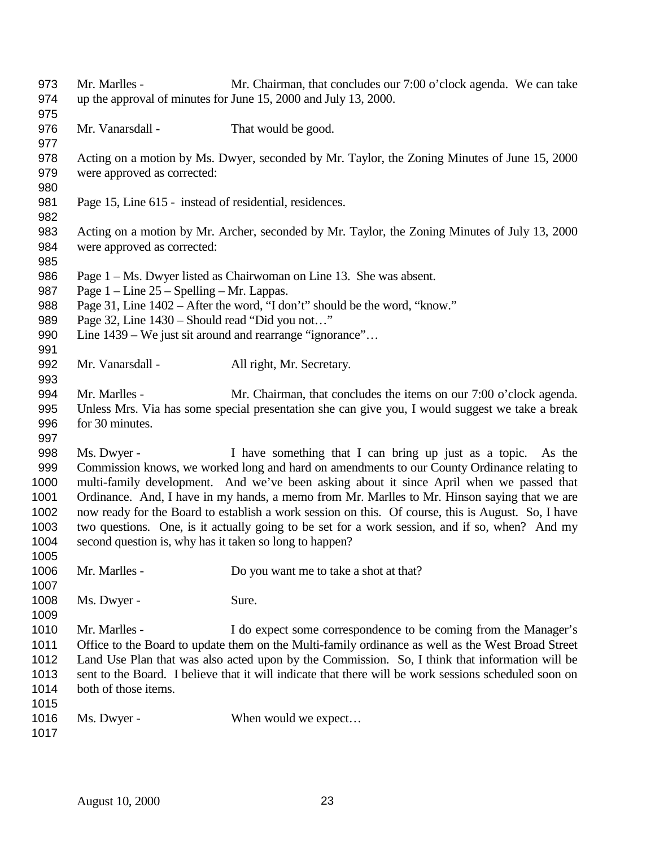Mr. Marlles - Mr. Chairman, that concludes our 7:00 o'clock agenda. We can take up the approval of minutes for June 15, 2000 and July 13, 2000. 976 Mr. Vanarsdall - That would be good. Acting on a motion by Ms. Dwyer, seconded by Mr. Taylor, the Zoning Minutes of June 15, 2000 were approved as corrected: Page 15, Line 615 - instead of residential, residences. Acting on a motion by Mr. Archer, seconded by Mr. Taylor, the Zoning Minutes of July 13, 2000 were approved as corrected: Page 1 – Ms. Dwyer listed as Chairwoman on Line 13. She was absent. Page 1 – Line 25 – Spelling – Mr. Lappas. Page 31, Line 1402 – After the word, "I don't" should be the word, "know." Page 32, Line 1430 – Should read "Did you not…" 990 Line 1439 – We just sit around and rearrange "ignorance"... 992 Mr. Vanarsdall - All right, Mr. Secretary. Mr. Marlles - Mr. Chairman, that concludes the items on our 7:00 o'clock agenda. Unless Mrs. Via has some special presentation she can give you, I would suggest we take a break for 30 minutes. Ms. Dwyer - I have something that I can bring up just as a topic. As the Commission knows, we worked long and hard on amendments to our County Ordinance relating to multi-family development. And we've been asking about it since April when we passed that Ordinance. And, I have in my hands, a memo from Mr. Marlles to Mr. Hinson saying that we are now ready for the Board to establish a work session on this. Of course, this is August. So, I have two questions. One, is it actually going to be set for a work session, and if so, when? And my second question is, why has it taken so long to happen? Mr. Marlles - Do you want me to take a shot at that? 1008 Ms. Dwyer - Sure. Mr. Marlles - I do expect some correspondence to be coming from the Manager's Office to the Board to update them on the Multi-family ordinance as well as the West Broad Street Land Use Plan that was also acted upon by the Commission. So, I think that information will be sent to the Board. I believe that it will indicate that there will be work sessions scheduled soon on both of those items. 1016 Ms. Dwyer - When would we expect...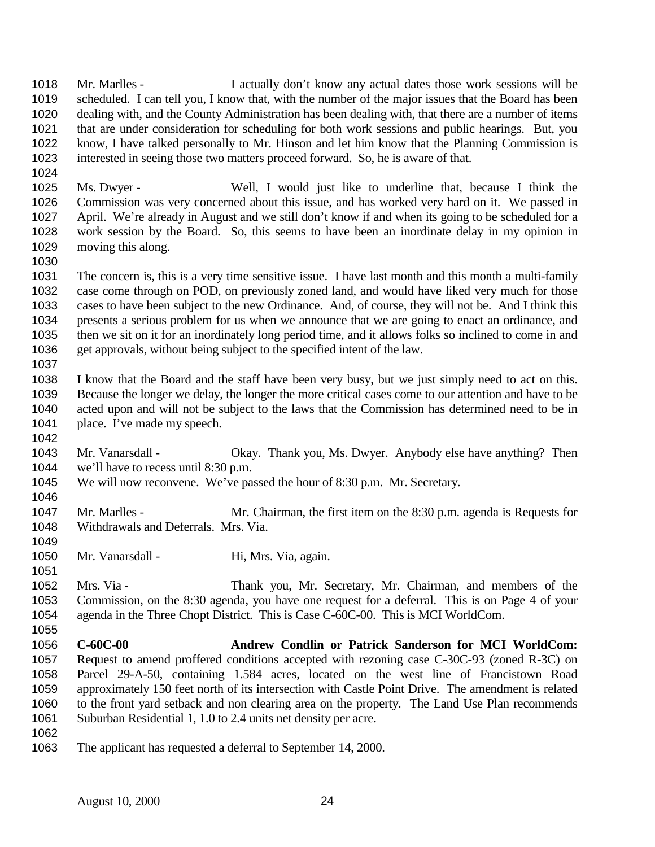Mr. Marlles - I actually don't know any actual dates those work sessions will be scheduled. I can tell you, I know that, with the number of the major issues that the Board has been dealing with, and the County Administration has been dealing with, that there are a number of items that are under consideration for scheduling for both work sessions and public hearings. But, you know, I have talked personally to Mr. Hinson and let him know that the Planning Commission is interested in seeing those two matters proceed forward. So, he is aware of that.

 Ms. Dwyer - Well, I would just like to underline that, because I think the Commission was very concerned about this issue, and has worked very hard on it. We passed in April. We're already in August and we still don't know if and when its going to be scheduled for a work session by the Board. So, this seems to have been an inordinate delay in my opinion in moving this along. 

- The concern is, this is a very time sensitive issue. I have last month and this month a multi-family case come through on POD, on previously zoned land, and would have liked very much for those cases to have been subject to the new Ordinance. And, of course, they will not be. And I think this presents a serious problem for us when we announce that we are going to enact an ordinance, and then we sit on it for an inordinately long period time, and it allows folks so inclined to come in and get approvals, without being subject to the specified intent of the law.
- 

- I know that the Board and the staff have been very busy, but we just simply need to act on this. Because the longer we delay, the longer the more critical cases come to our attention and have to be acted upon and will not be subject to the laws that the Commission has determined need to be in 1041 place. I've made my speech.
- Mr. Vanarsdall Okay. Thank you, Ms. Dwyer. Anybody else have anything? Then we'll have to recess until 8:30 p.m.
- We will now reconvene. We've passed the hour of 8:30 p.m. Mr. Secretary.
- 1047 Mr. Marlles Mr. Chairman, the first item on the 8:30 p.m. agenda is Requests for Withdrawals and Deferrals. Mrs. Via.
- 1050 Mr. Vanarsdall Hi, Mrs. Via, again.
- Mrs. Via Thank you, Mr. Secretary, Mr. Chairman, and members of the Commission, on the 8:30 agenda, you have one request for a deferral. This is on Page 4 of your agenda in the Three Chopt District. This is Case C-60C-00. This is MCI WorldCom.
- **C-60C-00 Andrew Condlin or Patrick Sanderson for MCI WorldCom:** Request to amend proffered conditions accepted with rezoning case C-30C-93 (zoned R-3C) on Parcel 29-A-50, containing 1.584 acres, located on the west line of Francistown Road approximately 150 feet north of its intersection with Castle Point Drive. The amendment is related to the front yard setback and non clearing area on the property. The Land Use Plan recommends Suburban Residential 1, 1.0 to 2.4 units net density per acre.
- 
- The applicant has requested a deferral to September 14, 2000.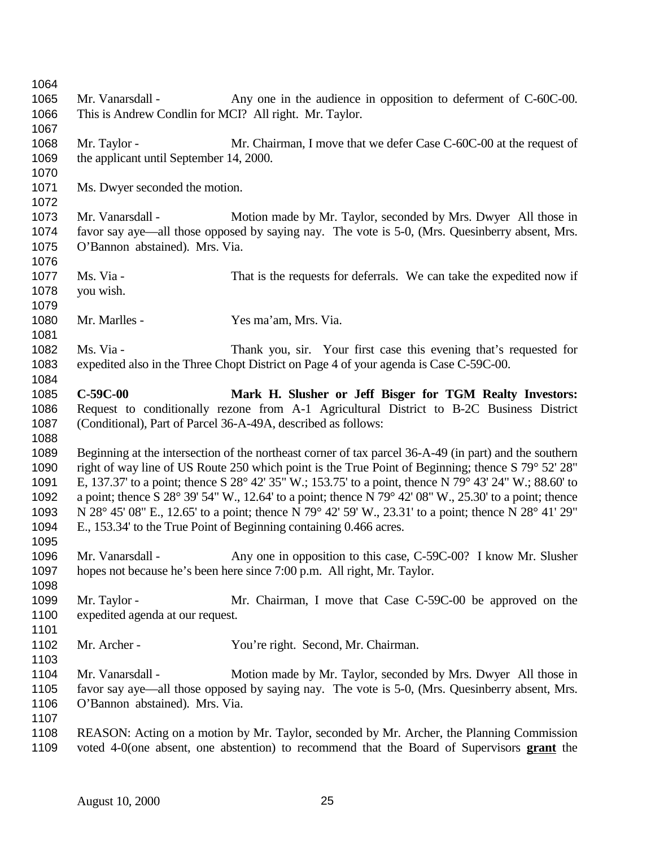1065 Mr. Vanarsdall - Any one in the audience in opposition to deferment of C-60C-00. This is Andrew Condlin for MCI? All right. Mr. Taylor. 1068 Mr. Taylor - Mr. Chairman, I move that we defer Case C-60C-00 at the request of 1069 the applicant until September 14, 2000. Ms. Dwyer seconded the motion. 1073 Mr. Vanarsdall - Motion made by Mr. Taylor, seconded by Mrs. Dwyer All those in favor say aye—all those opposed by saying nay. The vote is 5-0, (Mrs. Quesinberry absent, Mrs. O'Bannon abstained). Mrs. Via. Ms. Via - That is the requests for deferrals. We can take the expedited now if you wish. Mr. Marlles - Yes ma'am, Mrs. Via. Ms. Via - Thank you, sir. Your first case this evening that's requested for expedited also in the Three Chopt District on Page 4 of your agenda is Case C-59C-00. **C-59C-00 Mark H. Slusher or Jeff Bisger for TGM Realty Investors:** Request to conditionally rezone from A-1 Agricultural District to B-2C Business District (Conditional), Part of Parcel 36-A-49A, described as follows: Beginning at the intersection of the northeast corner of tax parcel 36-A-49 (in part) and the southern right of way line of US Route 250 which point is the True Point of Beginning; thence S 79° 52' 28" E, 137.37' to a point; thence S 28° 42' 35" W.; 153.75' to a point, thence N 79° 43' 24" W.; 88.60' to a point; thence S 28° 39' 54" W., 12.64' to a point; thence N 79° 42' 08" W., 25.30' to a point; thence N 28° 45' 08" E., 12.65' to a point; thence N 79° 42' 59' W., 23.31' to a point; thence N 28° 41' 29" E., 153.34' to the True Point of Beginning containing 0.466 acres. Mr. Vanarsdall - Any one in opposition to this case, C-59C-00? I know Mr. Slusher hopes not because he's been here since 7:00 p.m. All right, Mr. Taylor. 1099 Mr. Taylor - Mr. Chairman, I move that Case C-59C-00 be approved on the expedited agenda at our request. Mr. Archer - You're right. Second, Mr. Chairman. Mr. Vanarsdall - Motion made by Mr. Taylor, seconded by Mrs. Dwyer All those in favor say aye—all those opposed by saying nay. The vote is 5-0, (Mrs. Quesinberry absent, Mrs. O'Bannon abstained). Mrs. Via. REASON: Acting on a motion by Mr. Taylor, seconded by Mr. Archer, the Planning Commission voted 4-0(one absent, one abstention) to recommend that the Board of Supervisors **grant** the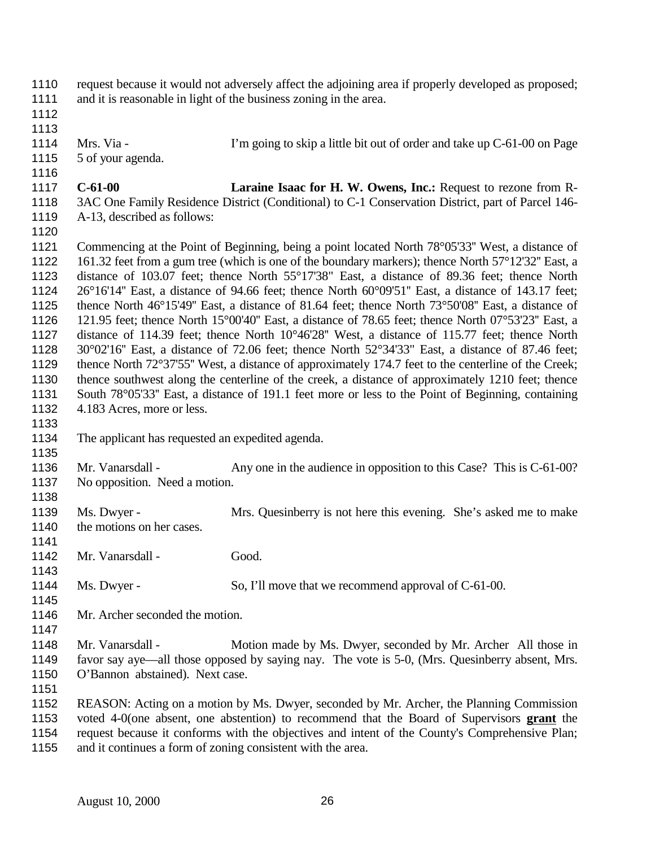| 1110<br>1111<br>1112<br>1113                                                                         | request because it would not adversely affect the adjoining area if properly developed as proposed;<br>and it is reasonable in light of the business zoning in the area. |                                                                                                                                                                                                                                                                                                                                                                                                                                                                                                                                                                                                                                                                                                                                                                                                                                                                                                                                                                                                                                                                                                                                                                                       |
|------------------------------------------------------------------------------------------------------|--------------------------------------------------------------------------------------------------------------------------------------------------------------------------|---------------------------------------------------------------------------------------------------------------------------------------------------------------------------------------------------------------------------------------------------------------------------------------------------------------------------------------------------------------------------------------------------------------------------------------------------------------------------------------------------------------------------------------------------------------------------------------------------------------------------------------------------------------------------------------------------------------------------------------------------------------------------------------------------------------------------------------------------------------------------------------------------------------------------------------------------------------------------------------------------------------------------------------------------------------------------------------------------------------------------------------------------------------------------------------|
| 1114<br>1115<br>1116                                                                                 | Mrs. Via -<br>5 of your agenda.                                                                                                                                          | I'm going to skip a little bit out of order and take up C-61-00 on Page                                                                                                                                                                                                                                                                                                                                                                                                                                                                                                                                                                                                                                                                                                                                                                                                                                                                                                                                                                                                                                                                                                               |
| 1117<br>1118<br>1119<br>1120                                                                         | $C-61-00$<br>A-13, described as follows:                                                                                                                                 | Laraine Isaac for H. W. Owens, Inc.: Request to rezone from R-<br>3AC One Family Residence District (Conditional) to C-1 Conservation District, part of Parcel 146-                                                                                                                                                                                                                                                                                                                                                                                                                                                                                                                                                                                                                                                                                                                                                                                                                                                                                                                                                                                                                   |
| 1121<br>1122<br>1123<br>1124<br>1125<br>1126<br>1127<br>1128<br>1129<br>1130<br>1131<br>1132<br>1133 | 4.183 Acres, more or less.                                                                                                                                               | Commencing at the Point of Beginning, being a point located North 78°05'33" West, a distance of<br>161.32 feet from a gum tree (which is one of the boundary markers); thence North 57°12'32" East, a<br>distance of 103.07 feet; thence North 55°17'38" East, a distance of 89.36 feet; thence North<br>26°16'14" East, a distance of 94.66 feet; thence North 60°09'51" East, a distance of 143.17 feet;<br>thence North $46^{\circ}15'49''$ East, a distance of 81.64 feet; thence North $73^{\circ}50'08''$ East, a distance of<br>121.95 feet; thence North 15 $^{\circ}00'40''$ East, a distance of 78.65 feet; thence North 07 $^{\circ}53'23''$ East, a<br>distance of 114.39 feet; thence North 10°46'28" West, a distance of 115.77 feet; thence North<br>30°02'16" East, a distance of 72.06 feet; thence North 52°34'33" East, a distance of 87.46 feet;<br>thence North 72°37'55" West, a distance of approximately 174.7 feet to the centerline of the Creek;<br>thence southwest along the centerline of the creek, a distance of approximately 1210 feet; thence<br>South 78°05'33" East, a distance of 191.1 feet more or less to the Point of Beginning, containing |
| 1134<br>1135                                                                                         | The applicant has requested an expedited agenda.                                                                                                                         |                                                                                                                                                                                                                                                                                                                                                                                                                                                                                                                                                                                                                                                                                                                                                                                                                                                                                                                                                                                                                                                                                                                                                                                       |
| 1136<br>1137<br>1138                                                                                 | Mr. Vanarsdall -<br>No opposition. Need a motion.                                                                                                                        | Any one in the audience in opposition to this Case? This is C-61-00?                                                                                                                                                                                                                                                                                                                                                                                                                                                                                                                                                                                                                                                                                                                                                                                                                                                                                                                                                                                                                                                                                                                  |
| 1139<br>1140<br>1141                                                                                 | Ms. Dwyer -<br>the motions on her cases.                                                                                                                                 | Mrs. Quesinberry is not here this evening. She's asked me to make                                                                                                                                                                                                                                                                                                                                                                                                                                                                                                                                                                                                                                                                                                                                                                                                                                                                                                                                                                                                                                                                                                                     |
| 1142<br>1143                                                                                         | Mr. Vanarsdall -                                                                                                                                                         | Good.                                                                                                                                                                                                                                                                                                                                                                                                                                                                                                                                                                                                                                                                                                                                                                                                                                                                                                                                                                                                                                                                                                                                                                                 |
| 1144<br>1145                                                                                         | Ms. Dwyer -                                                                                                                                                              | So, I'll move that we recommend approval of C-61-00.                                                                                                                                                                                                                                                                                                                                                                                                                                                                                                                                                                                                                                                                                                                                                                                                                                                                                                                                                                                                                                                                                                                                  |
| 1146<br>1147                                                                                         | Mr. Archer seconded the motion.                                                                                                                                          |                                                                                                                                                                                                                                                                                                                                                                                                                                                                                                                                                                                                                                                                                                                                                                                                                                                                                                                                                                                                                                                                                                                                                                                       |
| 1148<br>1149<br>1150<br>1151                                                                         | Mr. Vanarsdall -<br>O'Bannon abstained). Next case.                                                                                                                      | Motion made by Ms. Dwyer, seconded by Mr. Archer All those in<br>favor say aye—all those opposed by saying nay. The vote is 5-0, (Mrs. Quesinberry absent, Mrs.                                                                                                                                                                                                                                                                                                                                                                                                                                                                                                                                                                                                                                                                                                                                                                                                                                                                                                                                                                                                                       |
| 1152<br>1153<br>1154<br>1155                                                                         |                                                                                                                                                                          | REASON: Acting on a motion by Ms. Dwyer, seconded by Mr. Archer, the Planning Commission<br>voted 4-0(one absent, one abstention) to recommend that the Board of Supervisors grant the<br>request because it conforms with the objectives and intent of the County's Comprehensive Plan;<br>and it continues a form of zoning consistent with the area.                                                                                                                                                                                                                                                                                                                                                                                                                                                                                                                                                                                                                                                                                                                                                                                                                               |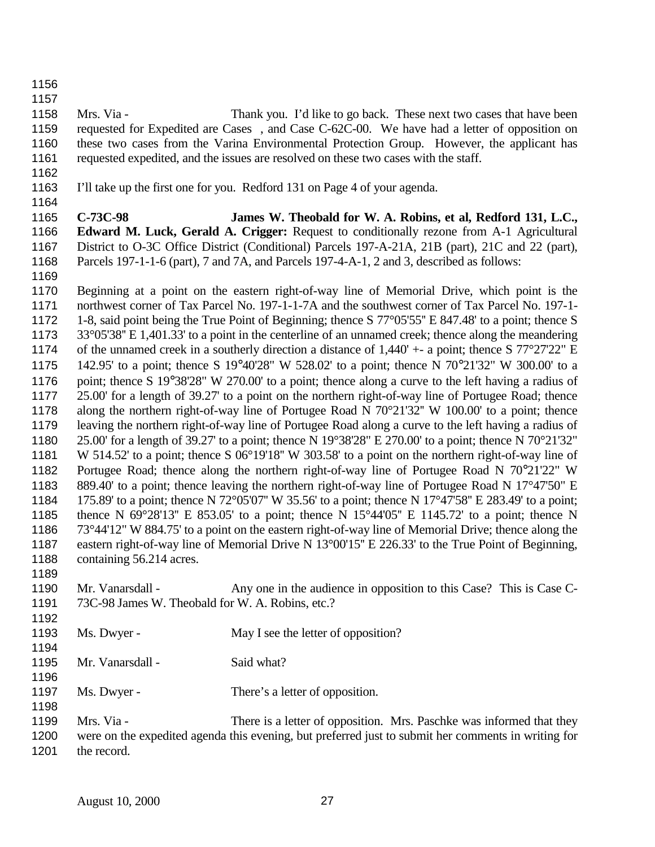- 
- 

 Mrs. Via - Thank you. I'd like to go back. These next two cases that have been requested for Expedited are Cases , and Case C-62C-00. We have had a letter of opposition on these two cases from the Varina Environmental Protection Group. However, the applicant has requested expedited, and the issues are resolved on these two cases with the staff.

- 
- I'll take up the first one for you. Redford 131 on Page 4 of your agenda.
- 

 **C-73C-98 James W. Theobald for W. A. Robins, et al, Redford 131, L.C., Edward M. Luck, Gerald A. Crigger:** Request to conditionally rezone from A-1 Agricultural District to O-3C Office District (Conditional) Parcels 197-A-21A, 21B (part), 21C and 22 (part), Parcels 197-1-1-6 (part), 7 and 7A, and Parcels 197-4-A-1, 2 and 3, described as follows:

 Beginning at a point on the eastern right-of-way line of Memorial Drive, which point is the northwest corner of Tax Parcel No. 197-1-1-7A and the southwest corner of Tax Parcel No. 197-1- 1-8, said point being the True Point of Beginning; thence S 77°05'55'' E 847.48' to a point; thence S 33°05'38'' E 1,401.33' to a point in the centerline of an unnamed creek; thence along the meandering of the unnamed creek in a southerly direction a distance of 1,440' +- a point; thence S 77°27'22" E 142.95' to a point; thence S 19°40'28" W 528.02' to a point; thence N 70°21'32" W 300.00' to a point; thence S 19°38'28" W 270.00' to a point; thence along a curve to the left having a radius of 25.00' for a length of 39.27' to a point on the northern right-of-way line of Portugee Road; thence along the northern right-of-way line of Portugee Road N 70°21'32'' W 100.00' to a point; thence leaving the northern right-of-way line of Portugee Road along a curve to the left having a radius of 25.00' for a length of 39.27' to a point; thence N 19°38'28" E 270.00' to a point; thence N 70°21'32" W 514.52' to a point; thence S 06°19'18'' W 303.58' to a point on the northern right-of-way line of Portugee Road; thence along the northern right-of-way line of Portugee Road N 70°21'22" W 889.40' to a point; thence leaving the northern right-of-way line of Portugee Road N 17°47'50" E 175.89' to a point; thence N 72°05'07'' W 35.56' to a point; thence N 17°47'58'' E 283.49' to a point; thence N 69°28'13'' E 853.05' to a point; thence N 15°44'05'' E 1145.72' to a point; thence N 73°44'12" W 884.75' to a point on the eastern right-of-way line of Memorial Drive; thence along the eastern right-of-way line of Memorial Drive N 13°00'15'' E 226.33' to the True Point of Beginning, 1188 containing 56.214 acres.

- 1190 Mr. Vanarsdall Any one in the audience in opposition to this Case? This is Case C-73C-98 James W. Theobald for W. A. Robins, etc.?
- 1193 Ms. Dwyer May I see the letter of opposition? 1195 Mr. Vanarsdall - Said what? 1197 Ms. Dwyer - There's a letter of opposition.
- Mrs. Via There is a letter of opposition. Mrs. Paschke was informed that they were on the expedited agenda this evening, but preferred just to submit her comments in writing for 1201 the record.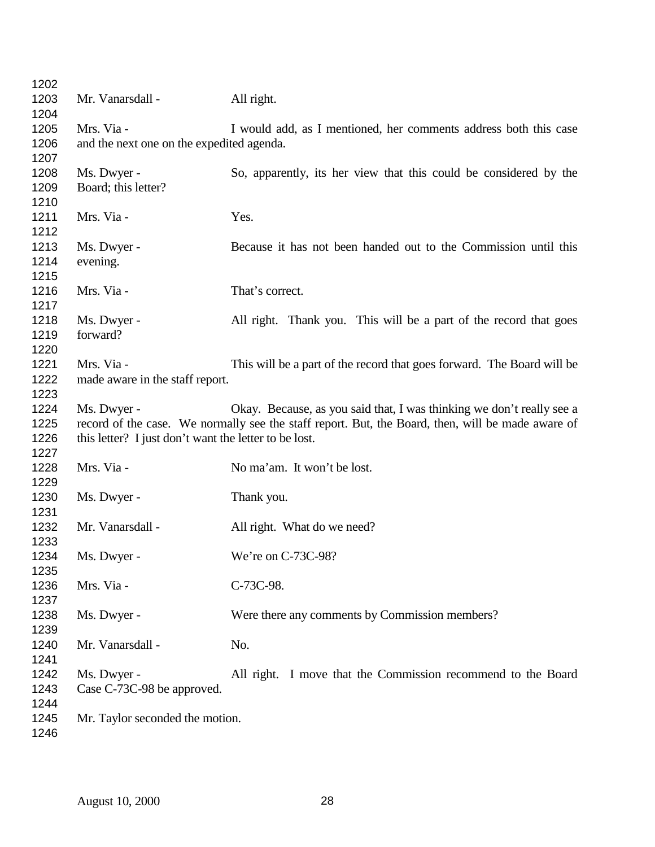| 1202 |                                                       |                                                                                                   |  |
|------|-------------------------------------------------------|---------------------------------------------------------------------------------------------------|--|
| 1203 | Mr. Vanarsdall -                                      | All right.                                                                                        |  |
| 1204 |                                                       |                                                                                                   |  |
| 1205 | Mrs. Via -                                            | I would add, as I mentioned, her comments address both this case                                  |  |
| 1206 | and the next one on the expedited agenda.             |                                                                                                   |  |
| 1207 |                                                       |                                                                                                   |  |
| 1208 | Ms. Dwyer -                                           | So, apparently, its her view that this could be considered by the                                 |  |
| 1209 | Board; this letter?                                   |                                                                                                   |  |
| 1210 |                                                       |                                                                                                   |  |
| 1211 | Mrs. Via -                                            | Yes.                                                                                              |  |
| 1212 |                                                       |                                                                                                   |  |
| 1213 | Ms. Dwyer -                                           | Because it has not been handed out to the Commission until this                                   |  |
| 1214 | evening.                                              |                                                                                                   |  |
| 1215 |                                                       |                                                                                                   |  |
| 1216 | Mrs. Via -                                            | That's correct.                                                                                   |  |
| 1217 |                                                       |                                                                                                   |  |
| 1218 | Ms. Dwyer -                                           | All right. Thank you. This will be a part of the record that goes                                 |  |
| 1219 | forward?                                              |                                                                                                   |  |
| 1220 |                                                       |                                                                                                   |  |
| 1221 | Mrs. Via -                                            | This will be a part of the record that goes forward. The Board will be                            |  |
| 1222 | made aware in the staff report.                       |                                                                                                   |  |
| 1223 |                                                       |                                                                                                   |  |
| 1224 | Ms. Dwyer -                                           | Okay. Because, as you said that, I was thinking we don't really see a                             |  |
| 1225 |                                                       | record of the case. We normally see the staff report. But, the Board, then, will be made aware of |  |
| 1226 |                                                       |                                                                                                   |  |
| 1227 | this letter? I just don't want the letter to be lost. |                                                                                                   |  |
| 1228 | Mrs. Via -                                            | No ma'am. It won't be lost.                                                                       |  |
| 1229 |                                                       |                                                                                                   |  |
|      |                                                       |                                                                                                   |  |
| 1230 | Ms. Dwyer -                                           | Thank you.                                                                                        |  |
| 1231 |                                                       |                                                                                                   |  |
| 1232 | Mr. Vanarsdall -                                      | All right. What do we need?                                                                       |  |
| 1233 |                                                       |                                                                                                   |  |
| 1234 | Ms. Dwyer -                                           | We're on C-73C-98?                                                                                |  |
| 1235 |                                                       |                                                                                                   |  |
| 1236 | Mrs. Via -                                            | C-73C-98.                                                                                         |  |
| 1237 |                                                       |                                                                                                   |  |
| 1238 | Ms. Dwyer -                                           | Were there any comments by Commission members?                                                    |  |
| 1239 |                                                       |                                                                                                   |  |
| 1240 | Mr. Vanarsdall -                                      | No.                                                                                               |  |
| 1241 |                                                       |                                                                                                   |  |
| 1242 | Ms. Dwyer -                                           | All right. I move that the Commission recommend to the Board                                      |  |
| 1243 | Case C-73C-98 be approved.                            |                                                                                                   |  |
| 1244 |                                                       |                                                                                                   |  |
| 1245 | Mr. Taylor seconded the motion.                       |                                                                                                   |  |
| 1246 |                                                       |                                                                                                   |  |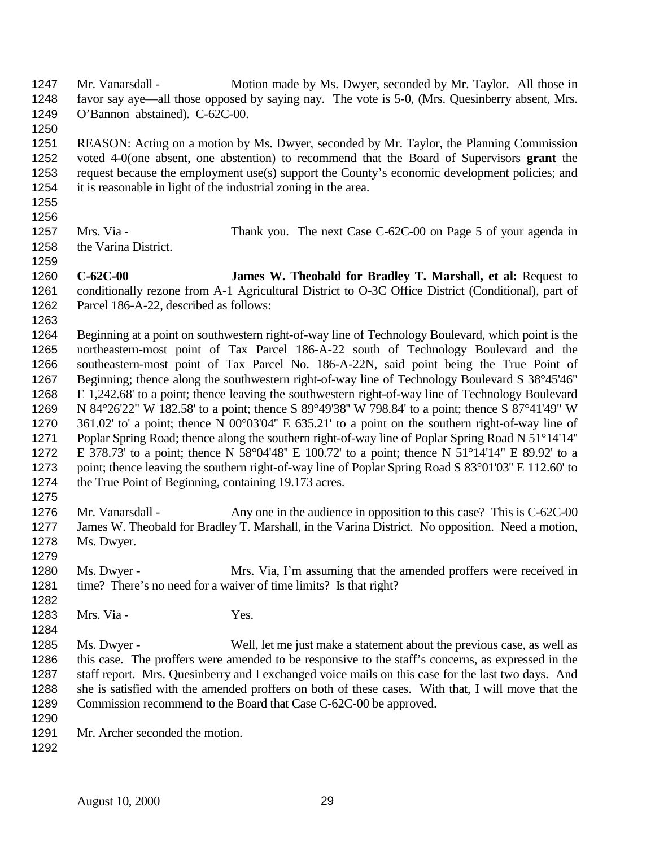Mr. Vanarsdall - Motion made by Ms. Dwyer, seconded by Mr. Taylor. All those in favor say aye—all those opposed by saying nay. The vote is 5-0, (Mrs. Quesinberry absent, Mrs. O'Bannon abstained). C-62C-00.

 REASON: Acting on a motion by Ms. Dwyer, seconded by Mr. Taylor, the Planning Commission voted 4-0(one absent, one abstention) to recommend that the Board of Supervisors **grant** the request because the employment use(s) support the County's economic development policies; and it is reasonable in light of the industrial zoning in the area.

 

1257 Mrs. Via - Thank you. The next Case C-62C-00 on Page 5 of your agenda in the Varina District.

 **C-62C-00 James W. Theobald for Bradley T. Marshall, et al:** Request to conditionally rezone from A-1 Agricultural District to O-3C Office District (Conditional), part of Parcel 186-A-22, described as follows:

 Beginning at a point on southwestern right-of-way line of Technology Boulevard, which point is the northeastern-most point of Tax Parcel 186-A-22 south of Technology Boulevard and the southeastern-most point of Tax Parcel No. 186-A-22N, said point being the True Point of Beginning; thence along the southwestern right-of-way line of Technology Boulevard S 38°45'46" E 1,242.68' to a point; thence leaving the southwestern right-of-way line of Technology Boulevard N 84°26'22" W 182.58' to a point; thence S 89°49'38'' W 798.84' to a point; thence S 87°41'49" W 361.02' to' a point; thence N 00°03'04'' E 635.21' to a point on the southern right-of-way line of Poplar Spring Road; thence along the southern right-of-way line of Poplar Spring Road N 51°14'14'' E 378.73' to a point; thence N 58°04'48'' E 100.72' to a point; thence N 51°14'14" E 89.92' to a point; thence leaving the southern right-of-way line of Poplar Spring Road S 83°01'03'' E 112.60' to 1274 the True Point of Beginning, containing 19.173 acres.

1276 Mr. Vanarsdall - Any one in the audience in opposition to this case? This is C-62C-00 James W. Theobald for Bradley T. Marshall, in the Varina District. No opposition. Need a motion, Ms. Dwyer.

 Ms. Dwyer - Mrs. Via, I'm assuming that the amended proffers were received in time? There's no need for a waiver of time limits? Is that right?

- 1283 Mrs. Via Yes.
- 

 Ms. Dwyer - Well, let me just make a statement about the previous case, as well as this case. The proffers were amended to be responsive to the staff's concerns, as expressed in the staff report. Mrs. Quesinberry and I exchanged voice mails on this case for the last two days. And she is satisfied with the amended proffers on both of these cases. With that, I will move that the Commission recommend to the Board that Case C-62C-00 be approved.

1291 Mr. Archer seconded the motion.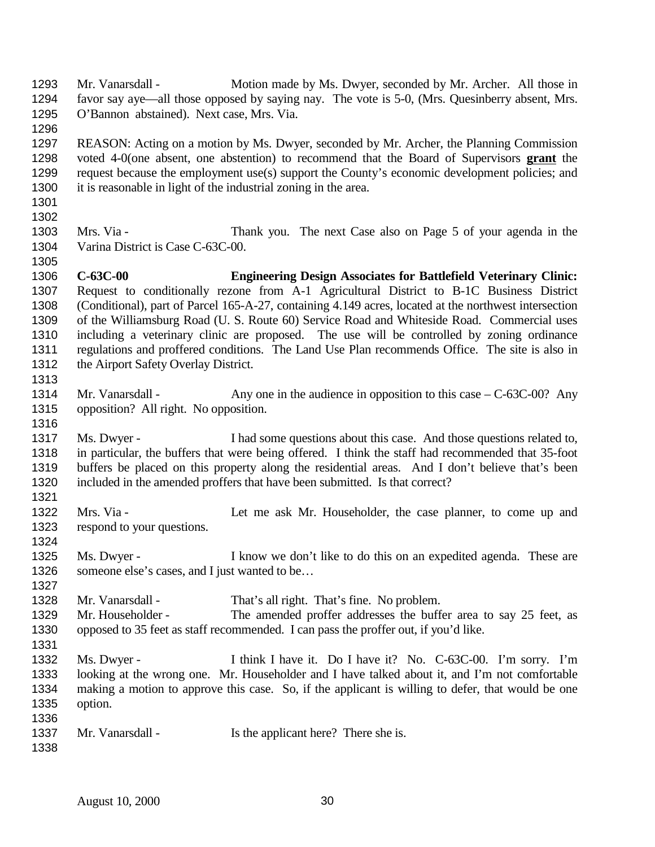| 1293 | Mr. Vanarsdall -                              | Motion made by Ms. Dwyer, seconded by Mr. Archer. All those in                                        |
|------|-----------------------------------------------|-------------------------------------------------------------------------------------------------------|
| 1294 |                                               | favor say aye—all those opposed by saying nay. The vote is 5-0, (Mrs. Quesinberry absent, Mrs.        |
| 1295 | O'Bannon abstained). Next case, Mrs. Via.     |                                                                                                       |
| 1296 |                                               |                                                                                                       |
| 1297 |                                               | REASON: Acting on a motion by Ms. Dwyer, seconded by Mr. Archer, the Planning Commission              |
| 1298 |                                               | voted 4-0(one absent, one abstention) to recommend that the Board of Supervisors grant the            |
| 1299 |                                               | request because the employment use(s) support the County's economic development policies; and         |
| 1300 |                                               | it is reasonable in light of the industrial zoning in the area.                                       |
| 1301 |                                               |                                                                                                       |
| 1302 |                                               |                                                                                                       |
| 1303 | Mrs. Via -                                    | Thank you. The next Case also on Page 5 of your agenda in the                                         |
| 1304 | Varina District is Case C-63C-00.             |                                                                                                       |
| 1305 |                                               |                                                                                                       |
| 1306 | $C-63C-00$                                    | <b>Engineering Design Associates for Battlefield Veterinary Clinic:</b>                               |
| 1307 |                                               | Request to conditionally rezone from A-1 Agricultural District to B-1C Business District              |
| 1308 |                                               | (Conditional), part of Parcel 165-A-27, containing 4.149 acres, located at the northwest intersection |
| 1309 |                                               | of the Williamsburg Road (U. S. Route 60) Service Road and Whiteside Road. Commercial uses            |
| 1310 |                                               | including a veterinary clinic are proposed. The use will be controlled by zoning ordinance            |
| 1311 |                                               | regulations and proffered conditions. The Land Use Plan recommends Office. The site is also in        |
| 1312 | the Airport Safety Overlay District.          |                                                                                                       |
| 1313 |                                               |                                                                                                       |
| 1314 | Mr. Vanarsdall -                              | Any one in the audience in opposition to this case $-C$ -63C-00? Any                                  |
| 1315 | opposition? All right. No opposition.         |                                                                                                       |
| 1316 |                                               |                                                                                                       |
| 1317 | Ms. Dwyer -                                   | I had some questions about this case. And those questions related to,                                 |
| 1318 |                                               | in particular, the buffers that were being offered. I think the staff had recommended that 35-foot    |
| 1319 |                                               | buffers be placed on this property along the residential areas. And I don't believe that's been       |
| 1320 |                                               | included in the amended proffers that have been submitted. Is that correct?                           |
| 1321 |                                               |                                                                                                       |
| 1322 | Mrs. Via -                                    | Let me ask Mr. Householder, the case planner, to come up and                                          |
| 1323 | respond to your questions.                    |                                                                                                       |
| 1324 |                                               |                                                                                                       |
| 1325 | Ms. Dwyer -                                   | I know we don't like to do this on an expedited agenda. These are                                     |
| 1326 | someone else's cases, and I just wanted to be |                                                                                                       |
| 1327 |                                               |                                                                                                       |
| 1328 | Mr. Vanarsdall -                              | That's all right. That's fine. No problem.                                                            |
| 1329 | Mr. Householder -                             | The amended proffer addresses the buffer area to say 25 feet, as                                      |
| 1330 |                                               |                                                                                                       |
| 1331 |                                               | opposed to 35 feet as staff recommended. I can pass the proffer out, if you'd like.                   |
|      |                                               |                                                                                                       |
| 1332 | Ms. Dwyer -                                   | I think I have it. Do I have it? No. C-63C-00. I'm sorry. I'm                                         |
| 1333 |                                               | looking at the wrong one. Mr. Householder and I have talked about it, and I'm not comfortable         |
| 1334 |                                               | making a motion to approve this case. So, if the applicant is willing to defer, that would be one     |
| 1335 | option.                                       |                                                                                                       |
| 1336 |                                               |                                                                                                       |
| 1337 | Mr. Vanarsdall -                              | Is the applicant here? There she is.                                                                  |
| 1338 |                                               |                                                                                                       |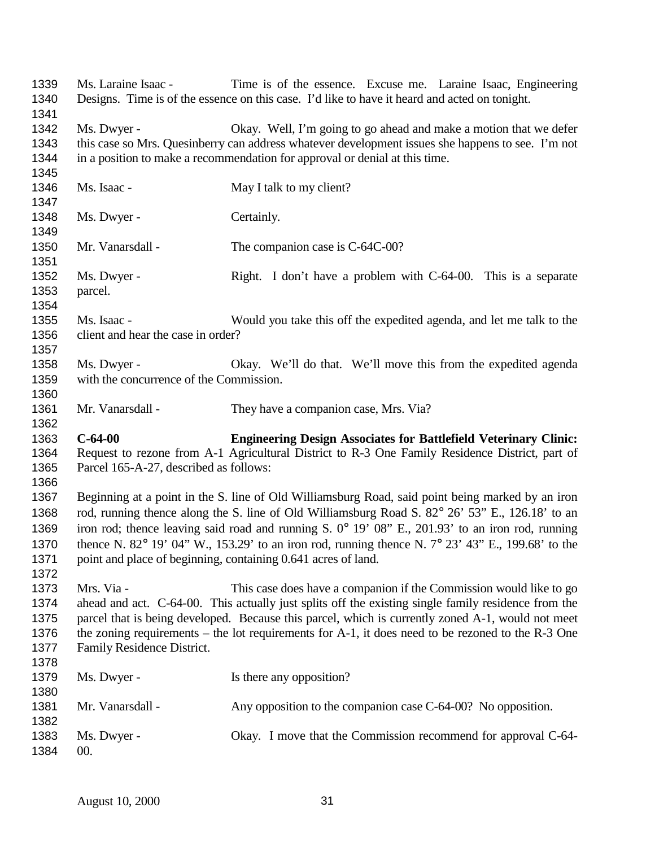| 1339<br>1340 | Ms. Laraine Isaac -                     | Time is of the essence. Excuse me. Laraine Isaac, Engineering<br>Designs. Time is of the essence on this case. I'd like to have it heard and acted on tonight. |
|--------------|-----------------------------------------|----------------------------------------------------------------------------------------------------------------------------------------------------------------|
| 1341         |                                         |                                                                                                                                                                |
| 1342         | Ms. Dwyer -                             | Okay. Well, I'm going to go ahead and make a motion that we defer                                                                                              |
| 1343         |                                         | this case so Mrs. Quesinberry can address whatever development issues she happens to see. I'm not                                                              |
| 1344<br>1345 |                                         | in a position to make a recommendation for approval or denial at this time.                                                                                    |
| 1346         | Ms. Isaac -                             | May I talk to my client?                                                                                                                                       |
| 1347         |                                         |                                                                                                                                                                |
| 1348         | Ms. Dwyer -                             | Certainly.                                                                                                                                                     |
|              |                                         |                                                                                                                                                                |
| 1349         |                                         |                                                                                                                                                                |
| 1350         | Mr. Vanarsdall -                        | The companion case is C-64C-00?                                                                                                                                |
| 1351         |                                         |                                                                                                                                                                |
| 1352         | Ms. Dwyer -                             | Right. I don't have a problem with C-64-00. This is a separate                                                                                                 |
| 1353         | parcel.                                 |                                                                                                                                                                |
| 1354         |                                         |                                                                                                                                                                |
| 1355         | Ms. Isaac -                             | Would you take this off the expedited agenda, and let me talk to the                                                                                           |
| 1356         | client and hear the case in order?      |                                                                                                                                                                |
| 1357         |                                         |                                                                                                                                                                |
| 1358         | Ms. Dwyer -                             | Okay. We'll do that. We'll move this from the expedited agenda                                                                                                 |
| 1359         | with the concurrence of the Commission. |                                                                                                                                                                |
| 1360         |                                         |                                                                                                                                                                |
| 1361         | Mr. Vanarsdall -                        | They have a companion case, Mrs. Via?                                                                                                                          |
|              |                                         |                                                                                                                                                                |
| 1362         |                                         |                                                                                                                                                                |
| 1363         | $C-64-00$                               | <b>Engineering Design Associates for Battlefield Veterinary Clinic:</b>                                                                                        |
|              |                                         |                                                                                                                                                                |
| 1364         |                                         | Request to rezone from A-1 Agricultural District to R-3 One Family Residence District, part of                                                                 |
| 1365         | Parcel 165-A-27, described as follows:  |                                                                                                                                                                |
| 1366         |                                         |                                                                                                                                                                |
| 1367         |                                         | Beginning at a point in the S. line of Old Williamsburg Road, said point being marked by an iron                                                               |
| 1368         |                                         | rod, running thence along the S. line of Old Williamsburg Road S. 82° 26' 53" E., 126.18' to an                                                                |
| 1369         |                                         | iron rod; thence leaving said road and running S. 0° 19' 08" E., 201.93' to an iron rod, running                                                               |
| 1370         |                                         | thence N. $82^{\circ}$ 19' 04" W., 153.29' to an iron rod, running thence N. $7^{\circ}$ 23' 43" E., 199.68' to the                                            |
| 1371         |                                         | point and place of beginning, containing 0.641 acres of land.                                                                                                  |
| 1372         |                                         |                                                                                                                                                                |
| 1373         | Mrs. Via -                              | This case does have a companion if the Commission would like to go                                                                                             |
| 1374         |                                         | ahead and act. C-64-00. This actually just splits off the existing single family residence from the                                                            |
| 1375         |                                         | parcel that is being developed. Because this parcel, which is currently zoned A-1, would not meet                                                              |
| 1376         |                                         | the zoning requirements – the lot requirements for $A-1$ , it does need to be rezoned to the $R-3$ One                                                         |
| 1377         | Family Residence District.              |                                                                                                                                                                |
| 1378         |                                         |                                                                                                                                                                |
| 1379         |                                         |                                                                                                                                                                |
|              | Ms. Dwyer -                             | Is there any opposition?                                                                                                                                       |
| 1380         |                                         |                                                                                                                                                                |
| 1381         | Mr. Vanarsdall -                        | Any opposition to the companion case C-64-00? No opposition.                                                                                                   |
| 1382         |                                         |                                                                                                                                                                |
| 1383<br>1384 | Ms. Dwyer -<br>00.                      | Okay. I move that the Commission recommend for approval C-64-                                                                                                  |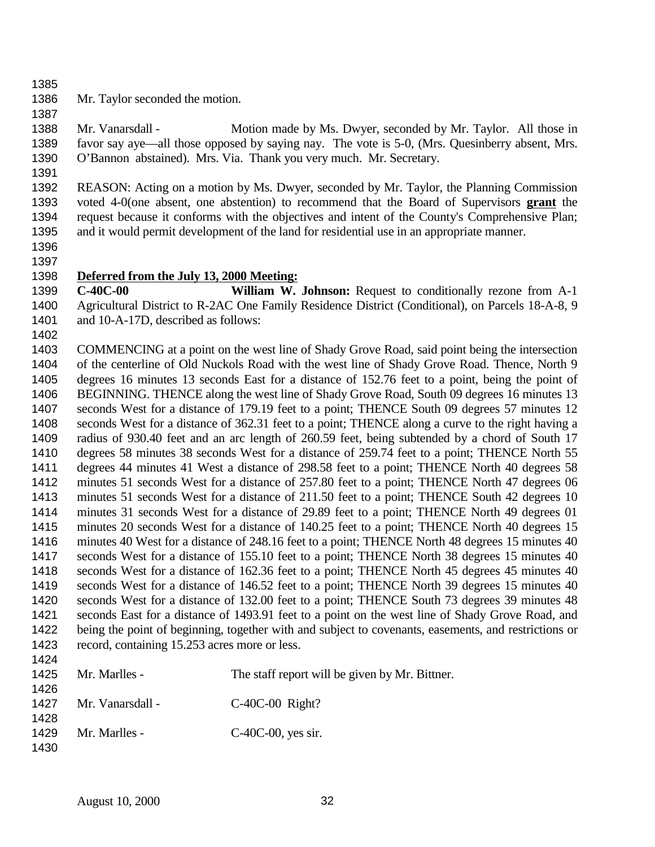- 
- Mr. Taylor seconded the motion.
- 

 Mr. Vanarsdall - Motion made by Ms. Dwyer, seconded by Mr. Taylor. All those in favor say aye—all those opposed by saying nay. The vote is 5-0, (Mrs. Quesinberry absent, Mrs. O'Bannon abstained). Mrs. Via. Thank you very much. Mr. Secretary.

 REASON: Acting on a motion by Ms. Dwyer, seconded by Mr. Taylor, the Planning Commission voted 4-0(one absent, one abstention) to recommend that the Board of Supervisors **grant** the request because it conforms with the objectives and intent of the County's Comprehensive Plan; and it would permit development of the land for residential use in an appropriate manner.

 

## **Deferred from the July 13, 2000 Meeting:**

 **C-40C-00 William W. Johnson:** Request to conditionally rezone from A-1 Agricultural District to R-2AC One Family Residence District (Conditional), on Parcels 18-A-8, 9 1401 and 10-A-17D, described as follows:

 COMMENCING at a point on the west line of Shady Grove Road, said point being the intersection of the centerline of Old Nuckols Road with the west line of Shady Grove Road. Thence, North 9 degrees 16 minutes 13 seconds East for a distance of 152.76 feet to a point, being the point of BEGINNING. THENCE along the west line of Shady Grove Road, South 09 degrees 16 minutes 13 seconds West for a distance of 179.19 feet to a point; THENCE South 09 degrees 57 minutes 12 seconds West for a distance of 362.31 feet to a point; THENCE along a curve to the right having a radius of 930.40 feet and an arc length of 260.59 feet, being subtended by a chord of South 17 degrees 58 minutes 38 seconds West for a distance of 259.74 feet to a point; THENCE North 55 degrees 44 minutes 41 West a distance of 298.58 feet to a point; THENCE North 40 degrees 58 minutes 51 seconds West for a distance of 257.80 feet to a point; THENCE North 47 degrees 06 1413 minutes 51 seconds West for a distance of 211.50 feet to a point; THENCE South 42 degrees 10 minutes 31 seconds West for a distance of 29.89 feet to a point; THENCE North 49 degrees 01 minutes 20 seconds West for a distance of 140.25 feet to a point; THENCE North 40 degrees 15 minutes 40 West for a distance of 248.16 feet to a point; THENCE North 48 degrees 15 minutes 40 seconds West for a distance of 155.10 feet to a point; THENCE North 38 degrees 15 minutes 40 seconds West for a distance of 162.36 feet to a point; THENCE North 45 degrees 45 minutes 40 seconds West for a distance of 146.52 feet to a point; THENCE North 39 degrees 15 minutes 40 seconds West for a distance of 132.00 feet to a point; THENCE South 73 degrees 39 minutes 48 seconds East for a distance of 1493.91 feet to a point on the west line of Shady Grove Road, and being the point of beginning, together with and subject to covenants, easements, and restrictions or record, containing 15.253 acres more or less. 

| 1426         | $1425$ Mr. Marlles -  | The staff report will be given by Mr. Bittner. |
|--------------|-----------------------|------------------------------------------------|
| 1428         | 1427 Mr. Vanarsdall - | $C-40C-00$ Right?                              |
| 1429<br>1430 | Mr. Marlles -         | $C-40C-00$ , yes sir.                          |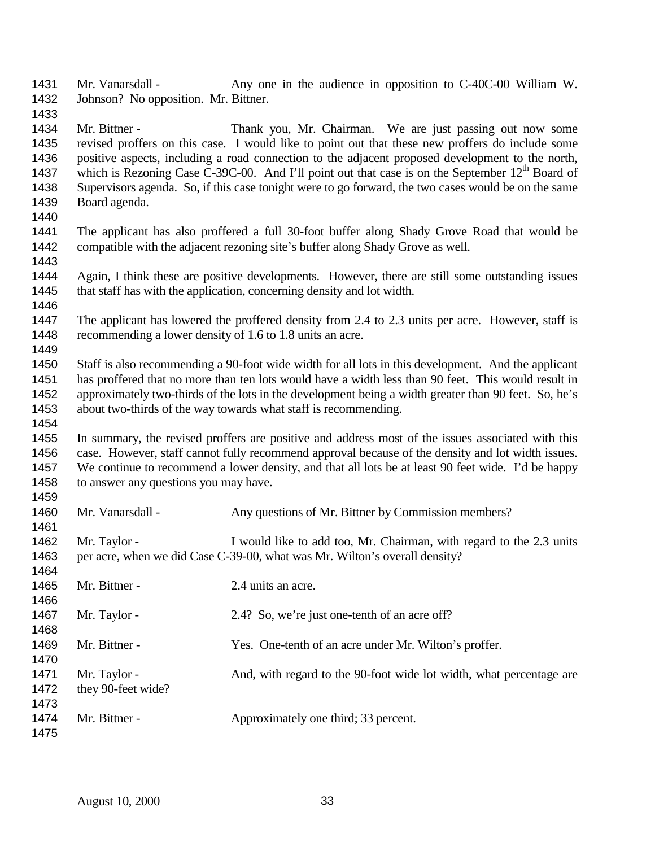Mr. Vanarsdall - Any one in the audience in opposition to C-40C-00 William W. Johnson? No opposition. Mr. Bittner.

 Mr. Bittner - Thank you, Mr. Chairman. We are just passing out now some revised proffers on this case. I would like to point out that these new proffers do include some positive aspects, including a road connection to the adjacent proposed development to the north, 1437 which is Rezoning Case C-39C-00. And I'll point out that case is on the September  $12<sup>th</sup>$  Board of Supervisors agenda. So, if this case tonight were to go forward, the two cases would be on the same Board agenda.

 The applicant has also proffered a full 30-foot buffer along Shady Grove Road that would be compatible with the adjacent rezoning site's buffer along Shady Grove as well. 

 Again, I think these are positive developments. However, there are still some outstanding issues that staff has with the application, concerning density and lot width. 

 The applicant has lowered the proffered density from 2.4 to 2.3 units per acre. However, staff is recommending a lower density of 1.6 to 1.8 units an acre. 

 Staff is also recommending a 90-foot wide width for all lots in this development. And the applicant has proffered that no more than ten lots would have a width less than 90 feet. This would result in approximately two-thirds of the lots in the development being a width greater than 90 feet. So, he's about two-thirds of the way towards what staff is recommending.

 In summary, the revised proffers are positive and address most of the issues associated with this case. However, staff cannot fully recommend approval because of the density and lot width issues. We continue to recommend a lower density, and that all lots be at least 90 feet wide. I'd be happy 1458 to answer any questions you may have.

 1460 Mr. Vanarsdall - Any questions of Mr. Bittner by Commission members? 1462 Mr. Taylor - I would like to add too, Mr. Chairman, with regard to the 2.3 units per acre, when we did Case C-39-00, what was Mr. Wilton's overall density? 1465 Mr. Bittner - 2.4 units an acre. 1467 Mr. Taylor - 2.4? So, we're just one-tenth of an acre off? Mr. Bittner - Yes. One-tenth of an acre under Mr. Wilton's proffer. 1471 Mr. Taylor - And, with regard to the 90-foot wide lot width, what percentage are they 90-feet wide? 1474 Mr. Bittner - Approximately one third; 33 percent.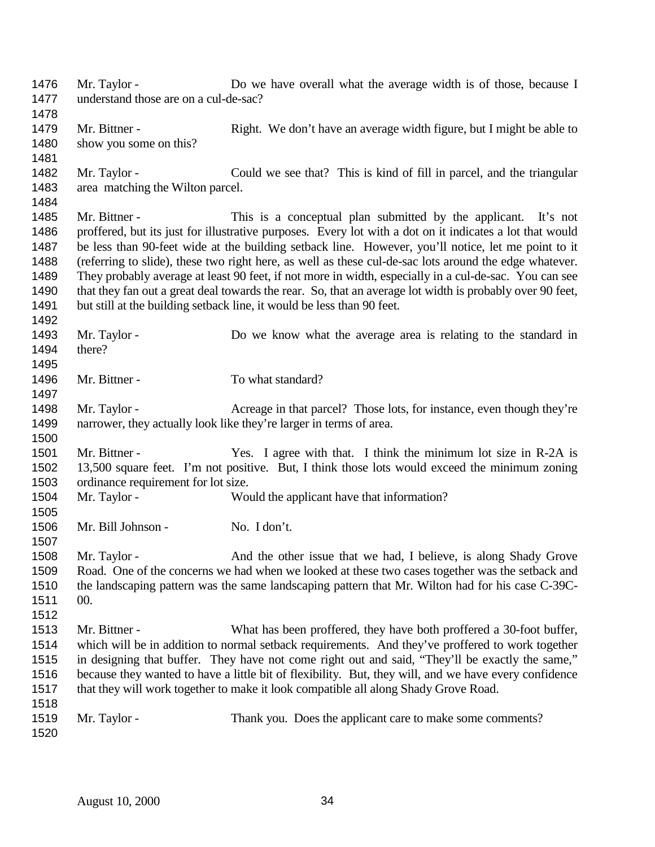Mr. Taylor - Do we have overall what the average width is of those, because I understand those are on a cul-de-sac? 1479 Mr. Bittner - Right. We don't have an average width figure, but I might be able to 1480 show you some on this? 1482 Mr. Taylor - Could we see that? This is kind of fill in parcel, and the triangular area matching the Wilton parcel. Mr. Bittner - This is a conceptual plan submitted by the applicant. It's not proffered, but its just for illustrative purposes. Every lot with a dot on it indicates a lot that would be less than 90-feet wide at the building setback line. However, you'll notice, let me point to it (referring to slide), these two right here, as well as these cul-de-sac lots around the edge whatever. They probably average at least 90 feet, if not more in width, especially in a cul-de-sac. You can see that they fan out a great deal towards the rear. So, that an average lot width is probably over 90 feet, 1491 but still at the building setback line, it would be less than 90 feet. 1493 Mr. Taylor - Do we know what the average area is relating to the standard in there? 1496 Mr. Bittner - To what standard? 1498 Mr. Taylor - Acreage in that parcel? Those lots, for instance, even though they're narrower, they actually look like they're larger in terms of area. 1501 Mr. Bittner - Yes. I agree with that. I think the minimum lot size in R-2A is 13,500 square feet. I'm not positive. But, I think those lots would exceed the minimum zoning ordinance requirement for lot size. Mr. Taylor - Would the applicant have that information? 1506 Mr. Bill Johnson - No. I don't. Mr. Taylor - And the other issue that we had, I believe, is along Shady Grove Road. One of the concerns we had when we looked at these two cases together was the setback and the landscaping pattern was the same landscaping pattern that Mr. Wilton had for his case C-39C- 00. Mr. Bittner - What has been proffered, they have both proffered a 30-foot buffer, which will be in addition to normal setback requirements. And they've proffered to work together in designing that buffer. They have not come right out and said, "They'll be exactly the same," because they wanted to have a little bit of flexibility. But, they will, and we have every confidence that they will work together to make it look compatible all along Shady Grove Road. 1519 Mr. Taylor - Thank you. Does the applicant care to make some comments?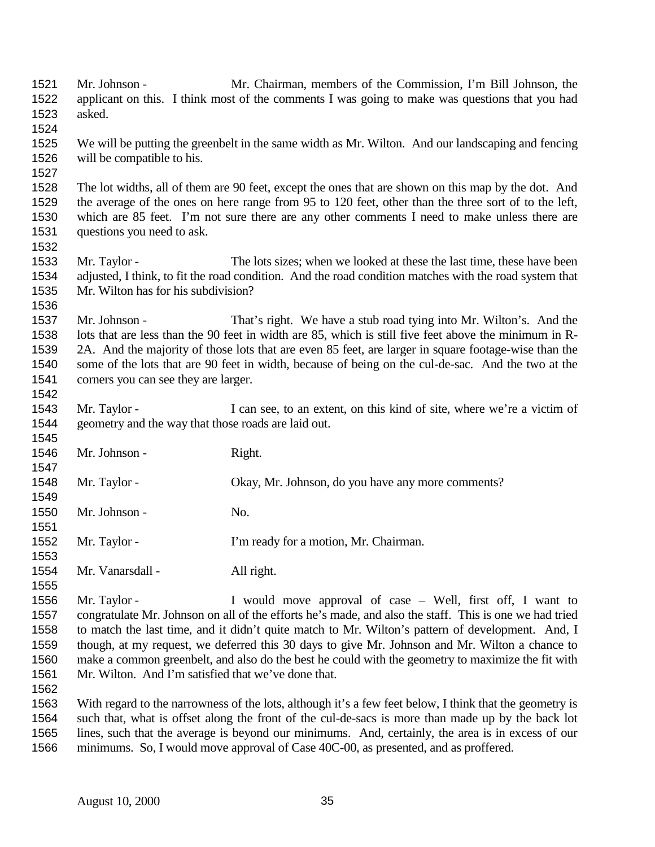Mr. Johnson - Mr. Chairman, members of the Commission, I'm Bill Johnson, the applicant on this. I think most of the comments I was going to make was questions that you had asked. We will be putting the greenbelt in the same width as Mr. Wilton. And our landscaping and fencing will be compatible to his. The lot widths, all of them are 90 feet, except the ones that are shown on this map by the dot. And the average of the ones on here range from 95 to 120 feet, other than the three sort of to the left, which are 85 feet. I'm not sure there are any other comments I need to make unless there are questions you need to ask. Mr. Taylor - The lots sizes; when we looked at these the last time, these have been adjusted, I think, to fit the road condition. And the road condition matches with the road system that Mr. Wilton has for his subdivision? Mr. Johnson - That's right. We have a stub road tying into Mr. Wilton's. And the lots that are less than the 90 feet in width are 85, which is still five feet above the minimum in R- 2A. And the majority of those lots that are even 85 feet, are larger in square footage-wise than the some of the lots that are 90 feet in width, because of being on the cul-de-sac. And the two at the corners you can see they are larger. 1543 Mr. Taylor - I can see, to an extent, on this kind of site, where we're a victim of geometry and the way that those roads are laid out. 1546 Mr. Johnson - Right. Mr. Taylor - Okay, Mr. Johnson, do you have any more comments? Mr. Johnson - No. Mr. Taylor - I'm ready for a motion, Mr. Chairman. 1554 Mr. Vanarsdall - All right. Mr. Taylor - I would move approval of case – Well, first off, I want to congratulate Mr. Johnson on all of the efforts he's made, and also the staff. This is one we had tried to match the last time, and it didn't quite match to Mr. Wilton's pattern of development. And, I though, at my request, we deferred this 30 days to give Mr. Johnson and Mr. Wilton a chance to make a common greenbelt, and also do the best he could with the geometry to maximize the fit with Mr. Wilton. And I'm satisfied that we've done that. With regard to the narrowness of the lots, although it's a few feet below, I think that the geometry is such that, what is offset along the front of the cul-de-sacs is more than made up by the back lot lines, such that the average is beyond our minimums. And, certainly, the area is in excess of our minimums. So, I would move approval of Case 40C-00, as presented, and as proffered.

August 10, 2000 35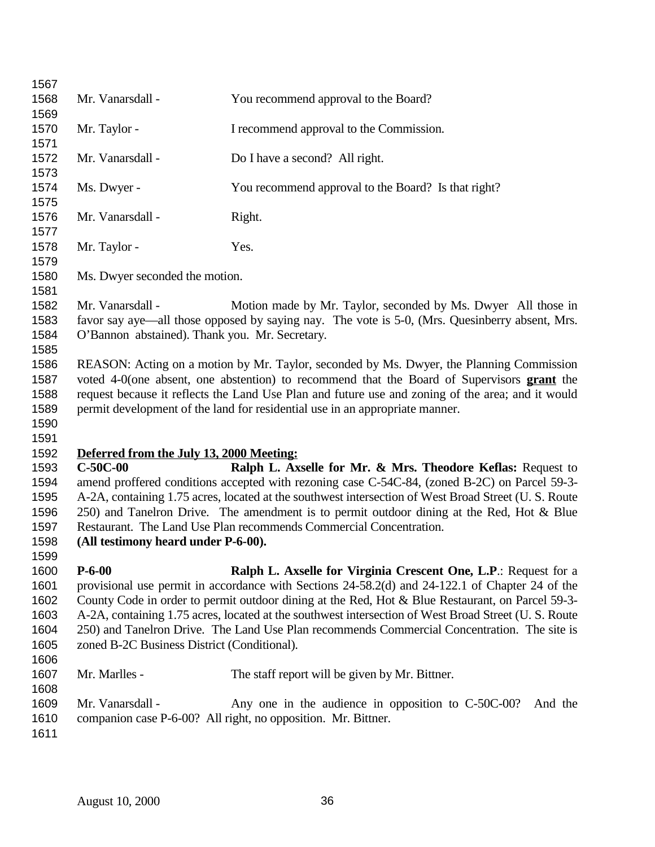| 1567 |                                                                                                      |                                                                                                      |  |
|------|------------------------------------------------------------------------------------------------------|------------------------------------------------------------------------------------------------------|--|
| 1568 | Mr. Vanarsdall -                                                                                     | You recommend approval to the Board?                                                                 |  |
| 1569 |                                                                                                      |                                                                                                      |  |
| 1570 | Mr. Taylor -                                                                                         | I recommend approval to the Commission.                                                              |  |
| 1571 |                                                                                                      |                                                                                                      |  |
| 1572 | Mr. Vanarsdall -                                                                                     | Do I have a second? All right.                                                                       |  |
| 1573 |                                                                                                      |                                                                                                      |  |
| 1574 | Ms. Dwyer -                                                                                          | You recommend approval to the Board? Is that right?                                                  |  |
| 1575 |                                                                                                      |                                                                                                      |  |
| 1576 | Mr. Vanarsdall -                                                                                     | Right.                                                                                               |  |
| 1577 |                                                                                                      |                                                                                                      |  |
| 1578 | Mr. Taylor -                                                                                         | Yes.                                                                                                 |  |
| 1579 |                                                                                                      |                                                                                                      |  |
| 1580 | Ms. Dwyer seconded the motion.                                                                       |                                                                                                      |  |
| 1581 |                                                                                                      |                                                                                                      |  |
| 1582 | Mr. Vanarsdall -                                                                                     | Motion made by Mr. Taylor, seconded by Ms. Dwyer All those in                                        |  |
| 1583 |                                                                                                      | favor say aye—all those opposed by saying nay. The vote is 5-0, (Mrs. Quesinberry absent, Mrs.       |  |
| 1584 | O'Bannon abstained). Thank you. Mr. Secretary.                                                       |                                                                                                      |  |
| 1585 |                                                                                                      |                                                                                                      |  |
| 1586 |                                                                                                      | REASON: Acting on a motion by Mr. Taylor, seconded by Ms. Dwyer, the Planning Commission             |  |
| 1587 |                                                                                                      | voted 4-0(one absent, one abstention) to recommend that the Board of Supervisors grant the           |  |
| 1588 |                                                                                                      | request because it reflects the Land Use Plan and future use and zoning of the area; and it would    |  |
| 1589 | permit development of the land for residential use in an appropriate manner.                         |                                                                                                      |  |
| 1590 |                                                                                                      |                                                                                                      |  |
| 1591 |                                                                                                      |                                                                                                      |  |
| 1592 | Deferred from the July 13, 2000 Meeting:                                                             |                                                                                                      |  |
| 1593 | $C-50C-00$                                                                                           | Ralph L. Axselle for Mr. & Mrs. Theodore Keflas: Request to                                          |  |
| 1594 |                                                                                                      | amend proffered conditions accepted with rezoning case C-54C-84, (zoned B-2C) on Parcel 59-3-        |  |
| 1595 |                                                                                                      | A-2A, containing 1.75 acres, located at the southwest intersection of West Broad Street (U. S. Route |  |
| 1596 | 250) and Tanelron Drive. The amendment is to permit outdoor dining at the Red, Hot & Blue            |                                                                                                      |  |
| 1597 | Restaurant. The Land Use Plan recommends Commercial Concentration.                                   |                                                                                                      |  |
| 1598 | (All testimony heard under P-6-00).                                                                  |                                                                                                      |  |
| 1599 |                                                                                                      |                                                                                                      |  |
| 1600 | $P - 6 - 00$                                                                                         | Ralph L. Axselle for Virginia Crescent One, L.P.: Request for a                                      |  |
| 1601 | provisional use permit in accordance with Sections 24-58.2(d) and 24-122.1 of Chapter 24 of the      |                                                                                                      |  |
| 1602 | County Code in order to permit outdoor dining at the Red, Hot & Blue Restaurant, on Parcel 59-3-     |                                                                                                      |  |
| 1603 | A-2A, containing 1.75 acres, located at the southwest intersection of West Broad Street (U. S. Route |                                                                                                      |  |
| 1604 | 250) and Tanelron Drive. The Land Use Plan recommends Commercial Concentration. The site is          |                                                                                                      |  |
| 1605 | zoned B-2C Business District (Conditional).                                                          |                                                                                                      |  |
| 1606 |                                                                                                      |                                                                                                      |  |
| 1607 | Mr. Marlles -                                                                                        | The staff report will be given by Mr. Bittner.                                                       |  |
| 1608 |                                                                                                      |                                                                                                      |  |
| 1609 | Mr. Vanarsdall -                                                                                     | Any one in the audience in opposition to C-50C-00?<br>And the                                        |  |
| 1610 |                                                                                                      | companion case P-6-00? All right, no opposition. Mr. Bittner.                                        |  |
| 1611 |                                                                                                      |                                                                                                      |  |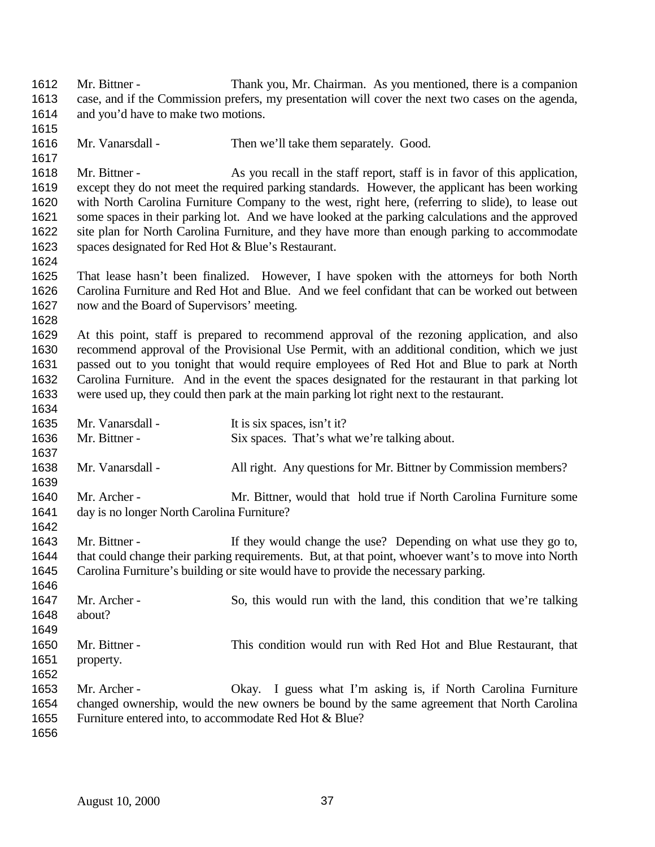| 1612<br>1613<br>1614<br>1615                         | Mr. Bittner -<br>and you'd have to make two motions.                   | Thank you, Mr. Chairman. As you mentioned, there is a companion<br>case, and if the Commission prefers, my presentation will cover the next two cases on the agenda,                                                                                                                                                                                                                                                                                                                          |
|------------------------------------------------------|------------------------------------------------------------------------|-----------------------------------------------------------------------------------------------------------------------------------------------------------------------------------------------------------------------------------------------------------------------------------------------------------------------------------------------------------------------------------------------------------------------------------------------------------------------------------------------|
| 1616<br>1617                                         | Mr. Vanarsdall -                                                       | Then we'll take them separately. Good.                                                                                                                                                                                                                                                                                                                                                                                                                                                        |
| 1618<br>1619<br>1620<br>1621<br>1622<br>1623<br>1624 | Mr. Bittner -<br>spaces designated for Red Hot & Blue's Restaurant.    | As you recall in the staff report, staff is in favor of this application,<br>except they do not meet the required parking standards. However, the applicant has been working<br>with North Carolina Furniture Company to the west, right here, (referring to slide), to lease out<br>some spaces in their parking lot. And we have looked at the parking calculations and the approved<br>site plan for North Carolina Furniture, and they have more than enough parking to accommodate       |
| 1625<br>1626<br>1627<br>1628                         | now and the Board of Supervisors' meeting.                             | That lease hasn't been finalized. However, I have spoken with the attorneys for both North<br>Carolina Furniture and Red Hot and Blue. And we feel confidant that can be worked out between                                                                                                                                                                                                                                                                                                   |
| 1629<br>1630<br>1631<br>1632<br>1633<br>1634         |                                                                        | At this point, staff is prepared to recommend approval of the rezoning application, and also<br>recommend approval of the Provisional Use Permit, with an additional condition, which we just<br>passed out to you tonight that would require employees of Red Hot and Blue to park at North<br>Carolina Furniture. And in the event the spaces designated for the restaurant in that parking lot<br>were used up, they could then park at the main parking lot right next to the restaurant. |
| 1635<br>1636<br>1637                                 | Mr. Vanarsdall -<br>Mr. Bittner -                                      | It is six spaces, isn't it?<br>Six spaces. That's what we're talking about.                                                                                                                                                                                                                                                                                                                                                                                                                   |
| 1638<br>1639                                         | Mr. Vanarsdall -                                                       | All right. Any questions for Mr. Bittner by Commission members?                                                                                                                                                                                                                                                                                                                                                                                                                               |
| 1640<br>1641<br>1642                                 | Mr. Archer -<br>day is no longer North Carolina Furniture?             | Mr. Bittner, would that hold true if North Carolina Furniture some                                                                                                                                                                                                                                                                                                                                                                                                                            |
| 1643<br>1644<br>1645<br>1646                         | Mr. Bittner -                                                          | If they would change the use? Depending on what use they go to,<br>that could change their parking requirements. But, at that point, whoever want's to move into North<br>Carolina Furniture's building or site would have to provide the necessary parking.                                                                                                                                                                                                                                  |
| 1647<br>1648<br>1649                                 | Mr. Archer -<br>about?                                                 | So, this would run with the land, this condition that we're talking                                                                                                                                                                                                                                                                                                                                                                                                                           |
| 1650<br>1651<br>1652                                 | Mr. Bittner -<br>property.                                             | This condition would run with Red Hot and Blue Restaurant, that                                                                                                                                                                                                                                                                                                                                                                                                                               |
| 1653<br>1654<br>1655<br>1656                         | Mr. Archer -<br>Furniture entered into, to accommodate Red Hot & Blue? | I guess what I'm asking is, if North Carolina Furniture<br>Okay.<br>changed ownership, would the new owners be bound by the same agreement that North Carolina                                                                                                                                                                                                                                                                                                                                |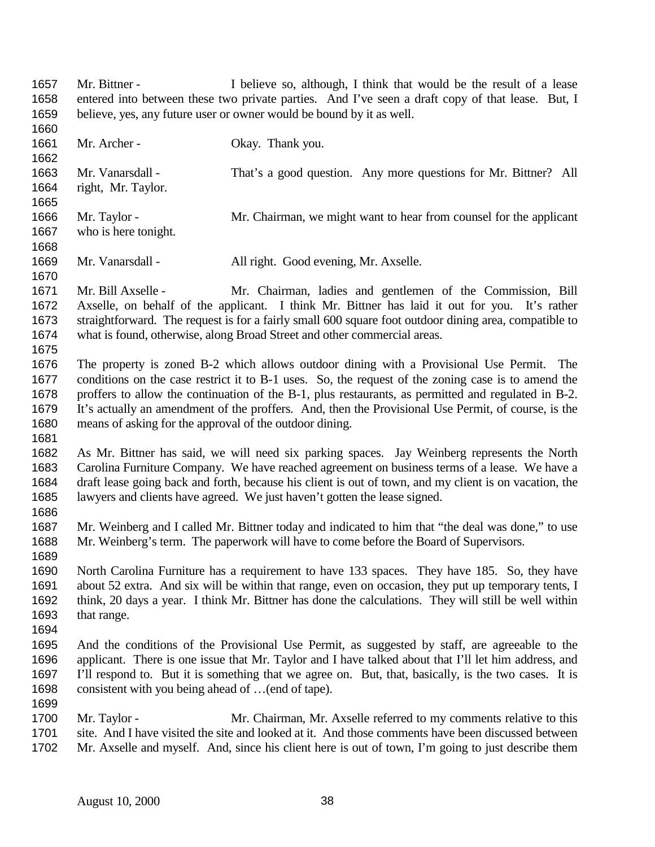Mr. Bittner - I believe so, although, I think that would be the result of a lease entered into between these two private parties. And I've seen a draft copy of that lease. But, I believe, yes, any future user or owner would be bound by it as well.

1661 Mr. Archer - Okay. Thank you. Mr. Vanarsdall - That's a good question. Any more questions for Mr. Bittner? All right, Mr. Taylor. Mr. Taylor - Mr. Chairman, we might want to hear from counsel for the applicant who is here tonight. Mr. Vanarsdall - All right. Good evening, Mr. Axselle. Mr. Bill Axselle - Mr. Chairman, ladies and gentlemen of the Commission, Bill Axselle, on behalf of the applicant. I think Mr. Bittner has laid it out for you. It's rather straightforward. The request is for a fairly small 600 square foot outdoor dining area, compatible to what is found, otherwise, along Broad Street and other commercial areas. The property is zoned B-2 which allows outdoor dining with a Provisional Use Permit. The conditions on the case restrict it to B-1 uses. So, the request of the zoning case is to amend the proffers to allow the continuation of the B-1, plus restaurants, as permitted and regulated in B-2. It's actually an amendment of the proffers. And, then the Provisional Use Permit, of course, is the means of asking for the approval of the outdoor dining. As Mr. Bittner has said, we will need six parking spaces. Jay Weinberg represents the North Carolina Furniture Company. We have reached agreement on business terms of a lease. We have a draft lease going back and forth, because his client is out of town, and my client is on vacation, the lawyers and clients have agreed. We just haven't gotten the lease signed. Mr. Weinberg and I called Mr. Bittner today and indicated to him that "the deal was done," to use Mr. Weinberg's term. The paperwork will have to come before the Board of Supervisors. North Carolina Furniture has a requirement to have 133 spaces. They have 185. So, they have about 52 extra. And six will be within that range, even on occasion, they put up temporary tents, I think, 20 days a year. I think Mr. Bittner has done the calculations. They will still be well within that range. And the conditions of the Provisional Use Permit, as suggested by staff, are agreeable to the applicant. There is one issue that Mr. Taylor and I have talked about that I'll let him address, and I'll respond to. But it is something that we agree on. But, that, basically, is the two cases. It is consistent with you being ahead of …(end of tape). 

1700 Mr. Taylor - Mr. Chairman, Mr. Axselle referred to my comments relative to this site. And I have visited the site and looked at it. And those comments have been discussed between Mr. Axselle and myself. And, since his client here is out of town, I'm going to just describe them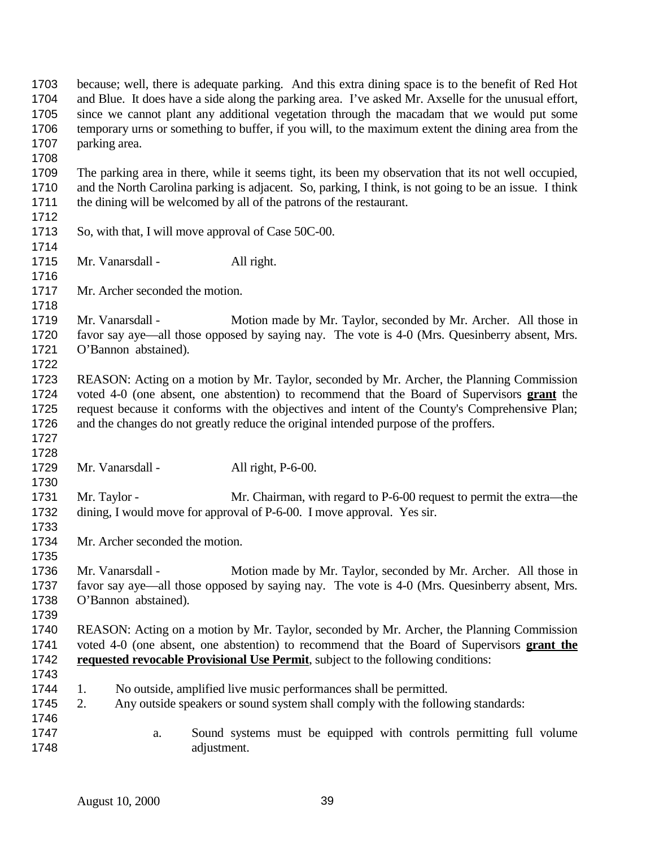because; well, there is adequate parking. And this extra dining space is to the benefit of Red Hot and Blue. It does have a side along the parking area. I've asked Mr. Axselle for the unusual effort, since we cannot plant any additional vegetation through the macadam that we would put some temporary urns or something to buffer, if you will, to the maximum extent the dining area from the parking area. The parking area in there, while it seems tight, its been my observation that its not well occupied, and the North Carolina parking is adjacent. So, parking, I think, is not going to be an issue. I think the dining will be welcomed by all of the patrons of the restaurant. So, with that, I will move approval of Case 50C-00. 1715 Mr. Vanarsdall - All right. Mr. Archer seconded the motion. Mr. Vanarsdall - Motion made by Mr. Taylor, seconded by Mr. Archer. All those in favor say aye—all those opposed by saying nay. The vote is 4-0 (Mrs. Quesinberry absent, Mrs. O'Bannon abstained). REASON: Acting on a motion by Mr. Taylor, seconded by Mr. Archer, the Planning Commission voted 4-0 (one absent, one abstention) to recommend that the Board of Supervisors **grant** the request because it conforms with the objectives and intent of the County's Comprehensive Plan; and the changes do not greatly reduce the original intended purpose of the proffers. 1729 Mr. Vanarsdall - All right, P-6-00. 1731 Mr. Taylor - Mr. Chairman, with regard to P-6-00 request to permit the extra—the dining, I would move for approval of P-6-00. I move approval. Yes sir. Mr. Archer seconded the motion. 1736 Mr. Vanarsdall - Motion made by Mr. Taylor, seconded by Mr. Archer. All those in favor say aye—all those opposed by saying nay. The vote is 4-0 (Mrs. Quesinberry absent, Mrs. O'Bannon abstained). REASON: Acting on a motion by Mr. Taylor, seconded by Mr. Archer, the Planning Commission voted 4-0 (one absent, one abstention) to recommend that the Board of Supervisors **grant the requested revocable Provisional Use Permit**, subject to the following conditions: 1. No outside, amplified live music performances shall be permitted. 2. Any outside speakers or sound system shall comply with the following standards: a. Sound systems must be equipped with controls permitting full volume adjustment.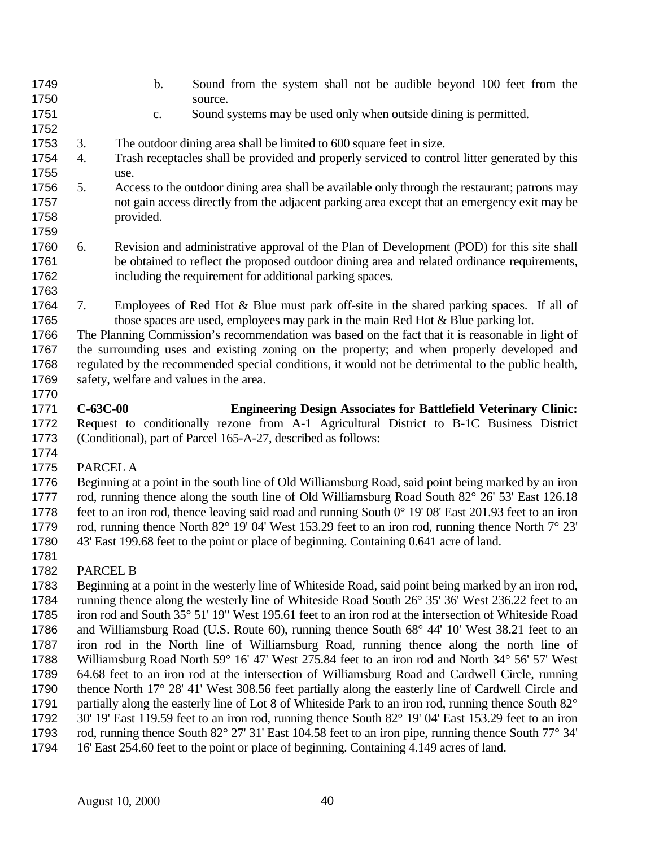- b. Sound from the system shall not be audible beyond 100 feet from the 1750 source.
- c. Sound systems may be used only when outside dining is permitted.
- 3. The outdoor dining area shall be limited to 600 square feet in size.
- 4. Trash receptacles shall be provided and properly serviced to control litter generated by this use.
- 5. Access to the outdoor dining area shall be available only through the restaurant; patrons may not gain access directly from the adjacent parking area except that an emergency exit may be provided.
- 6. Revision and administrative approval of the Plan of Development (POD) for this site shall be obtained to reflect the proposed outdoor dining area and related ordinance requirements, including the requirement for additional parking spaces.
- 7. Employees of Red Hot & Blue must park off-site in the shared parking spaces. If all of 1765 those spaces are used, employees may park in the main Red Hot & Blue parking lot.

 The Planning Commission's recommendation was based on the fact that it is reasonable in light of the surrounding uses and existing zoning on the property; and when properly developed and regulated by the recommended special conditions, it would not be detrimental to the public health, safety, welfare and values in the area. 

- **C-63C-00 Engineering Design Associates for Battlefield Veterinary Clinic:** Request to conditionally rezone from A-1 Agricultural District to B-1C Business District (Conditional), part of Parcel 165-A-27, described as follows:
- PARCEL A

 Beginning at a point in the south line of Old Williamsburg Road, said point being marked by an iron 1777 rod, running thence along the south line of Old Williamsburg Road South 82° 26' 53' East 126.18 feet to an iron rod, thence leaving said road and running South 0° 19' 08' East 201.93 feet to an iron rod, running thence North 82° 19' 04' West 153.29 feet to an iron rod, running thence North 7° 23' 43' East 199.68 feet to the point or place of beginning. Containing 0.641 acre of land.

PARCEL B

 Beginning at a point in the westerly line of Whiteside Road, said point being marked by an iron rod, running thence along the westerly line of Whiteside Road South 26° 35' 36' West 236.22 feet to an iron rod and South 35° 51' 19" West 195.61 feet to an iron rod at the intersection of Whiteside Road and Williamsburg Road (U.S. Route 60), running thence South 68° 44' 10' West 38.21 feet to an iron rod in the North line of Williamsburg Road, running thence along the north line of Williamsburg Road North 59° 16' 47' West 275.84 feet to an iron rod and North 34° 56' 57' West 64.68 feet to an iron rod at the intersection of Williamsburg Road and Cardwell Circle, running thence North 17° 28' 41' West 308.56 feet partially along the easterly line of Cardwell Circle and 1791 partially along the easterly line of Lot 8 of Whiteside Park to an iron rod, running thence South 82° 30' 19' East 119.59 feet to an iron rod, running thence South 82° 19' 04' East 153.29 feet to an iron rod, running thence South 82° 27' 31' East 104.58 feet to an iron pipe, running thence South 77° 34' 16' East 254.60 feet to the point or place of beginning. Containing 4.149 acres of land.

August 10, 2000 40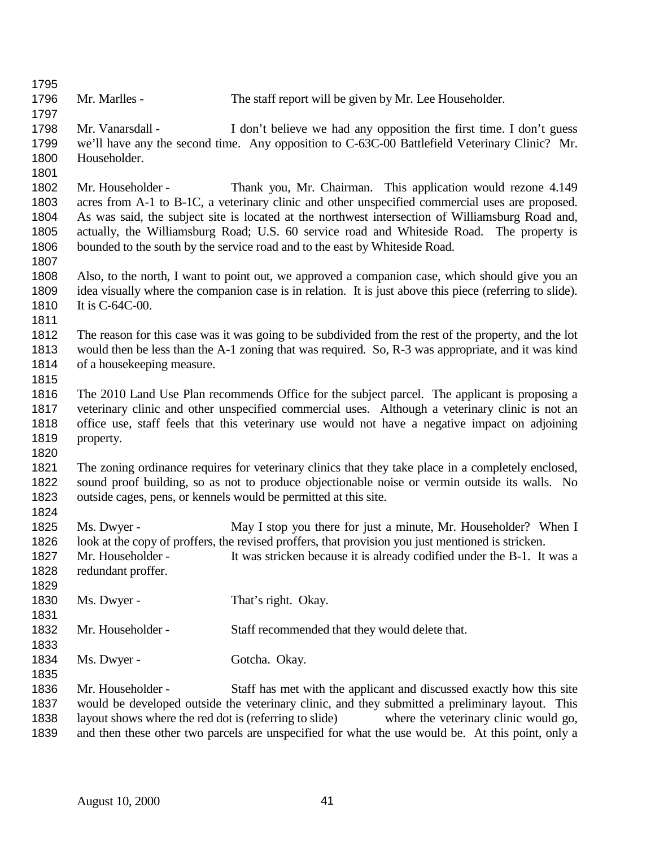| 1795 |                                                                                                          |                                                                                                       |  |
|------|----------------------------------------------------------------------------------------------------------|-------------------------------------------------------------------------------------------------------|--|
| 1796 | Mr. Marlles -                                                                                            | The staff report will be given by Mr. Lee Householder.                                                |  |
| 1797 |                                                                                                          |                                                                                                       |  |
| 1798 | Mr. Vanarsdall -                                                                                         | I don't believe we had any opposition the first time. I don't guess                                   |  |
| 1799 |                                                                                                          | we'll have any the second time. Any opposition to C-63C-00 Battlefield Veterinary Clinic? Mr.         |  |
| 1800 | Householder.                                                                                             |                                                                                                       |  |
| 1801 |                                                                                                          |                                                                                                       |  |
| 1802 | Mr. Householder -                                                                                        | Thank you, Mr. Chairman. This application would rezone 4.149                                          |  |
| 1803 |                                                                                                          | acres from A-1 to B-1C, a veterinary clinic and other unspecified commercial uses are proposed.       |  |
| 1804 | As was said, the subject site is located at the northwest intersection of Williamsburg Road and,         |                                                                                                       |  |
| 1805 | actually, the Williamsburg Road; U.S. 60 service road and Whiteside Road. The property is                |                                                                                                       |  |
| 1806 | bounded to the south by the service road and to the east by Whiteside Road.                              |                                                                                                       |  |
| 1807 |                                                                                                          |                                                                                                       |  |
| 1808 |                                                                                                          | Also, to the north, I want to point out, we approved a companion case, which should give you an       |  |
| 1809 | idea visually where the companion case is in relation. It is just above this piece (referring to slide). |                                                                                                       |  |
| 1810 | It is $C-64C-00$ .                                                                                       |                                                                                                       |  |
| 1811 |                                                                                                          |                                                                                                       |  |
| 1812 |                                                                                                          | The reason for this case was it was going to be subdivided from the rest of the property, and the lot |  |
| 1813 | would then be less than the A-1 zoning that was required. So, R-3 was appropriate, and it was kind       |                                                                                                       |  |
| 1814 | of a house keeping measure.                                                                              |                                                                                                       |  |
| 1815 |                                                                                                          |                                                                                                       |  |
| 1816 |                                                                                                          | The 2010 Land Use Plan recommends Office for the subject parcel. The applicant is proposing a         |  |
| 1817 |                                                                                                          | veterinary clinic and other unspecified commercial uses. Although a veterinary clinic is not an       |  |
| 1818 | office use, staff feels that this veterinary use would not have a negative impact on adjoining           |                                                                                                       |  |
| 1819 | property.                                                                                                |                                                                                                       |  |
| 1820 |                                                                                                          |                                                                                                       |  |
| 1821 |                                                                                                          | The zoning ordinance requires for veterinary clinics that they take place in a completely enclosed,   |  |
| 1822 |                                                                                                          | sound proof building, so as not to produce objectionable noise or vermin outside its walls. No        |  |
| 1823 |                                                                                                          | outside cages, pens, or kennels would be permitted at this site.                                      |  |
| 1824 |                                                                                                          |                                                                                                       |  |
| 1825 | Ms. Dwyer -                                                                                              | May I stop you there for just a minute, Mr. Householder? When I                                       |  |
| 1826 |                                                                                                          | look at the copy of proffers, the revised proffers, that provision you just mentioned is stricken.    |  |
| 1827 |                                                                                                          | Mr. Householder - It was stricken because it is already codified under the B-1. It was a              |  |
| 1828 | redundant proffer.                                                                                       |                                                                                                       |  |
| 1829 |                                                                                                          |                                                                                                       |  |
| 1830 | Ms. Dwyer -                                                                                              | That's right. Okay.                                                                                   |  |
| 1831 |                                                                                                          |                                                                                                       |  |
| 1832 | Mr. Householder -                                                                                        | Staff recommended that they would delete that.                                                        |  |
| 1833 |                                                                                                          |                                                                                                       |  |
| 1834 | Ms. Dwyer -                                                                                              | Gotcha. Okay.                                                                                         |  |
| 1835 |                                                                                                          |                                                                                                       |  |
| 1836 | Mr. Householder -                                                                                        | Staff has met with the applicant and discussed exactly how this site                                  |  |
| 1837 |                                                                                                          | would be developed outside the veterinary clinic, and they submitted a preliminary layout. This       |  |
| 1838 | layout shows where the red dot is (referring to slide)<br>where the veterinary clinic would go,          |                                                                                                       |  |
| 1839 |                                                                                                          | and then these other two parcels are unspecified for what the use would be. At this point, only a     |  |
|      |                                                                                                          |                                                                                                       |  |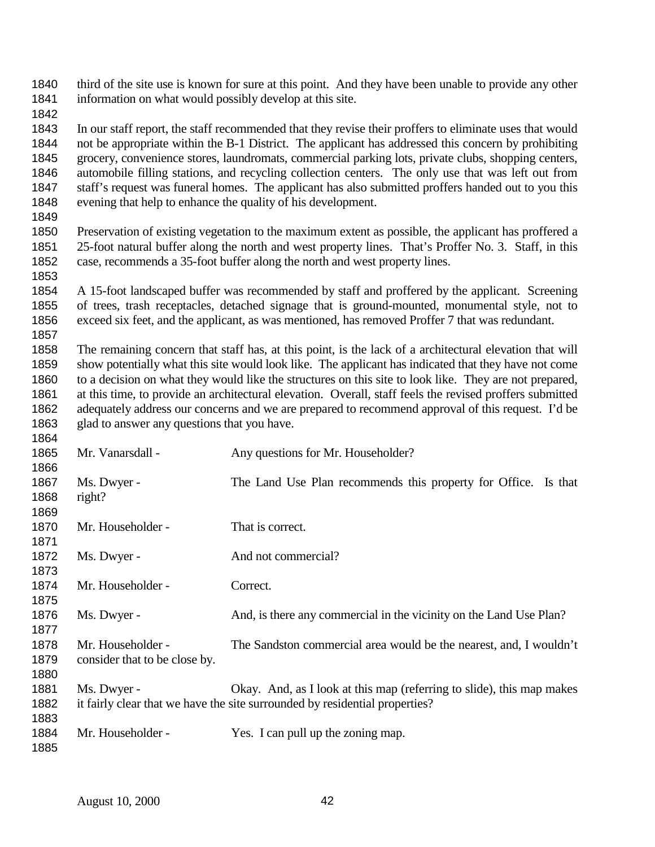third of the site use is known for sure at this point. And they have been unable to provide any other information on what would possibly develop at this site.

 In our staff report, the staff recommended that they revise their proffers to eliminate uses that would not be appropriate within the B-1 District. The applicant has addressed this concern by prohibiting grocery, convenience stores, laundromats, commercial parking lots, private clubs, shopping centers, automobile filling stations, and recycling collection centers. The only use that was left out from staff's request was funeral homes. The applicant has also submitted proffers handed out to you this evening that help to enhance the quality of his development.

 Preservation of existing vegetation to the maximum extent as possible, the applicant has proffered a 25-foot natural buffer along the north and west property lines. That's Proffer No. 3. Staff, in this case, recommends a 35-foot buffer along the north and west property lines. 

 A 15-foot landscaped buffer was recommended by staff and proffered by the applicant. Screening of trees, trash receptacles, detached signage that is ground-mounted, monumental style, not to exceed six feet, and the applicant, as was mentioned, has removed Proffer 7 that was redundant. 

 The remaining concern that staff has, at this point, is the lack of a architectural elevation that will show potentially what this site would look like. The applicant has indicated that they have not come to a decision on what they would like the structures on this site to look like. They are not prepared, at this time, to provide an architectural elevation. Overall, staff feels the revised proffers submitted adequately address our concerns and we are prepared to recommend approval of this request. I'd be 1863 glad to answer any questions that you have.

| 1865 | Mr. Vanarsdall -              | Any questions for Mr. Householder?                                          |
|------|-------------------------------|-----------------------------------------------------------------------------|
| 1866 |                               |                                                                             |
| 1867 | Ms. Dwyer -                   | The Land Use Plan recommends this property for Office. Is that              |
| 1868 | right?                        |                                                                             |
| 1869 |                               |                                                                             |
| 1870 | Mr. Householder -             | That is correct.                                                            |
| 1871 |                               |                                                                             |
| 1872 | Ms. Dwyer -                   | And not commercial?                                                         |
| 1873 |                               |                                                                             |
| 1874 | Mr. Householder -             | Correct.                                                                    |
| 1875 |                               |                                                                             |
| 1876 | Ms. Dwyer -                   | And, is there any commercial in the vicinity on the Land Use Plan?          |
| 1877 |                               |                                                                             |
| 1878 | Mr. Householder -             | The Sandston commercial area would be the nearest, and, I wouldn't          |
| 1879 | consider that to be close by. |                                                                             |
| 1880 |                               |                                                                             |
| 1881 | Ms. Dwyer -                   | Okay. And, as I look at this map (referring to slide), this map makes       |
| 1882 |                               | it fairly clear that we have the site surrounded by residential properties? |
| 1883 |                               |                                                                             |
| 1884 | Mr. Householder -             | Yes. I can pull up the zoning map.                                          |
| 1885 |                               |                                                                             |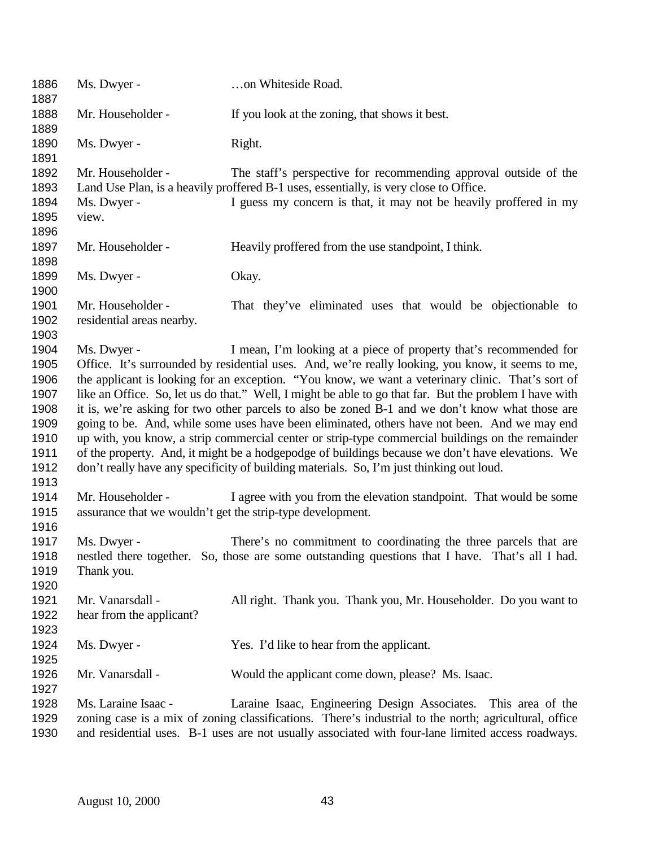| 1886<br>1887                                                                 | Ms. Dwyer -                                                                                                                                                                                                                                                                                                                                                                                                                                                                                                                                                                                                                                                                                                                                                                                                                                                                                                 | on Whiteside Road.                                                                                                                                                                                                                                                           |  |
|------------------------------------------------------------------------------|-------------------------------------------------------------------------------------------------------------------------------------------------------------------------------------------------------------------------------------------------------------------------------------------------------------------------------------------------------------------------------------------------------------------------------------------------------------------------------------------------------------------------------------------------------------------------------------------------------------------------------------------------------------------------------------------------------------------------------------------------------------------------------------------------------------------------------------------------------------------------------------------------------------|------------------------------------------------------------------------------------------------------------------------------------------------------------------------------------------------------------------------------------------------------------------------------|--|
| 1888<br>1889                                                                 | Mr. Householder -                                                                                                                                                                                                                                                                                                                                                                                                                                                                                                                                                                                                                                                                                                                                                                                                                                                                                           | If you look at the zoning, that shows it best.                                                                                                                                                                                                                               |  |
| 1890<br>1891                                                                 | Ms. Dwyer -                                                                                                                                                                                                                                                                                                                                                                                                                                                                                                                                                                                                                                                                                                                                                                                                                                                                                                 | Right.                                                                                                                                                                                                                                                                       |  |
| 1892<br>1893<br>1894<br>1895                                                 | Mr. Householder -<br>Ms. Dwyer -<br>view.                                                                                                                                                                                                                                                                                                                                                                                                                                                                                                                                                                                                                                                                                                                                                                                                                                                                   | The staff's perspective for recommending approval outside of the<br>Land Use Plan, is a heavily proffered B-1 uses, essentially, is very close to Office.<br>I guess my concern is that, it may not be heavily proffered in my                                               |  |
| 1896<br>1897                                                                 | Mr. Householder -                                                                                                                                                                                                                                                                                                                                                                                                                                                                                                                                                                                                                                                                                                                                                                                                                                                                                           | Heavily proffered from the use standpoint, I think.                                                                                                                                                                                                                          |  |
| 1898                                                                         |                                                                                                                                                                                                                                                                                                                                                                                                                                                                                                                                                                                                                                                                                                                                                                                                                                                                                                             |                                                                                                                                                                                                                                                                              |  |
| 1899<br>1900                                                                 | Ms. Dwyer -                                                                                                                                                                                                                                                                                                                                                                                                                                                                                                                                                                                                                                                                                                                                                                                                                                                                                                 | Okay.                                                                                                                                                                                                                                                                        |  |
| 1901<br>1902<br>1903                                                         | Mr. Householder -<br>residential areas nearby.                                                                                                                                                                                                                                                                                                                                                                                                                                                                                                                                                                                                                                                                                                                                                                                                                                                              | That they've eliminated uses that would be objectionable to                                                                                                                                                                                                                  |  |
| 1904<br>1905<br>1906<br>1907<br>1908<br>1909<br>1910<br>1911<br>1912<br>1913 | I mean, I'm looking at a piece of property that's recommended for<br>Ms. Dwyer -<br>Office. It's surrounded by residential uses. And, we're really looking, you know, it seems to me,<br>the applicant is looking for an exception. "You know, we want a veterinary clinic. That's sort of<br>like an Office. So, let us do that." Well, I might be able to go that far. But the problem I have with<br>it is, we're asking for two other parcels to also be zoned B-1 and we don't know what those are<br>going to be. And, while some uses have been eliminated, others have not been. And we may end<br>up with, you know, a strip commercial center or strip-type commercial buildings on the remainder<br>of the property. And, it might be a hodgepodge of buildings because we don't have elevations. We<br>don't really have any specificity of building materials. So, I'm just thinking out loud. |                                                                                                                                                                                                                                                                              |  |
| 1914<br>1915<br>1916                                                         | Mr. Householder -<br>assurance that we wouldn't get the strip-type development.                                                                                                                                                                                                                                                                                                                                                                                                                                                                                                                                                                                                                                                                                                                                                                                                                             | I agree with you from the elevation standpoint. That would be some                                                                                                                                                                                                           |  |
| 1917<br>1918<br>1919<br>1920                                                 | Ms. Dwyer -<br>Thank you.                                                                                                                                                                                                                                                                                                                                                                                                                                                                                                                                                                                                                                                                                                                                                                                                                                                                                   | There's no commitment to coordinating the three parcels that are<br>nestled there together. So, those are some outstanding questions that I have. That's all I had.                                                                                                          |  |
| 1921<br>1922<br>1923                                                         | Mr. Vanarsdall -<br>hear from the applicant?                                                                                                                                                                                                                                                                                                                                                                                                                                                                                                                                                                                                                                                                                                                                                                                                                                                                | All right. Thank you. Thank you, Mr. Householder. Do you want to                                                                                                                                                                                                             |  |
| 1924<br>1925                                                                 | Ms. Dwyer -                                                                                                                                                                                                                                                                                                                                                                                                                                                                                                                                                                                                                                                                                                                                                                                                                                                                                                 | Yes. I'd like to hear from the applicant.                                                                                                                                                                                                                                    |  |
| 1926<br>1927                                                                 | Mr. Vanarsdall -                                                                                                                                                                                                                                                                                                                                                                                                                                                                                                                                                                                                                                                                                                                                                                                                                                                                                            | Would the applicant come down, please? Ms. Isaac.                                                                                                                                                                                                                            |  |
| 1928<br>1929<br>1930                                                         | Ms. Laraine Isaac -                                                                                                                                                                                                                                                                                                                                                                                                                                                                                                                                                                                                                                                                                                                                                                                                                                                                                         | Laraine Isaac, Engineering Design Associates. This area of the<br>zoning case is a mix of zoning classifications. There's industrial to the north; agricultural, office<br>and residential uses. B-1 uses are not usually associated with four-lane limited access roadways. |  |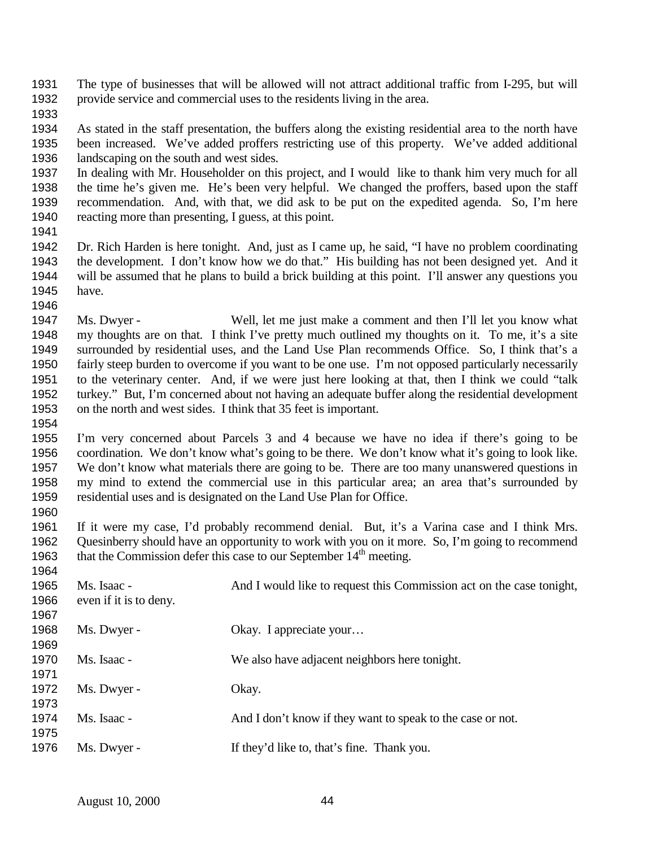The type of businesses that will be allowed will not attract additional traffic from I-295, but will provide service and commercial uses to the residents living in the area.

 As stated in the staff presentation, the buffers along the existing residential area to the north have been increased. We've added proffers restricting use of this property. We've added additional landscaping on the south and west sides.

 In dealing with Mr. Householder on this project, and I would like to thank him very much for all the time he's given me. He's been very helpful. We changed the proffers, based upon the staff recommendation. And, with that, we did ask to be put on the expedited agenda. So, I'm here reacting more than presenting, I guess, at this point.

 Dr. Rich Harden is here tonight. And, just as I came up, he said, "I have no problem coordinating the development. I don't know how we do that." His building has not been designed yet. And it will be assumed that he plans to build a brick building at this point. I'll answer any questions you have. 

 Ms. Dwyer - Well, let me just make a comment and then I'll let you know what my thoughts are on that. I think I've pretty much outlined my thoughts on it. To me, it's a site surrounded by residential uses, and the Land Use Plan recommends Office. So, I think that's a fairly steep burden to overcome if you want to be one use. I'm not opposed particularly necessarily to the veterinary center. And, if we were just here looking at that, then I think we could "talk turkey." But, I'm concerned about not having an adequate buffer along the residential development on the north and west sides. I think that 35 feet is important.

 I'm very concerned about Parcels 3 and 4 because we have no idea if there's going to be coordination. We don't know what's going to be there. We don't know what it's going to look like. We don't know what materials there are going to be. There are too many unanswered questions in my mind to extend the commercial use in this particular area; an area that's surrounded by residential uses and is designated on the Land Use Plan for Office.

 If it were my case, I'd probably recommend denial. But, it's a Varina case and I think Mrs. Quesinberry should have an opportunity to work with you on it more. So, I'm going to recommend 1963 that the Commission defer this case to our September  $14<sup>th</sup>$  meeting.

| 1965<br>1966<br>1967 | Ms. Isaac -<br>even if it is to deny. | And I would like to request this Commission act on the case tonight, |
|----------------------|---------------------------------------|----------------------------------------------------------------------|
| 1968<br>1969         | Ms. Dwyer -                           | Okay. I appreciate your                                              |
| 1970<br>1971         | Ms. Isaac -                           | We also have adjacent neighbors here tonight.                        |
| 1972<br>1973         | Ms. Dwyer -                           | Okay.                                                                |
| 1974<br>1975         | Ms. Isaac -                           | And I don't know if they want to speak to the case or not.           |
| 1976                 | Ms. Dwyer -                           | If they'd like to, that's fine. Thank you.                           |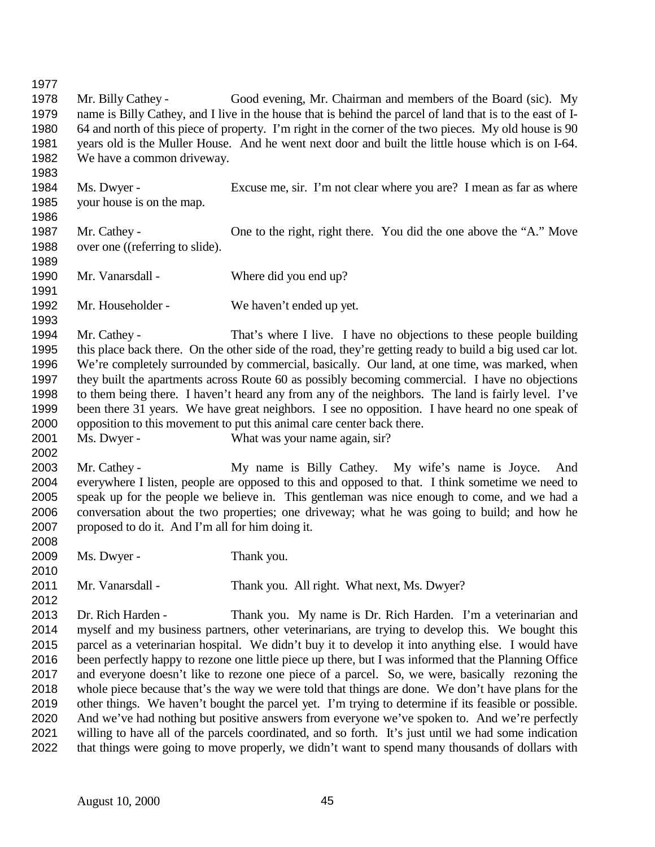Mr. Billy Cathey - Good evening, Mr. Chairman and members of the Board (sic). My name is Billy Cathey, and I live in the house that is behind the parcel of land that is to the east of I- 64 and north of this piece of property. I'm right in the corner of the two pieces. My old house is 90 years old is the Muller House. And he went next door and built the little house which is on I-64. 1982 We have a common driveway. Ms. Dwyer - Excuse me, sir. I'm not clear where you are? I mean as far as where your house is on the map. Mr. Cathey - One to the right, right there. You did the one above the "A." Move 1988 over one ((referring to slide). 1990 Mr. Vanarsdall - Where did you end up? Mr. Householder - We haven't ended up yet. Mr. Cathey - That's where I live. I have no objections to these people building this place back there. On the other side of the road, they're getting ready to build a big used car lot. We're completely surrounded by commercial, basically. Our land, at one time, was marked, when they built the apartments across Route 60 as possibly becoming commercial. I have no objections to them being there. I haven't heard any from any of the neighbors. The land is fairly level. I've been there 31 years. We have great neighbors. I see no opposition. I have heard no one speak of opposition to this movement to put this animal care center back there. 2001 Ms. Dwyer - What was your name again, sir? Mr. Cathey - My name is Billy Cathey. My wife's name is Joyce. And everywhere I listen, people are opposed to this and opposed to that. I think sometime we need to speak up for the people we believe in. This gentleman was nice enough to come, and we had a conversation about the two properties; one driveway; what he was going to build; and how he proposed to do it. And I'm all for him doing it. Ms. Dwyer - Thank you. 2011 Mr. Vanarsdall - Thank you. All right. What next, Ms. Dwyer? Dr. Rich Harden - Thank you. My name is Dr. Rich Harden. I'm a veterinarian and myself and my business partners, other veterinarians, are trying to develop this. We bought this parcel as a veterinarian hospital. We didn't buy it to develop it into anything else. I would have been perfectly happy to rezone one little piece up there, but I was informed that the Planning Office and everyone doesn't like to rezone one piece of a parcel. So, we were, basically rezoning the whole piece because that's the way we were told that things are done. We don't have plans for the other things. We haven't bought the parcel yet. I'm trying to determine if its feasible or possible. And we've had nothing but positive answers from everyone we've spoken to. And we're perfectly willing to have all of the parcels coordinated, and so forth. It's just until we had some indication that things were going to move properly, we didn't want to spend many thousands of dollars with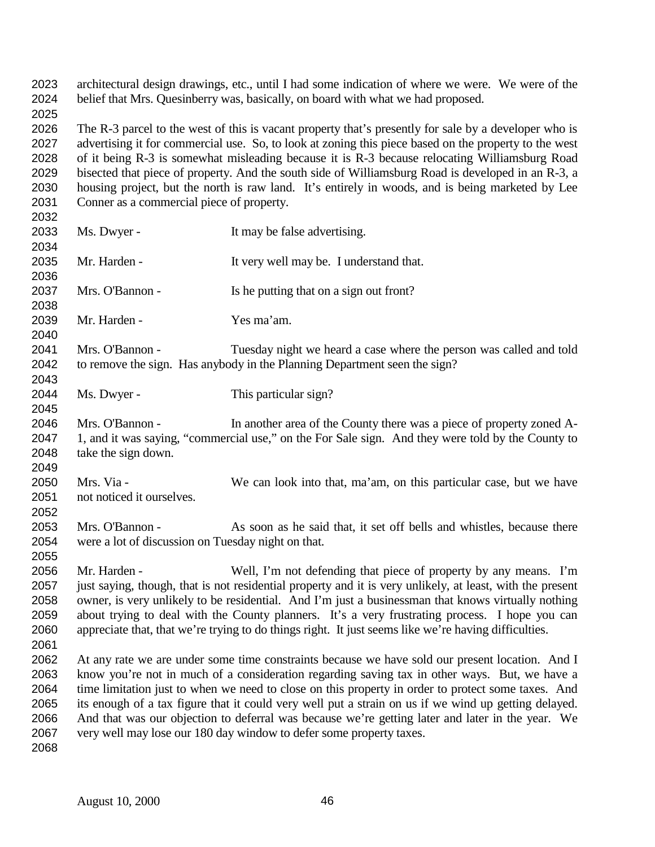architectural design drawings, etc., until I had some indication of where we were. We were of the belief that Mrs. Quesinberry was, basically, on board with what we had proposed. 

 The R-3 parcel to the west of this is vacant property that's presently for sale by a developer who is advertising it for commercial use. So, to look at zoning this piece based on the property to the west of it being R-3 is somewhat misleading because it is R-3 because relocating Williamsburg Road bisected that piece of property. And the south side of Williamsburg Road is developed in an R-3, a housing project, but the north is raw land. It's entirely in woods, and is being marketed by Lee Conner as a commercial piece of property.

| 2032 |                                                                                                           |                                                                                                  |  |
|------|-----------------------------------------------------------------------------------------------------------|--------------------------------------------------------------------------------------------------|--|
| 2033 | Ms. Dwyer -                                                                                               | It may be false advertising.                                                                     |  |
| 2034 |                                                                                                           |                                                                                                  |  |
| 2035 | Mr. Harden -                                                                                              | It very well may be. I understand that.                                                          |  |
| 2036 |                                                                                                           |                                                                                                  |  |
| 2037 | Mrs. O'Bannon -                                                                                           | Is he putting that on a sign out front?                                                          |  |
| 2038 |                                                                                                           |                                                                                                  |  |
| 2039 | Mr. Harden -                                                                                              | Yes ma'am.                                                                                       |  |
| 2040 |                                                                                                           |                                                                                                  |  |
| 2041 | Mrs. O'Bannon -                                                                                           | Tuesday night we heard a case where the person was called and told                               |  |
| 2042 |                                                                                                           | to remove the sign. Has anybody in the Planning Department seen the sign?                        |  |
| 2043 |                                                                                                           |                                                                                                  |  |
| 2044 | Ms. Dwyer -                                                                                               | This particular sign?                                                                            |  |
| 2045 |                                                                                                           |                                                                                                  |  |
| 2046 | Mrs. O'Bannon -                                                                                           | In another area of the County there was a piece of property zoned A-                             |  |
| 2047 | 1, and it was saying, "commercial use," on the For Sale sign. And they were told by the County to         |                                                                                                  |  |
| 2048 | take the sign down.                                                                                       |                                                                                                  |  |
| 2049 |                                                                                                           |                                                                                                  |  |
| 2050 | Mrs. Via -                                                                                                | We can look into that, ma'am, on this particular case, but we have                               |  |
| 2051 | not noticed it ourselves.                                                                                 |                                                                                                  |  |
| 2052 |                                                                                                           |                                                                                                  |  |
| 2053 | Mrs. O'Bannon -                                                                                           | As soon as he said that, it set off bells and whistles, because there                            |  |
| 2054 | were a lot of discussion on Tuesday night on that.                                                        |                                                                                                  |  |
| 2055 |                                                                                                           |                                                                                                  |  |
| 2056 | Mr. Harden -                                                                                              | Well, I'm not defending that piece of property by any means. I'm                                 |  |
| 2057 | just saying, though, that is not residential property and it is very unlikely, at least, with the present |                                                                                                  |  |
| 2058 | owner, is very unlikely to be residential. And I'm just a businessman that knows virtually nothing        |                                                                                                  |  |
| 2059 | about trying to deal with the County planners. It's a very frustrating process. I hope you can            |                                                                                                  |  |
| 2060 | appreciate that, that we're trying to do things right. It just seems like we're having difficulties.      |                                                                                                  |  |
| 2061 |                                                                                                           |                                                                                                  |  |
| 2062 | At any rate we are under some time constraints because we have sold our present location. And I           |                                                                                                  |  |
| 2063 | know you're not in much of a consideration regarding saving tax in other ways. But, we have a             |                                                                                                  |  |
| 2064 | time limitation just to when we need to close on this property in order to protect some taxes. And        |                                                                                                  |  |
| 2065 | its enough of a tax figure that it could very well put a strain on us if we wind up getting delayed.      |                                                                                                  |  |
| 2066 |                                                                                                           | And that was our objection to deferral was because we're getting later and later in the year. We |  |
| 2067 |                                                                                                           | very well may lose our 180 day window to defer some property taxes.                              |  |
| 2068 |                                                                                                           |                                                                                                  |  |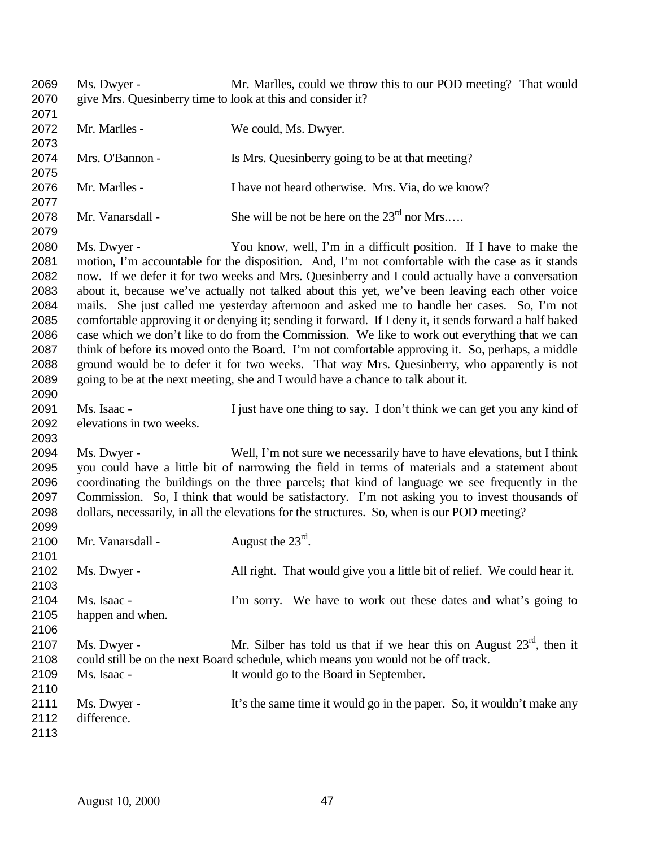Ms. Dwyer - Mr. Marlles, could we throw this to our POD meeting? That would give Mrs. Quesinberry time to look at this and consider it? 2072 Mr. Marlles - We could, Ms. Dwyer. Mrs. O'Bannon - Is Mrs. Quesinberry going to be at that meeting? Mr. Marlles - I have not heard otherwise. Mrs. Via, do we know? 2078 Mr. Vanarsdall - She will be not be here on the  $23^{\text{rd}}$  nor Mrs.... Ms. Dwyer - You know, well, I'm in a difficult position. If I have to make the motion, I'm accountable for the disposition. And, I'm not comfortable with the case as it stands now. If we defer it for two weeks and Mrs. Quesinberry and I could actually have a conversation about it, because we've actually not talked about this yet, we've been leaving each other voice mails. She just called me yesterday afternoon and asked me to handle her cases. So, I'm not comfortable approving it or denying it; sending it forward. If I deny it, it sends forward a half baked case which we don't like to do from the Commission. We like to work out everything that we can think of before its moved onto the Board. I'm not comfortable approving it. So, perhaps, a middle ground would be to defer it for two weeks. That way Mrs. Quesinberry, who apparently is not going to be at the next meeting, she and I would have a chance to talk about it. Ms. Isaac - I just have one thing to say. I don't think we can get you any kind of elevations in two weeks. Ms. Dwyer - Well, I'm not sure we necessarily have to have elevations, but I think you could have a little bit of narrowing the field in terms of materials and a statement about coordinating the buildings on the three parcels; that kind of language we see frequently in the Commission. So, I think that would be satisfactory. I'm not asking you to invest thousands of dollars, necessarily, in all the elevations for the structures. So, when is our POD meeting? 2100 Mr. Vanarsdall -  $\qquad \qquad$  August the  $23^{\text{rd}}$ . Ms. Dwyer - All right. That would give you a little bit of relief. We could hear it. Ms. Isaac - I'm sorry. We have to work out these dates and what's going to happen and when. 2107 Ms. Dwyer - Mr. Silber has told us that if we hear this on August  $23<sup>rd</sup>$ , then it could still be on the next Board schedule, which means you would not be off track. Ms. Isaac - It would go to the Board in September. 2111 Ms. Dwyer - It's the same time it would go in the paper. So, it wouldn't make any difference.